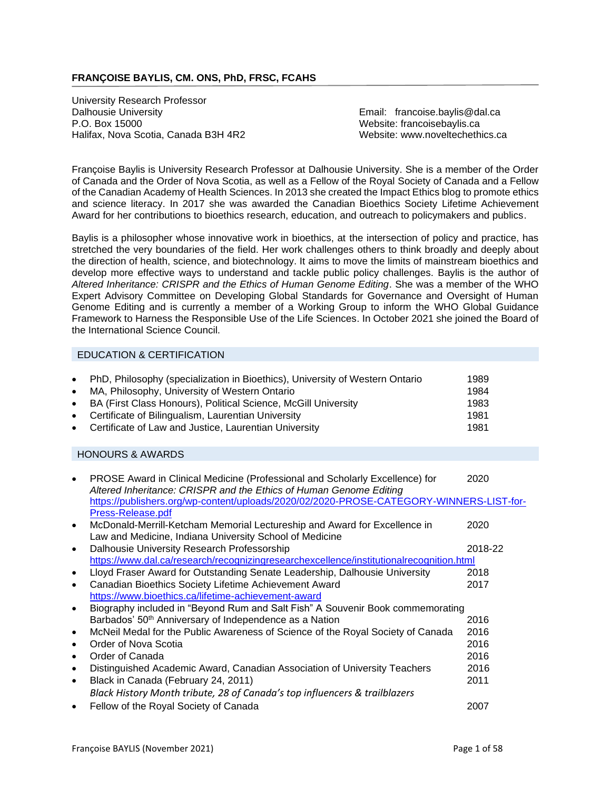# **FRANÇOISE BAYLIS, CM. ONS, PhD, FRSC, FCAHS**

University Research Professor Dalhousie University Email: francoise.baylis@dal.ca P.O. Box 15000 Website: [francoisebaylis.ca](mailto:francoise.baylis@dal.ca) Halifax, Nova Scotia, Canada B3H 4R2 Website: www.noveltechethics.ca

Françoise Baylis is University Research Professor at Dalhousie University. She is a member of the Order of Canada and the Order of Nova Scotia, as well as a Fellow of the Royal Society of Canada and a Fellow of the Canadian Academy of Health Sciences. In 2013 she created the Impact Ethics blog to promote ethics and science literacy. In 2017 she was awarded the Canadian Bioethics Society Lifetime Achievement Award for her contributions to bioethics research, education, and outreach to policymakers and publics.

Baylis is a philosopher whose innovative work in bioethics, at the intersection of policy and practice, has stretched the very boundaries of the field. Her work challenges others to think broadly and deeply about the direction of health, science, and biotechnology. It aims to move the limits of mainstream bioethics and develop more effective ways to understand and tackle public policy challenges. Baylis is the author of *Altered Inheritance: CRISPR and the Ethics of Human Genome Editing*. She was a member of the WHO Expert Advisory Committee on Developing Global Standards for Governance and Oversight of Human Genome Editing and is currently a member of a Working Group to inform the WHO Global Guidance Framework to Harness the Responsible Use of the Life Sciences. In October 2021 she joined the Board of the International Science Council.

# EDUCATION & CERTIFICATION

|           | • PhD, Philosophy (specialization in Bioethics), University of Western Ontario | 1989 |
|-----------|--------------------------------------------------------------------------------|------|
| $\bullet$ | MA, Philosophy, University of Western Ontario                                  | 1984 |
| $\bullet$ | BA (First Class Honours), Political Science, McGill University                 | 1983 |
|           | • Certificate of Bilingualism, Laurentian University                           | 1981 |
|           | • Certificate of Law and Justice, Laurentian University                        | 1981 |

### HONOURS & AWARDS

|           | PROSE Award in Clinical Medicine (Professional and Scholarly Excellence) for<br>Altered Inheritance: CRISPR and the Ethics of Human Genome Editing | 2020    |
|-----------|----------------------------------------------------------------------------------------------------------------------------------------------------|---------|
|           | https://publishers.org/wp-content/uploads/2020/02/2020-PROSE-CATEGORY-WINNERS-LIST-for-                                                            |         |
|           | Press-Release.pdf                                                                                                                                  |         |
|           | McDonald-Merrill-Ketcham Memorial Lectureship and Award for Excellence in                                                                          | 2020    |
|           | Law and Medicine, Indiana University School of Medicine                                                                                            |         |
| $\bullet$ | Dalhousie University Research Professorship                                                                                                        | 2018-22 |
|           | https://www.dal.ca/research/recognizingresearchexcellence/institutionalrecognition.html                                                            |         |
|           | Lloyd Fraser Award for Outstanding Senate Leadership, Dalhousie University                                                                         | 2018    |
|           | Canadian Bioethics Society Lifetime Achievement Award                                                                                              | 2017    |
|           | https://www.bioethics.ca/lifetime-achievement-award                                                                                                |         |
|           | Biography included in "Beyond Rum and Salt Fish" A Souvenir Book commemorating                                                                     |         |
|           | Barbados' 50 <sup>th</sup> Anniversary of Independence as a Nation                                                                                 | 2016    |
|           | McNeil Medal for the Public Awareness of Science of the Royal Society of Canada                                                                    | 2016    |
|           | Order of Nova Scotia                                                                                                                               | 2016    |
|           | Order of Canada                                                                                                                                    | 2016    |
|           | Distinguished Academic Award, Canadian Association of University Teachers                                                                          | 2016    |
| $\bullet$ | Black in Canada (February 24, 2011)                                                                                                                | 2011    |
|           | Black History Month tribute, 28 of Canada's top influencers & trailblazers                                                                         |         |
|           | Fellow of the Royal Society of Canada                                                                                                              | 2007    |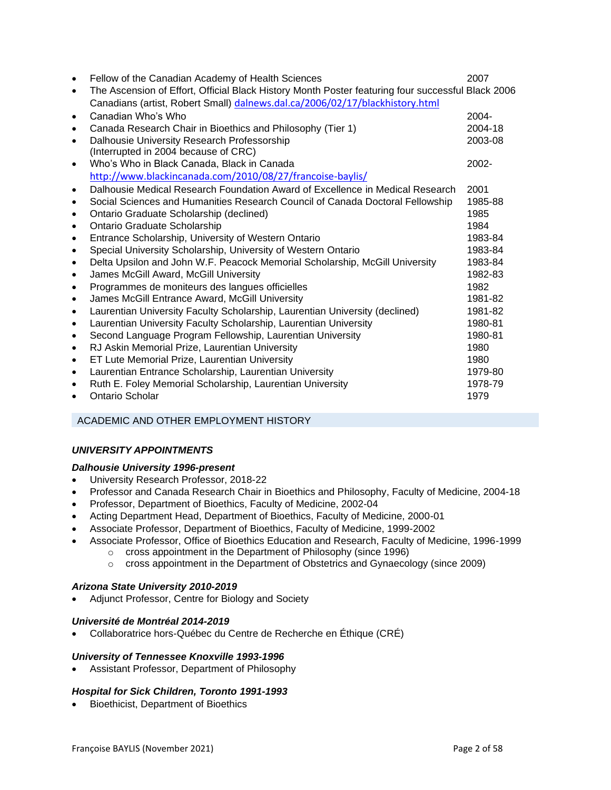| $\bullet$ | Fellow of the Canadian Academy of Health Sciences                                                 | 2007     |
|-----------|---------------------------------------------------------------------------------------------------|----------|
| $\bullet$ | The Ascension of Effort, Official Black History Month Poster featuring four successful Black 2006 |          |
|           | Canadians (artist, Robert Small) dalnews.dal.ca/2006/02/17/blackhistory.html                      |          |
| $\bullet$ | Canadian Who's Who                                                                                | 2004-    |
| $\bullet$ | Canada Research Chair in Bioethics and Philosophy (Tier 1)                                        | 2004-18  |
| $\bullet$ | Dalhousie University Research Professorship                                                       | 2003-08  |
|           | (Interrupted in 2004 because of CRC)                                                              |          |
| $\bullet$ | Who's Who in Black Canada, Black in Canada                                                        | $2002 -$ |
|           | http://www.blackincanada.com/2010/08/27/francoise-baylis/                                         |          |
| $\bullet$ | Dalhousie Medical Research Foundation Award of Excellence in Medical Research                     | 2001     |
| $\bullet$ | Social Sciences and Humanities Research Council of Canada Doctoral Fellowship                     | 1985-88  |
| $\bullet$ | Ontario Graduate Scholarship (declined)                                                           | 1985     |
| $\bullet$ | Ontario Graduate Scholarship                                                                      | 1984     |
| $\bullet$ | Entrance Scholarship, University of Western Ontario                                               | 1983-84  |
| $\bullet$ | Special University Scholarship, University of Western Ontario                                     | 1983-84  |
| $\bullet$ | Delta Upsilon and John W.F. Peacock Memorial Scholarship, McGill University                       | 1983-84  |
| $\bullet$ | James McGill Award, McGill University                                                             | 1982-83  |
| $\bullet$ | Programmes de moniteurs des langues officielles                                                   | 1982     |
| $\bullet$ | James McGill Entrance Award, McGill University                                                    | 1981-82  |
| $\bullet$ | Laurentian University Faculty Scholarship, Laurentian University (declined)                       | 1981-82  |
| $\bullet$ | Laurentian University Faculty Scholarship, Laurentian University                                  | 1980-81  |
| $\bullet$ | Second Language Program Fellowship, Laurentian University                                         | 1980-81  |
| $\bullet$ | RJ Askin Memorial Prize, Laurentian University                                                    | 1980     |
| $\bullet$ | ET Lute Memorial Prize, Laurentian University                                                     | 1980     |
| $\bullet$ | Laurentian Entrance Scholarship, Laurentian University                                            | 1979-80  |
| $\bullet$ | Ruth E. Foley Memorial Scholarship, Laurentian University                                         | 1978-79  |
|           | <b>Ontario Scholar</b>                                                                            | 1979     |
|           |                                                                                                   |          |

# ACADEMIC AND OTHER EMPLOYMENT HISTORY

# *UNIVERSITY APPOINTMENTS*

### *Dalhousie University 1996-present*

- University Research Professor, 2018-22
- Professor and Canada Research Chair in Bioethics and Philosophy, Faculty of Medicine, 2004-18
- Professor, Department of Bioethics, Faculty of Medicine, 2002-04
- Acting Department Head, Department of Bioethics, Faculty of Medicine, 2000-01
- Associate Professor, Department of Bioethics, Faculty of Medicine, 1999-2002
- Associate Professor, Office of Bioethics Education and Research, Faculty of Medicine, 1996-1999
	- o cross appointment in the Department of Philosophy (since 1996)
		- o cross appointment in the Department of Obstetrics and Gynaecology (since 2009)

### *Arizona State University 2010-2019*

• Adjunct Professor, Centre for Biology and Society

### *Université de Montréal 2014-2019*

• Collaboratrice hors-Québec du Centre de Recherche en Éthique (CRÉ)

### *University of Tennessee Knoxville 1993-1996*

• Assistant Professor, Department of Philosophy

### *Hospital for Sick Children, Toronto 1991-1993*

• Bioethicist, Department of Bioethics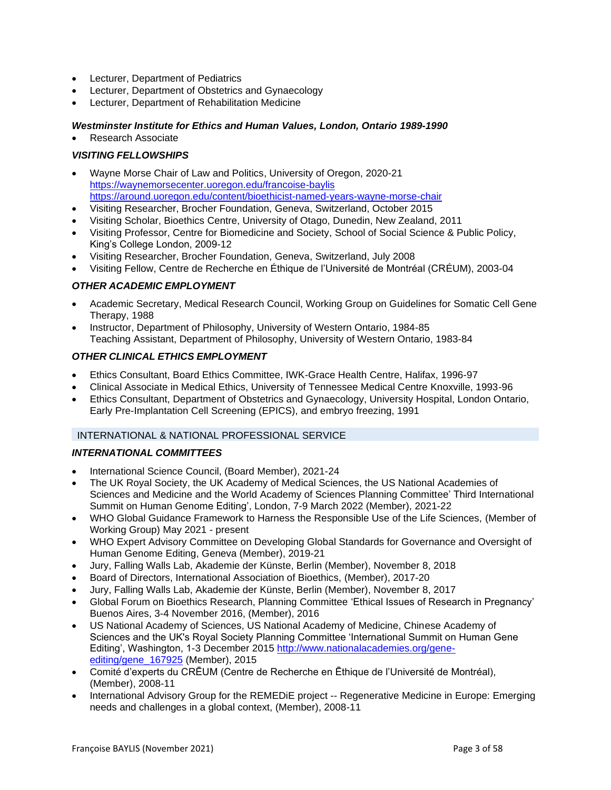- Lecturer, Department of Pediatrics
- Lecturer, Department of Obstetrics and Gynaecology
- Lecturer, Department of Rehabilitation Medicine

### *Westminster Institute for Ethics and Human Values, London, Ontario 1989-1990*

• Research Associate

# *VISITING FELLOWSHIPS*

- Wayne Morse Chair of Law and Politics, University of Oregon, 2020-21 <https://waynemorsecenter.uoregon.edu/francoise-baylis> <https://around.uoregon.edu/content/bioethicist-named-years-wayne-morse-chair>
- Visiting Researcher, Brocher Foundation, Geneva, Switzerland, October 2015
- Visiting Scholar, Bioethics Centre, University of Otago, Dunedin, New Zealand, 2011
- Visiting Professor, Centre for Biomedicine and Society, School of Social Science & Public Policy, King's College London, 2009-12
- Visiting Researcher, Brocher Foundation, Geneva, Switzerland, July 2008
- Visiting Fellow, Centre de Recherche en Éthique de l'Université de Montréal (CRÉUM), 2003-04

### *OTHER ACADEMIC EMPLOYMENT*

- Academic Secretary, Medical Research Council, Working Group on Guidelines for Somatic Cell Gene Therapy, 1988
- Instructor, Department of Philosophy, University of Western Ontario, 1984-85 Teaching Assistant, Department of Philosophy, University of Western Ontario, 1983-84

### *OTHER CLINICAL ETHICS EMPLOYMENT*

- Ethics Consultant, Board Ethics Committee, IWK-Grace Health Centre, Halifax, 1996-97
- Clinical Associate in Medical Ethics, University of Tennessee Medical Centre Knoxville, 1993-96
- Ethics Consultant, Department of Obstetrics and Gynaecology, University Hospital, London Ontario, Early Pre-Implantation Cell Screening (EPICS), and embryo freezing, 1991

### INTERNATIONAL & NATIONAL PROFESSIONAL SERVICE

### *INTERNATIONAL COMMITTEES*

- International Science Council, (Board Member), 2021-24
- The UK Royal Society, the UK Academy of Medical Sciences, the US National Academies of Sciences and Medicine and the World Academy of Sciences Planning Committee' Third International Summit on Human Genome Editing', London, 7-9 March 2022 (Member), 2021-22
- WHO Global Guidance Framework to Harness the Responsible Use of the Life Sciences, (Member of Working Group) May 2021 - present
- WHO Expert Advisory Committee on Developing Global Standards for Governance and Oversight of Human Genome Editing, Geneva (Member), 2019-21
- Jury, Falling Walls Lab, Akademie der Künste, Berlin (Member), November 8, 2018
- Board of Directors, International Association of Bioethics, (Member), 2017-20
- Jury, Falling Walls Lab, Akademie der Künste, Berlin (Member), November 8, 2017
- Global Forum on Bioethics Research, Planning Committee 'Ethical Issues of Research in Pregnancy' Buenos Aires, 3-4 November 2016, (Member), 2016
- US National Academy of Sciences, US National Academy of Medicine, Chinese Academy of Sciences and the UK's Royal Society Planning Committee 'International Summit on Human Gene Editing', Washington, 1-3 December 2015 [http://www.nationalacademies.org/gene](http://www.nationalacademies.org/gene-editing/gene_167925)[editing/gene\\_167925](http://www.nationalacademies.org/gene-editing/gene_167925) (Member), 2015
- Comité d'experts du CRĒUM (Centre de Recherche en Ēthique de l'Université de Montréal), (Member), 2008-11
- International Advisory Group for the REMEDiE project -- Regenerative Medicine in Europe: Emerging needs and challenges in a global context, (Member), 2008-11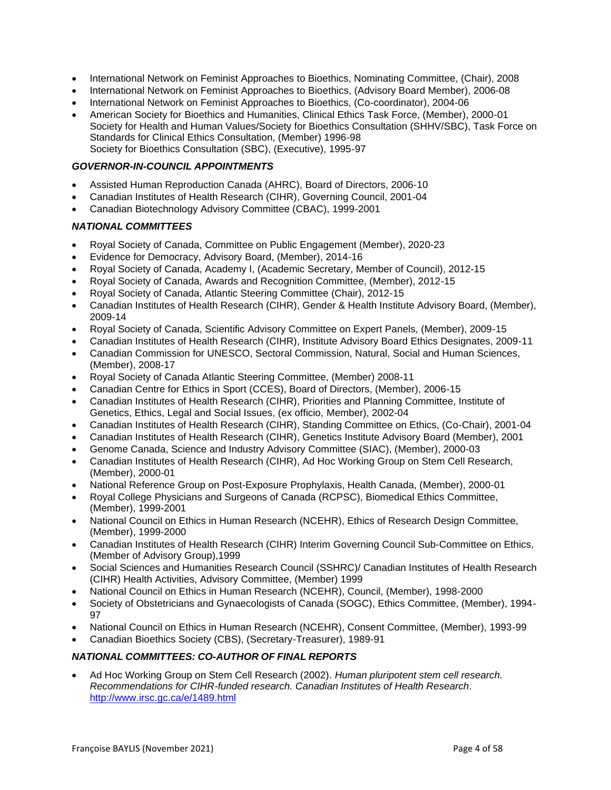- International Network on Feminist Approaches to Bioethics, Nominating Committee, (Chair), 2008
- International Network on Feminist Approaches to Bioethics, (Advisory Board Member), 2006-08
- International Network on Feminist Approaches to Bioethics, (Co-coordinator), 2004-06
- American Society for Bioethics and Humanities, Clinical Ethics Task Force, (Member), 2000-01 Society for Health and Human Values/Society for Bioethics Consultation (SHHV/SBC), Task Force on Standards for Clinical Ethics Consultation, (Member) 1996-98 Society for Bioethics Consultation (SBC), (Executive), 1995-97

# *GOVERNOR-IN-COUNCIL APPOINTMENTS*

- Assisted Human Reproduction Canada (AHRC), Board of Directors, 2006-10
- Canadian Institutes of Health Research (CIHR), Governing Council, 2001-04
- Canadian Biotechnology Advisory Committee (CBAC), 1999-2001

### *NATIONAL COMMITTEES*

- Royal Society of Canada, Committee on Public Engagement (Member), 2020-23
- Evidence for Democracy, Advisory Board, (Member), 2014-16
- Royal Society of Canada, Academy I, (Academic Secretary, Member of Council), 2012-15
- Royal Society of Canada, Awards and Recognition Committee, (Member), 2012-15
- Royal Society of Canada, Atlantic Steering Committee (Chair), 2012-15
- Canadian Institutes of Health Research (CIHR), Gender & Health Institute Advisory Board, (Member), 2009-14
- Royal Society of Canada, Scientific Advisory Committee on Expert Panels, (Member), 2009-15
- Canadian Institutes of Health Research (CIHR), Institute Advisory Board Ethics Designates, 2009-11
- Canadian Commission for UNESCO, Sectoral Commission, Natural, Social and Human Sciences, (Member), 2008-17
- Royal Society of Canada Atlantic Steering Committee, (Member) 2008-11
- Canadian Centre for Ethics in Sport (CCES), Board of Directors, (Member), 2006-15
- Canadian Institutes of Health Research (CIHR), Priorities and Planning Committee, Institute of Genetics, Ethics, Legal and Social Issues, (ex officio, Member), 2002-04
- Canadian Institutes of Health Research (CIHR), Standing Committee on Ethics, (Co-Chair), 2001-04
- Canadian Institutes of Health Research (CIHR), Genetics Institute Advisory Board (Member), 2001
- Genome Canada, Science and Industry Advisory Committee (SIAC), (Member), 2000-03
- Canadian Institutes of Health Research (CIHR), Ad Hoc Working Group on Stem Cell Research, (Member), 2000-01
- National Reference Group on Post-Exposure Prophylaxis, Health Canada, (Member), 2000-01
- Royal College Physicians and Surgeons of Canada (RCPSC), Biomedical Ethics Committee, (Member), 1999-2001
- National Council on Ethics in Human Research (NCEHR), Ethics of Research Design Committee, (Member), 1999-2000
- Canadian Institutes of Health Research (CIHR) Interim Governing Council Sub-Committee on Ethics, (Member of Advisory Group),1999
- Social Sciences and Humanities Research Council (SSHRC)/ Canadian Institutes of Health Research (CIHR) Health Activities, Advisory Committee, (Member) 1999
- National Council on Ethics in Human Research (NCEHR), Council, (Member), 1998-2000
- Society of Obstetricians and Gynaecologists of Canada (SOGC), Ethics Committee, (Member), 1994- 97
- National Council on Ethics in Human Research (NCEHR), Consent Committee, (Member), 1993-99
- Canadian Bioethics Society (CBS), (Secretary-Treasurer), 1989-91

### *NATIONAL COMMITTEES: CO-AUTHOR OF FINAL REPORTS*

• Ad Hoc Working Group on Stem Cell Research (2002). *Human pluripotent stem cell research. Recommendations for CIHR-funded research. Canadian Institutes of Health Research*. <http://www.irsc.gc.ca/e/1489.html>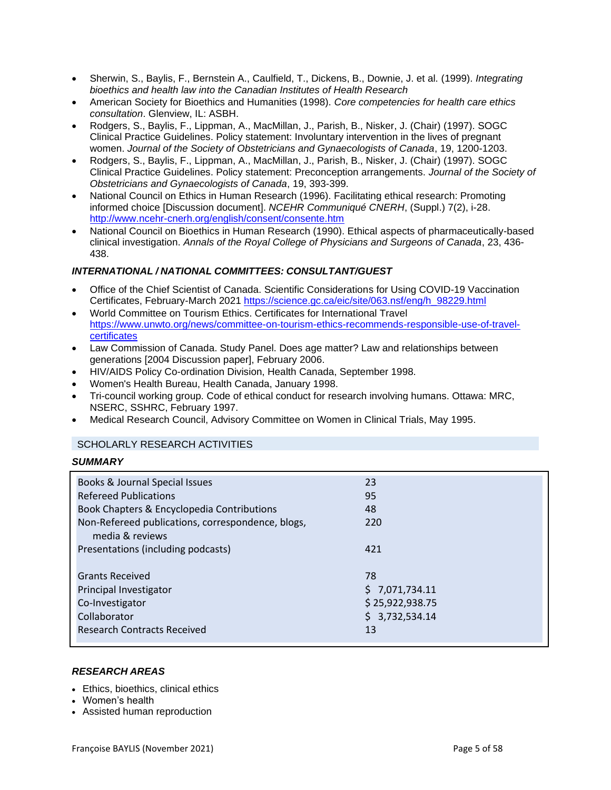- Sherwin, S., Baylis, F., Bernstein A., Caulfield, T., Dickens, B., Downie, J. et al. (1999). *Integrating bioethics and health law into the Canadian Institutes of Health Research*
- American Society for Bioethics and Humanities (1998). *Core competencies for health care ethics consultation*. Glenview, IL: ASBH.
- Rodgers, S., Baylis, F., Lippman, A., MacMillan, J., Parish, B., Nisker, J. (Chair) (1997). SOGC Clinical Practice Guidelines. Policy statement: Involuntary intervention in the lives of pregnant women. *Journal of the Society of Obstetricians and Gynaecologists of Canada*, 19, 1200-1203.
- Rodgers, S., Baylis, F., Lippman, A., MacMillan, J., Parish, B., Nisker, J. (Chair) (1997). SOGC Clinical Practice Guidelines. Policy statement: Preconception arrangements. *Journal of the Society of Obstetricians and Gynaecologists of Canada*, 19, 393-399.
- National Council on Ethics in Human Research (1996). Facilitating ethical research: Promoting informed choice [Discussion document]. *NCEHR Communiqué CNERH*, (Suppl.) 7(2), i-28. <http://www.ncehr-cnerh.org/english/consent/consente.htm>
- National Council on Bioethics in Human Research (1990). Ethical aspects of pharmaceutically-based clinical investigation. *Annals of the Royal College of Physicians and Surgeons of Canada*, 23, 436- 438.

# *INTERNATIONAL / NATIONAL COMMITTEES: CONSULTANT/GUEST*

- Office of the Chief Scientist of Canada. Scientific Considerations for Using COVID-19 Vaccination Certificates, February-March 2021 [https://science.gc.ca/eic/site/063.nsf/eng/h\\_98229.html](https://science.gc.ca/eic/site/063.nsf/eng/h_98229.html)
- World Committee on Tourism Ethics. Certificates for International Travel [https://www.unwto.org/news/committee-on-tourism-ethics-recommends-responsible-use-of-travel](https://www.unwto.org/news/committee-on-tourism-ethics-recommends-responsible-use-of-travel-certificates)[certificates](https://www.unwto.org/news/committee-on-tourism-ethics-recommends-responsible-use-of-travel-certificates)
- Law Commission of Canada. Study Panel. Does age matter? Law and relationships between generations [2004 Discussion paper], February 2006.
- HIV/AIDS Policy Co-ordination Division, Health Canada, September 1998.
- Women's Health Bureau, Health Canada, January 1998.
- Tri-council working group. Code of ethical conduct for research involving humans. Ottawa: MRC, NSERC, SSHRC, February 1997.
- Medical Research Council, Advisory Committee on Women in Clinical Trials, May 1995.

# SCHOLARLY RESEARCH ACTIVITIES

# *SUMMARY*

| \$7,071,734.11  |
|-----------------|
| \$25,922,938.75 |
| \$3,732,534.14  |
|                 |
|                 |

# *RESEARCH AREAS*

- Ethics, bioethics, clinical ethics
- Women's health
- Assisted human reproduction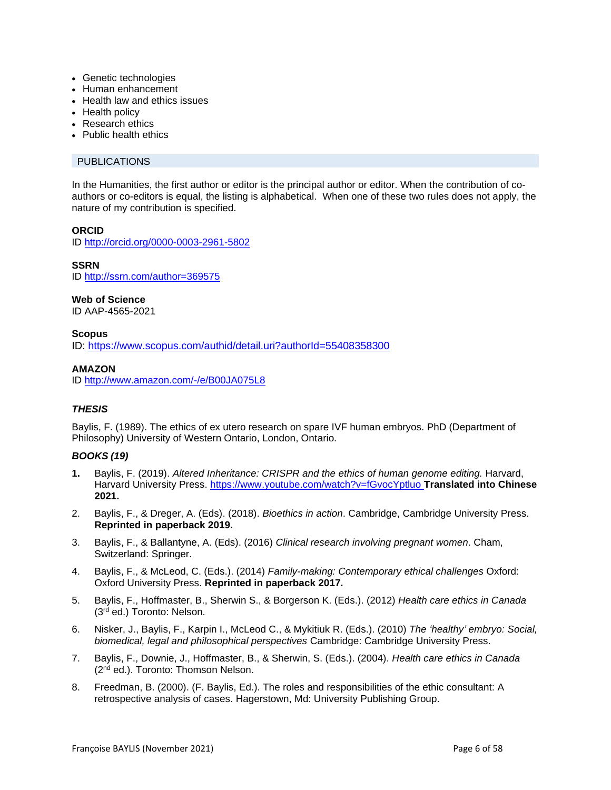- Genetic technologies
- Human enhancement
- Health law and ethics issues
- Health policy
- Research ethics
- Public health ethics

# PUBLICATIONS

In the Humanities, the first author or editor is the principal author or editor. When the contribution of coauthors or co-editors is equal, the listing is alphabetical. When one of these two rules does not apply, the nature of my contribution is specified.

### **ORCID**

ID<http://orcid.org/0000-0003-2961-5802>

**SSRN** ID<http://ssrn.com/author=369575>

### **Web of Science**

ID AAP-4565-2021

#### **Scopus** ID:<https://www.scopus.com/authid/detail.uri?authorId=55408358300>

### **AMAZON**

ID<http://www.amazon.com/-/e/B00JA075L8>

# *THESIS*

Baylis, F. (1989). The ethics of ex utero research on spare IVF human embryos. PhD (Department of Philosophy) University of Western Ontario, London, Ontario.

# *BOOKS (19)*

- **1.** Baylis, F. (2019). *Altered Inheritance: CRISPR and the ethics of human genome editing.* Harvard, Harvard University Press. <https://www.youtube.com/watch?v=fGvocYptluo> **Translated into Chinese 2021.**
- 2. Baylis, F., & Dreger, A. (Eds). (2018). *Bioethics in action*. Cambridge, Cambridge University Press. **Reprinted in paperback 2019.**
- 3. Baylis, F., & Ballantyne, A. (Eds). (2016) *Clinical research involving pregnant women*. Cham, Switzerland: Springer.
- 4. Baylis, F., & McLeod, C. (Eds.). (2014) *Family-making: Contemporary ethical challenges* Oxford: Oxford University Press. **Reprinted in paperback 2017.**
- 5. Baylis, F., Hoffmaster, B., Sherwin S., & Borgerson K. (Eds.). (2012) *Health care ethics in Canada*  (3rd ed.) Toronto: Nelson.
- 6. Nisker, J., Baylis, F., Karpin I., McLeod C., & Mykitiuk R. (Eds.). (2010) *The 'healthy' embryo: Social, biomedical, legal and philosophical perspectives* Cambridge: Cambridge University Press.
- 7. Baylis, F., Downie, J., Hoffmaster, B., & Sherwin, S. (Eds.). (2004). *Health care ethics in Canada* (2<sup>nd</sup> ed.). Toronto: Thomson Nelson.
- 8. Freedman, B. (2000). (F. Baylis, Ed.). The roles and responsibilities of the ethic consultant: A retrospective analysis of cases. Hagerstown, Md: University Publishing Group.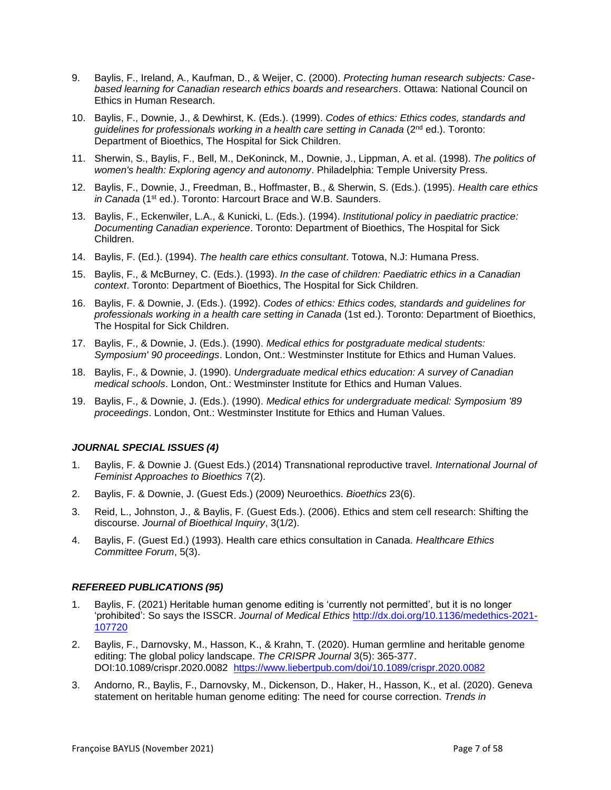- 9. Baylis, F., Ireland, A., Kaufman, D., & Weijer, C. (2000). *Protecting human research subjects: Casebased learning for Canadian research ethics boards and researchers*. Ottawa: National Council on Ethics in Human Research.
- 10. Baylis, F., Downie, J., & Dewhirst, K. (Eds.). (1999). *Codes of ethics: Ethics codes, standards and guidelines for professionals working in a health care setting in Canada* (2nd ed.). Toronto: Department of Bioethics, The Hospital for Sick Children.
- 11. Sherwin, S., Baylis, F., Bell, M., DeKoninck, M., Downie, J., Lippman, A. et al. (1998). *The politics of women's health: Exploring agency and autonomy*. Philadelphia: Temple University Press.
- 12. Baylis, F., Downie, J., Freedman, B., Hoffmaster, B., & Sherwin, S. (Eds.). (1995). *Health care ethics in Canada* (1st ed.). Toronto: Harcourt Brace and W.B. Saunders.
- 13. Baylis, F., Eckenwiler, L.A., & Kunicki, L. (Eds.). (1994). *Institutional policy in paediatric practice: Documenting Canadian experience*. Toronto: Department of Bioethics, The Hospital for Sick Children.
- 14. Baylis, F. (Ed.). (1994). *The health care ethics consultant*. Totowa, N.J: Humana Press.
- 15. Baylis, F., & McBurney, C. (Eds.). (1993). *In the case of children: Paediatric ethics in a Canadian context*. Toronto: Department of Bioethics, The Hospital for Sick Children.
- 16. Baylis, F. & Downie, J. (Eds.). (1992). *Codes of ethics: Ethics codes, standards and guidelines for professionals working in a health care setting in Canada* (1st ed.). Toronto: Department of Bioethics, The Hospital for Sick Children.
- 17. Baylis, F., & Downie, J. (Eds.). (1990). *Medical ethics for postgraduate medical students: Symposium' 90 proceedings*. London, Ont.: Westminster Institute for Ethics and Human Values.
- 18. Baylis, F., & Downie, J. (1990). *Undergraduate medical ethics education: A survey of Canadian medical schools*. London, Ont.: Westminster Institute for Ethics and Human Values.
- 19. Baylis, F., & Downie, J. (Eds.). (1990). *Medical ethics for undergraduate medical: Symposium '89 proceedings*. London, Ont.: Westminster Institute for Ethics and Human Values.

### *JOURNAL SPECIAL ISSUES (4)*

- 1. Baylis, F. & Downie J. (Guest Eds.) (2014) Transnational reproductive travel. *International Journal of Feminist Approaches to Bioethics* 7(2).
- 2. Baylis, F. & Downie, J. (Guest Eds.) (2009) Neuroethics. *Bioethics* 23(6).
- 3. Reid, L., Johnston, J., & Baylis, F. (Guest Eds.). (2006). Ethics and stem cell research: Shifting the discourse. *Journal of Bioethical Inquiry*, 3(1/2).
- 4. Baylis, F. (Guest Ed.) (1993). Health care ethics consultation in Canada. *Healthcare Ethics Committee Forum*, 5(3).

### *REFEREED PUBLICATIONS (95)*

- 1. Baylis, F. (2021) Heritable human genome editing is 'currently not permitted', but it is no longer 'prohibited': So says the ISSCR. *Journal of Medical Ethics* [http://dx.doi.org/10.1136/medethics-2021-](http://dx.doi.org/10.1136/medethics-2021-107720) [107720](http://dx.doi.org/10.1136/medethics-2021-107720)
- 2. Baylis, F., Darnovsky, M., Hasson, K., & Krahn, T. (2020). Human germline and heritable genome editing: The global policy landscape. *The CRISPR Journal* 3(5): 365-377. DOI:10.1089/crispr.2020.0082 <https://www.liebertpub.com/doi/10.1089/crispr.2020.0082>
- 3. Andorno, R., Baylis, F., Darnovsky, M., Dickenson, D., Haker, H., Hasson, K., et al. (2020). Geneva statement on heritable human genome editing: The need for course correction. *Trends in*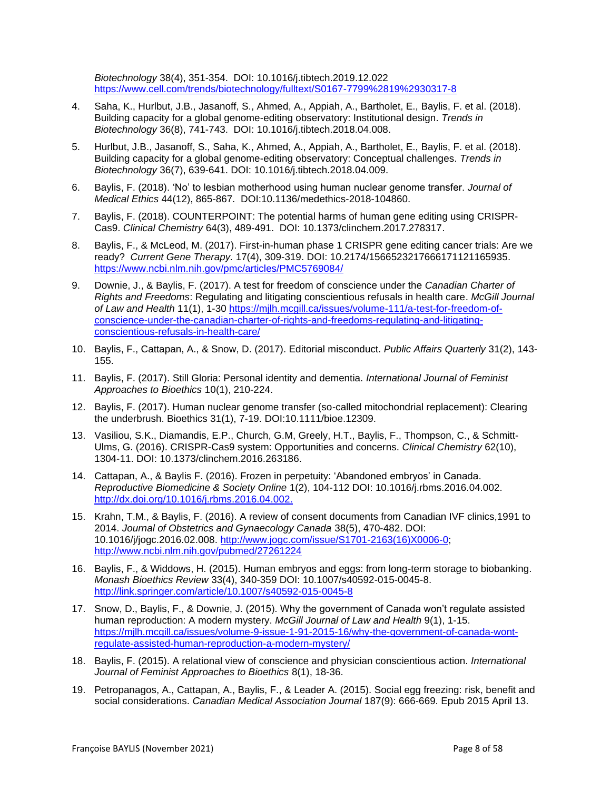*Biotechnology* 38(4), 351-354. DOI: 10.1016/j.tibtech.2019.12.022 <https://www.cell.com/trends/biotechnology/fulltext/S0167-7799%2819%2930317-8>

- 4. Saha, K., Hurlbut, J.B., Jasanoff, S., Ahmed, A., Appiah, A., Bartholet, E., Baylis, F. et al. (2018). Building capacity for a global genome-editing observatory: Institutional design. *Trends in Biotechnology* 36(8), 741-743. DOI: 10.1016/j.tibtech.2018.04.008.
- 5. Hurlbut, J.B., Jasanoff, S., Saha, K., Ahmed, A., Appiah, A., Bartholet, E., Baylis, F. et al. (2018). Building capacity for a global genome-editing observatory: Conceptual challenges. *Trends in Biotechnology* 36(7), 639-641. DOI: 10.1016/j.tibtech.2018.04.009.
- 6. Baylis, F. (2018). 'No' to lesbian motherhood using human nuclear genome transfer. *Journal of Medical Ethics* 44(12), 865-867. DOI:10.1136/medethics-2018-104860.
- 7. Baylis, F. (2018). COUNTERPOINT: The potential harms of human gene editing using CRISPR-Cas9. *Clinical Chemistry* 64(3), 489-491. DOI: 10.1373/clinchem.2017.278317.
- 8. Baylis, F., & McLeod, M. (2017). First-in-human phase 1 CRISPR gene editing cancer trials: Are we ready? *Current Gene Therapy.* 17(4), 309-319. DOI: [10.2174/1566523217666171121165935.](https://doi.org/10.2174/1566523217666171121165935) <https://www.ncbi.nlm.nih.gov/pmc/articles/PMC5769084/>
- 9. Downie, J., & Baylis, F. (2017). A test for freedom of conscience under the *Canadian Charter of Rights and Freedoms*: Regulating and litigating conscientious refusals in health care. *McGill Journal of Law and Health* 11(1), 1-30 [https://mjlh.mcgill.ca/issues/volume-111/a-test-for-freedom-of](https://mjlh.mcgill.ca/issues/volume-111/a-test-for-freedom-of-conscience-under-the-canadian-charter-of-rights-and-freedoms-regulating-and-litigating-conscientious-refusals-in-health-care/)[conscience-under-the-canadian-charter-of-rights-and-freedoms-regulating-and-litigating](https://mjlh.mcgill.ca/issues/volume-111/a-test-for-freedom-of-conscience-under-the-canadian-charter-of-rights-and-freedoms-regulating-and-litigating-conscientious-refusals-in-health-care/)[conscientious-refusals-in-health-care/](https://mjlh.mcgill.ca/issues/volume-111/a-test-for-freedom-of-conscience-under-the-canadian-charter-of-rights-and-freedoms-regulating-and-litigating-conscientious-refusals-in-health-care/)
- 10. Baylis, F., Cattapan, A., & Snow, D. (2017). Editorial misconduct. *Public Affairs Quarterly* 31(2), 143- 155.
- 11. Baylis, F. (2017). Still Gloria: Personal identity and dementia. *International Journal of Feminist Approaches to Bioethics* 10(1), 210-224.
- 12. Baylis, F. (2017). Human nuclear genome transfer (so-called mitochondrial replacement): Clearing the underbrush. Bioethics 31(1), 7-19. DOI:10.1111/bioe.12309.
- 13. Vasiliou, S.K., Diamandis, E.P., Church, G.M, Greely, H.T., Baylis, F., Thompson, C., & Schmitt-Ulms, G. (2016). CRISPR-Cas9 system: Opportunities and concerns. *Clinical Chemistry* 62(10), 1304-11. DOI: 10.1373/clinchem.2016.263186.
- 14. Cattapan, A., & Baylis F. (2016). Frozen in perpetuity: 'Abandoned embryos' in Canada. *Reproductive Biomedicine & Society Online* 1(2), 104-112 DOI: 10.1016/j.rbms.2016.04.002. [http://dx.doi.org/10.1016/j.rbms.2016.04.002.](http://dx.doi.org/10.1016/j.rbms.2016.04.002)
- 15. Krahn, T.M., & Baylis, F. (2016). A review of consent documents from Canadian IVF clinics,1991 to 2014. *Journal of Obstetrics and Gynaecology Canada* 38(5), 470-482. DOI: 10.1016/j/jogc.2016.02.008. [http://www.jogc.com/issue/S1701-2163\(16\)X0006-0;](http://www.jogc.com/issue/S1701-2163(16)X0006-0) <http://www.ncbi.nlm.nih.gov/pubmed/27261224>
- 16. Baylis, F., & Widdows, H. (2015). Human embryos and eggs: from long-term storage to biobanking. *Monash Bioethics Review* 33(4), 340-359 DOI: 10.1007/s40592-015-0045-8. <http://link.springer.com/article/10.1007/s40592-015-0045-8>
- 17. Snow, D., Baylis, F., & Downie, J. (2015). Why the government of Canada won't regulate assisted human reproduction: A modern mystery. *McGill Journal of Law and Health* 9(1), 1-15. [https://mjlh.mcgill.ca/issues/volume-9-issue-1-91-2015-16/why-the-government-of-canada-wont](https://mjlh.mcgill.ca/issues/volume-9-issue-1-91-2015-16/why-the-government-of-canada-wont-regulate-assisted-human-reproduction-a-modern-mystery/)[regulate-assisted-human-reproduction-a-modern-mystery/](https://mjlh.mcgill.ca/issues/volume-9-issue-1-91-2015-16/why-the-government-of-canada-wont-regulate-assisted-human-reproduction-a-modern-mystery/)
- 18. Baylis, F. (2015). A relational view of conscience and physician conscientious action. *International Journal of Feminist Approaches to Bioethics* 8(1), 18-36.
- 19. Petropanagos, A., Cattapan, A., Baylis, F., & Leader A. (2015). Social egg freezing: risk, benefit and social considerations. *Canadian Medical Association Journal* 187(9): 666-669. Epub 2015 April 13.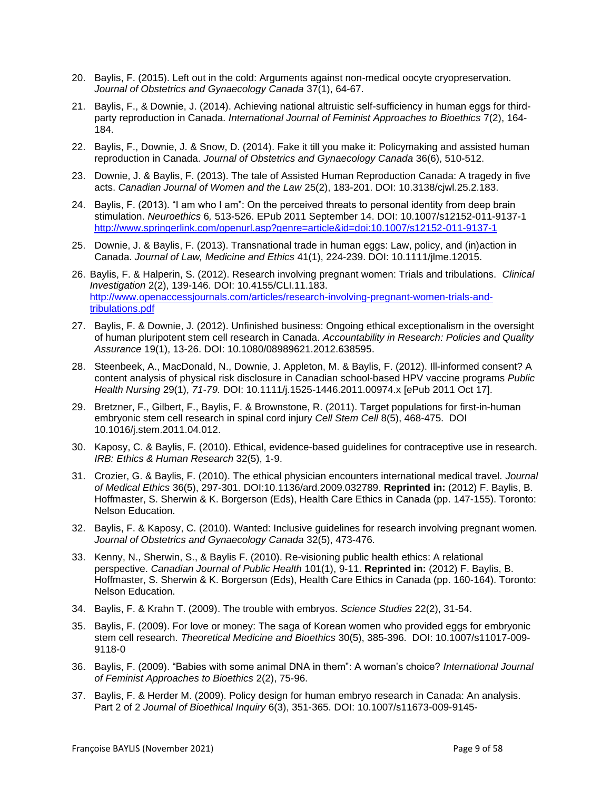- 20. Baylis, F. (2015). Left out in the cold: Arguments against non-medical oocyte cryopreservation. *Journal of Obstetrics and Gynaecology Canada* 37(1), 64-67.
- 21. Baylis, F., & Downie, J. (2014). Achieving national altruistic self-sufficiency in human eggs for thirdparty reproduction in Canada. *International Journal of Feminist Approaches to Bioethics* 7(2), 164- 184.
- 22. Baylis, F., Downie, J. & Snow, D. (2014). Fake it till you make it: Policymaking and assisted human reproduction in Canada. *Journal of Obstetrics and Gynaecology Canada* 36(6), 510-512.
- 23. Downie, J. & Baylis, F. (2013). The tale of Assisted Human Reproduction Canada: A tragedy in five acts. *Canadian Journal of Women and the Law* 25(2), 183-201. DOI: 10.3138/cjwl.25.2.183.
- 24. Baylis, F. (2013). "I am who I am": On the perceived threats to personal identity from deep brain stimulation. *Neuroethics* 6*,* 513-526. EPub 2011 September 14. DOI: 10.1007/s12152-011-9137-1 [http://www.springerlink.com/openurl.asp?genre=article&id=doi:10.1007/s12152-011-9137-1](http://www.springer.com/alert/urltracking.do?id=L407f797Md899ddSaa6c9c1)
- 25. Downie, J. & Baylis, F. (2013). Transnational trade in human eggs: Law, policy, and (in)action in Canada. *Journal of Law, Medicine and Ethics* 41(1), 224-239. DOI: 10.1111/jlme.12015.
- 26. Baylis, F. & Halperin, S. (2012). Research involving pregnant women: Trials and tribulations. *Clinical Investigation* 2(2), 139-146. DOI: 10.4155/CLI.11.183. [http://www.openaccessjournals.com/articles/research-involving-pregnant-women-trials-and](http://www.openaccessjournals.com/articles/research-involving-pregnant-women-trials-and-tribulations.pdf)[tribulations.pdf](http://www.openaccessjournals.com/articles/research-involving-pregnant-women-trials-and-tribulations.pdf)
- 27. Baylis, F. & Downie, J. (2012). Unfinished business: Ongoing ethical exceptionalism in the oversight of human pluripotent stem cell research in Canada. *Accountability in Research: Policies and Quality Assurance* 19(1), 13-26. DOI: 10.1080/08989621.2012.638595.
- 28. Steenbeek, A., MacDonald, N., Downie, J. Appleton, M. & Baylis, F. (2012). Ill-informed consent? A content analysis of physical risk disclosure in Canadian school-based HPV vaccine programs *Public Health Nursing* 29(1), *71-79.* DOI: 10.1111/j.1525-1446.2011.00974.x [ePub 2011 Oct 17].
- 29. Bretzner, F., Gilbert, F., Baylis, F. & Brownstone, R. (2011). Target populations for first-in-human embryonic stem cell research in spinal cord injury *Cell Stem Cell* 8(5), 468-475. DOI 10.1016/j.stem.2011.04.012.
- 30. Kaposy, C. & Baylis, F. (2010). Ethical, evidence-based guidelines for contraceptive use in research. *IRB: Ethics & Human Research* 32(5), 1-9.
- 31. Crozier, G. & Baylis, F. (2010). The ethical physician encounters international medical travel. *Journal of Medical Ethics* 36(5), 297-301. DOI:10.1136/ard.2009.032789. **Reprinted in:** (2012) F. Baylis, B. Hoffmaster, S. Sherwin & K. Borgerson (Eds), Health Care Ethics in Canada (pp. 147-155). Toronto: Nelson Education.
- 32. Baylis, F. & Kaposy, C. (2010). Wanted: Inclusive guidelines for research involving pregnant women. *Journal of Obstetrics and Gynaecology Canada* 32(5), 473-476.
- 33. Kenny, N., Sherwin, S., & Baylis F. (2010). Re-visioning public health ethics: A relational perspective. *Canadian Journal of Public Health* 101(1), 9-11. **Reprinted in:** (2012) F. Baylis, B. Hoffmaster, S. Sherwin & K. Borgerson (Eds), Health Care Ethics in Canada (pp. 160-164). Toronto: Nelson Education.
- 34. Baylis, F. & Krahn T. (2009). The trouble with embryos. *Science Studies* 22(2), 31-54.
- 35. Baylis, F. (2009). For love or money: The saga of Korean women who provided eggs for embryonic stem cell research. *Theoretical Medicine and Bioethics* 30(5), 385-396. DOI: 10.1007/s11017-009- 9118-0
- 36. Baylis, F. (2009). "Babies with some animal DNA in them": A woman's choice? *International Journal of Feminist Approaches to Bioethics* 2(2), 75-96.
- 37. Baylis, F. & Herder M. (2009). Policy design for human embryo research in Canada: An analysis. Part 2 of 2 *Journal of Bioethical Inquiry* 6(3), 351-365. DOI: 10.1007/s11673-009-9145-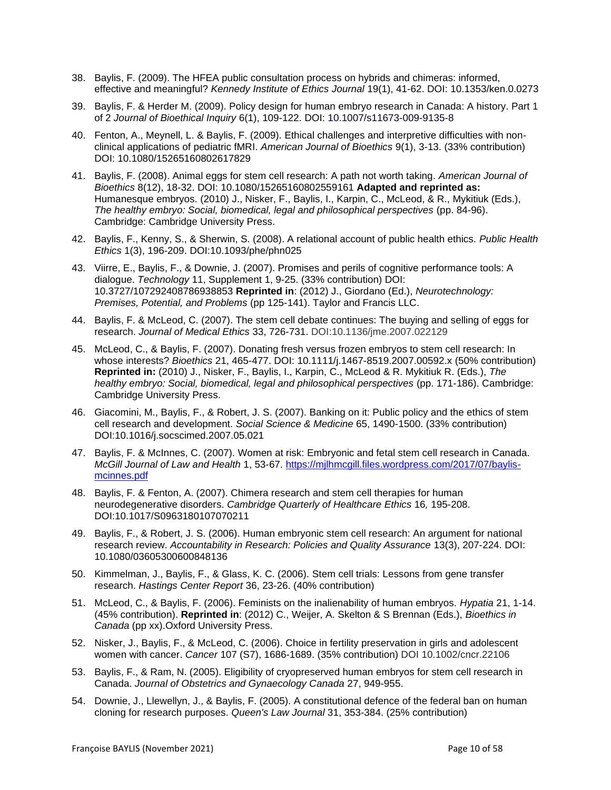- 38. Baylis, F. (2009). The HFEA public consultation process on hybrids and chimeras: informed, effective and meaningful? *Kennedy Institute of Ethics Journal* 19(1), 41-62. DOI: 10.1353/ken.0.0273
- 39. Baylis, F. & Herder M. (2009). Policy design for human embryo research in Canada: A history. Part 1 of 2 *Journal of Bioethical Inquiry* 6(1), 109-122. DOI: 10.1007/s11673-009-9135-8
- 40. Fenton, A., Meynell, L. & Baylis, F. (2009). Ethical challenges and interpretive difficulties with nonclinical applications of pediatric fMRI. *American Journal of Bioethics* 9(1), 3-13. (33% contribution) DOI: 10.1080/15265160802617829
- 41. Baylis, F. (2008). Animal eggs for stem cell research: A path not worth taking. *American Journal of Bioethics* 8(12), 18-32. DOI: 10.1080/15265160802559161 **Adapted and reprinted as:** Humanesque embryos. (2010) J., Nisker, F., Baylis, I., Karpin, C., McLeod, & R., Mykitiuk (Eds.), *The healthy embryo: Social, biomedical, legal and philosophical perspectives* (pp. 84-96). Cambridge: Cambridge University Press.
- 42. Baylis, F., Kenny, S., & Sherwin, S. (2008). A relational account of public health ethics. *Public Health Ethics* 1(3), 196-209. DOI:10.1093/phe/phn025
- 43. Viirre, E., Baylis, F., & Downie, J. (2007). Promises and perils of cognitive performance tools: A dialogue. *Technology* 11, Supplement 1, 9-25. (33% contribution) DOI: 10.3727/107292408786938853 **Reprinted in**: (2012) J., Giordano (Ed.), *Neurotechnology: Premises, Potential, and Problems* (pp 125-141). Taylor and Francis LLC.
- 44. Baylis, F. & McLeod, C. (2007). The stem cell debate continues: The buying and selling of eggs for research. *Journal of Medical Ethics* 33, 726-731. DOI:10.1136/jme.2007.022129
- 45. McLeod, C., & Baylis, F. (2007). Donating fresh versus frozen embryos to stem cell research: In whose interests? *Bioethics* 21, 465-477. DOI: 10.1111/j.1467-8519.2007.00592.x (50% contribution) **Reprinted in:** (2010) J., Nisker, F., Baylis, I., Karpin, C., McLeod & R. Mykitiuk R. (Eds.), *The healthy embryo: Social, biomedical, legal and philosophical perspectives* (pp. 171-186). Cambridge: Cambridge University Press.
- 46. Giacomini, M., Baylis, F., & Robert, J. S. (2007). Banking on it: Public policy and the ethics of stem cell research and development. *Social Science & Medicine* 65, 1490-1500. (33% contribution) DOI:10.1016/j.socscimed.2007.05.021
- 47. Baylis, F. & McInnes, C. (2007). Women at risk: Embryonic and fetal stem cell research in Canada. *McGill Journal of Law and Health* 1, 53-67. [https://mjlhmcgill.files.wordpress.com/2017/07/baylis](https://mjlhmcgill.files.wordpress.com/2017/07/baylis-mcinnes.pdf)[mcinnes.pdf](https://mjlhmcgill.files.wordpress.com/2017/07/baylis-mcinnes.pdf)
- 48. Baylis, F. & Fenton, A. (2007). Chimera research and stem cell therapies for human neurodegenerative disorders. *Cambridge Quarterly of Healthcare Ethics* 16*,* 195-208. DOI:10.1017/S0963180107070211
- 49. Baylis, F., & Robert, J. S. (2006). Human embryonic stem cell research: An argument for national research review. *Accountability in Research: Policies and Quality Assurance* 13(3), 207-224. DOI: 10.1080/03605300600848136
- 50. Kimmelman, J., Baylis, F., & Glass, K. C. (2006). Stem cell trials: Lessons from gene transfer research. *Hastings Center Report* 36, 23-26. (40% contribution)
- 51. McLeod, C., & Baylis, F. (2006). Feminists on the inalienability of human embryos. *Hypatia* 21, 1-14. (45% contribution). **Reprinted in**: (2012) C., Weijer, A. Skelton & S Brennan (Eds.), *Bioethics in Canada* (pp xx).Oxford University Press.
- 52. Nisker, J., Baylis, F., & McLeod, C. (2006). Choice in fertility preservation in girls and adolescent women with cancer. *Cancer* 107 (S7), 1686-1689. (35% contribution) DOI 10.1002/cncr.22106
- 53. Baylis, F., & Ram, N. (2005). Eligibility of cryopreserved human embryos for stem cell research in Canada. *Journal of Obstetrics and Gynaecology Canada* 27, 949-955.
- 54. Downie, J., Llewellyn, J., & Baylis, F. (2005). A constitutional defence of the federal ban on human cloning for research purposes. *Queen's Law Journal* 31, 353-384. (25% contribution)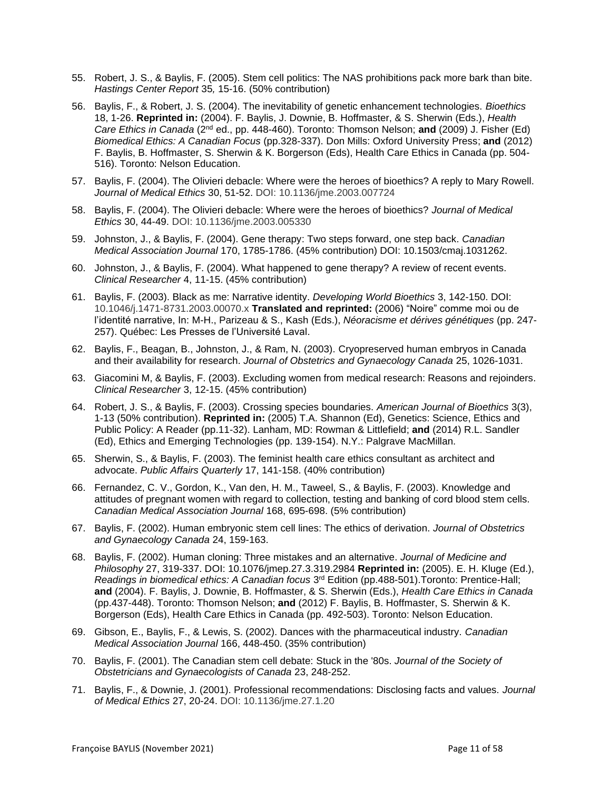- 55. Robert, J. S., & Baylis, F. (2005). Stem cell politics: The NAS prohibitions pack more bark than bite. *Hastings Center Report* 35*,* 15-16. (50% contribution)
- 56. Baylis, F., & Robert, J. S. (2004). The inevitability of genetic enhancement technologies. *Bioethics*  18, 1-26. **Reprinted in:** (2004). F. Baylis, J. Downie, B. Hoffmaster, & S. Sherwin (Eds.), *Health Care Ethics in Canada* (2nd ed., pp. 448-460). Toronto: Thomson Nelson; **and** (2009) J. Fisher (Ed) *Biomedical Ethics: A Canadian Focus* (pp.328-337). Don Mills: Oxford University Press; **and** (2012) F. Baylis, B. Hoffmaster, S. Sherwin & K. Borgerson (Eds), Health Care Ethics in Canada (pp. 504- 516). Toronto: Nelson Education.
- 57. Baylis, F. (2004). The Olivieri debacle: Where were the heroes of bioethics? A reply to Mary Rowell. *Journal of Medical Ethics* 30, 51-52. DOI: 10.1136/jme.2003.007724
- 58. Baylis, F. (2004). The Olivieri debacle: Where were the heroes of bioethics? *Journal of Medical Ethics* 30, 44-49. DOI: 10.1136/jme.2003.005330
- 59. Johnston, J., & Baylis, F. (2004). Gene therapy: Two steps forward, one step back. *Canadian Medical Association Journal* 170, 1785-1786. (45% contribution) DOI: 10.1503/cmaj.1031262.
- 60. Johnston, J., & Baylis, F. (2004). What happened to gene therapy? A review of recent events. *Clinical Researcher* 4, 11-15. (45% contribution)
- 61. Baylis, F. (2003). Black as me: Narrative identity. *Developing World Bioethics* 3, 142-150. DOI: 10.1046/j.1471-8731.2003.00070.x **Translated and reprinted:** (2006) "Noire" comme moi ou de l'identité narrative, In: M-H., Parizeau & S., Kash (Eds.), *Néoracisme et dérives génétiques* (pp. 247- 257). Québec: Les Presses de l'Université Laval.
- 62. Baylis, F., Beagan, B., Johnston, J., & Ram, N. (2003). Cryopreserved human embryos in Canada and their availability for research. *Journal of Obstetrics and Gynaecology Canada* 25, 1026-1031.
- 63. Giacomini M, & Baylis, F. (2003). Excluding women from medical research: Reasons and rejoinders. *Clinical Researcher* 3, 12-15. (45% contribution)
- 64. Robert, J. S., & Baylis, F. (2003). Crossing species boundaries. *American Journal of Bioethics* 3(3), 1-13 (50% contribution). **Reprinted in:** (2005) T.A. Shannon (Ed), Genetics: Science, Ethics and Public Policy: A Reader (pp.11-32). Lanham, MD: Rowman & Littlefield; **and** (2014) R.L. Sandler (Ed), Ethics and Emerging Technologies (pp. 139-154). N.Y.: Palgrave MacMillan.
- 65. Sherwin, S., & Baylis, F. (2003). The feminist health care ethics consultant as architect and advocate. *Public Affairs Quarterly* 17, 141-158. (40% contribution)
- 66. Fernandez, C. V., Gordon, K., Van den, H. M., Taweel, S., & Baylis, F. (2003). Knowledge and attitudes of pregnant women with regard to collection, testing and banking of cord blood stem cells. *Canadian Medical Association Journal* 168, 695-698. (5% contribution)
- 67. Baylis, F. (2002). Human embryonic stem cell lines: The ethics of derivation. *Journal of Obstetrics and Gynaecology Canada* 24, 159-163.
- 68. Baylis, F. (2002). Human cloning: Three mistakes and an alternative. *Journal of Medicine and Philosophy* 27, 319-337. DOI: 10.1076/jmep.27.3.319.2984 **Reprinted in:** (2005). E. H. Kluge (Ed.), Readings in biomedical ethics: A Canadian focus 3<sup>rd</sup> Edition (pp.488-501).Toronto: Prentice-Hall; **and** (2004). F. Baylis, J. Downie, B. Hoffmaster, & S. Sherwin (Eds.), *Health Care Ethics in Canada* (pp.437-448). Toronto: Thomson Nelson; **and** (2012) F. Baylis, B. Hoffmaster, S. Sherwin & K. Borgerson (Eds), Health Care Ethics in Canada (pp. 492-503). Toronto: Nelson Education.
- 69. Gibson, E., Baylis, F., & Lewis, S. (2002). Dances with the pharmaceutical industry. *Canadian Medical Association Journal* 166, 448-450. (35% contribution)
- 70. Baylis, F. (2001). The Canadian stem cell debate: Stuck in the '80s. *Journal of the Society of Obstetricians and Gynaecologists of Canada* 23, 248-252.
- 71. Baylis, F., & Downie, J. (2001). Professional recommendations: Disclosing facts and values. *Journal of Medical Ethics* 27, 20-24. DOI: 10.1136/jme.27.1.20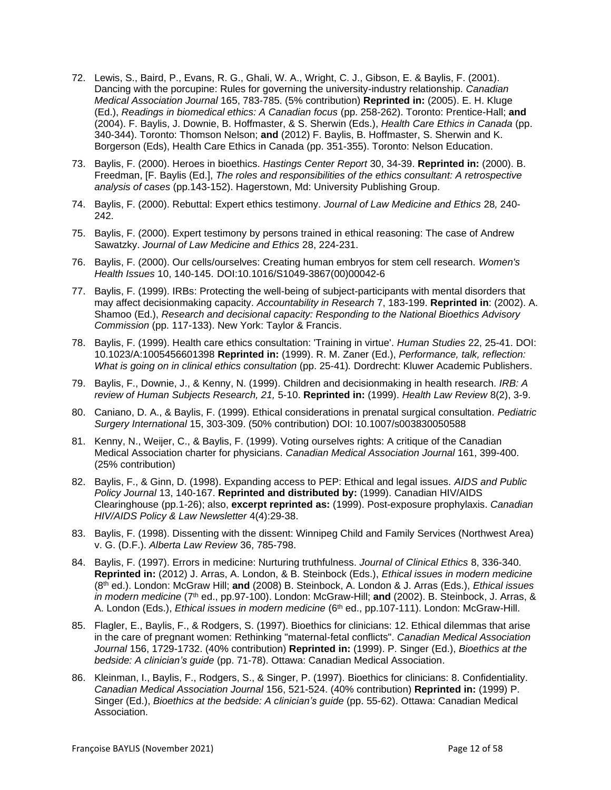- 72. Lewis, S., Baird, P., Evans, R. G., Ghali, W. A., Wright, C. J., Gibson, E. & Baylis, F. (2001). Dancing with the porcupine: Rules for governing the university-industry relationship. *Canadian Medical Association Journal* 165, 783-785. (5% contribution) **Reprinted in:** (2005). E. H. Kluge (Ed.), *Readings in biomedical ethics: A Canadian focus* (pp. 258-262). Toronto: Prentice-Hall; **and** (2004). F. Baylis, J. Downie, B. Hoffmaster, & S. Sherwin (Eds.), *Health Care Ethics in Canada* (pp. 340-344). Toronto: Thomson Nelson; **and** (2012) F. Baylis, B. Hoffmaster, S. Sherwin and K. Borgerson (Eds), Health Care Ethics in Canada (pp. 351-355). Toronto: Nelson Education.
- 73. Baylis, F. (2000). Heroes in bioethics. *Hastings Center Report* 30, 34-39. **Reprinted in:** (2000). B. Freedman, [F. Baylis (Ed.], *The roles and responsibilities of the ethics consultant: A retrospective analysis of cases* (pp.143-152). Hagerstown, Md: University Publishing Group.
- 74. Baylis, F. (2000). Rebuttal: Expert ethics testimony. *Journal of Law Medicine and Ethics* 28*,* 240- 242.
- 75. Baylis, F. (2000). Expert testimony by persons trained in ethical reasoning: The case of Andrew Sawatzky. *Journal of Law Medicine and Ethics* 28, 224-231.
- 76. Baylis, F. (2000). Our cells/ourselves: Creating human embryos for stem cell research. *Women's Health Issues* 10, 140-145. DOI:10.1016/S1049-3867(00)00042-6
- 77. Baylis, F. (1999). IRBs: Protecting the well-being of subject-participants with mental disorders that may affect decisionmaking capacity. *Accountability in Research* 7, 183-199. **Reprinted in**: (2002). A. Shamoo (Ed.), *Research and decisional capacity: Responding to the National Bioethics Advisory Commission* (pp. 117-133). New York: Taylor & Francis.
- 78. Baylis, F. (1999). Health care ethics consultation: 'Training in virtue'. *Human Studies* 22, 25-41. DOI: 10.1023/A:1005456601398 **Reprinted in:** (1999). R. M. Zaner (Ed.), *Performance, talk, reflection: What is going on in clinical ethics consultation* (pp. 25-41)*.* Dordrecht: Kluwer Academic Publishers.
- 79. Baylis, F., Downie, J., & Kenny, N. (1999). Children and decisionmaking in health research. *IRB: A review of Human Subjects Research, 21,* 5-10. **Reprinted in:** (1999). *Health Law Review* 8(2), 3-9.
- 80. Caniano, D. A., & Baylis, F. (1999). Ethical considerations in prenatal surgical consultation. *Pediatric Surgery International* 15, 303-309. (50% contribution) DOI: 10.1007/s003830050588
- 81. Kenny, N., Weijer, C., & Baylis, F. (1999). Voting ourselves rights: A critique of the Canadian Medical Association charter for physicians. *Canadian Medical Association Journal* 161, 399-400. (25% contribution)
- 82. Baylis, F., & Ginn, D. (1998). Expanding access to PEP: Ethical and legal issues. *AIDS and Public Policy Journal* 13, 140-167. **Reprinted and distributed by:** (1999). Canadian HIV/AIDS Clearinghouse (pp.1-26); also, **excerpt reprinted as:** (1999). Post-exposure prophylaxis. *Canadian HIV/AIDS Policy & Law Newsletter* 4(4):29-38.
- 83. Baylis, F. (1998). Dissenting with the dissent: Winnipeg Child and Family Services (Northwest Area) v. G. (D.F.). *Alberta Law Review* 36, 785-798.
- 84. Baylis, F. (1997). Errors in medicine: Nurturing truthfulness. *Journal of Clinical Ethics* 8, 336-340. **Reprinted in:** (2012) J. Arras, A. London, & B. Steinbock (Eds.), *Ethical issues in modern medicine* (8th ed.). London: McGraw Hill; **and** (2008) B. Steinbock, A. London & J. Arras (Eds.), *Ethical issues*  in modern medicine (7<sup>th</sup> ed., pp.97-100). London: McGraw-Hill; **and** (2002). B. Steinbock, J. Arras, & A. London (Eds.), *Ethical issues in modern medicine* (6<sup>th</sup> ed., pp.107-111). London: McGraw-Hill.
- 85. Flagler, E., Baylis, F., & Rodgers, S. (1997). Bioethics for clinicians: 12. Ethical dilemmas that arise in the care of pregnant women: Rethinking "maternal-fetal conflicts". *Canadian Medical Association Journal* 156, 1729-1732. (40% contribution) **Reprinted in:** (1999). P. Singer (Ed.), *Bioethics at the bedside: A clinician's guide* (pp. 71-78). Ottawa: Canadian Medical Association.
- 86. Kleinman, I., Baylis, F., Rodgers, S., & Singer, P. (1997). Bioethics for clinicians: 8. Confidentiality. *Canadian Medical Association Journal* 156, 521-524. (40% contribution) **Reprinted in:** (1999) P. Singer (Ed.), *Bioethics at the bedside: A clinician's guide* (pp. 55-62). Ottawa: Canadian Medical Association.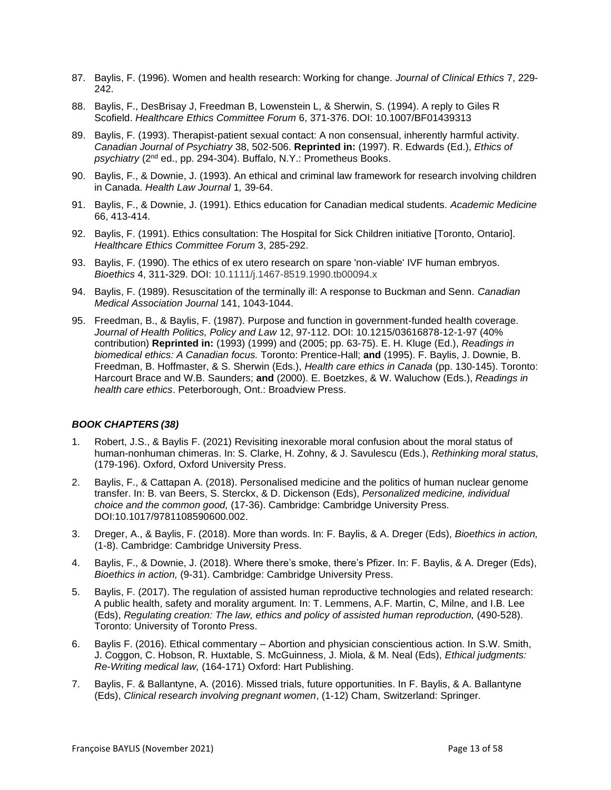- 87. Baylis, F. (1996). Women and health research: Working for change. *Journal of Clinical Ethics* 7, 229- 242.
- 88. Baylis, F., DesBrisay J, Freedman B, Lowenstein L, & Sherwin, S. (1994). A reply to Giles R Scofield. *Healthcare Ethics Committee Forum* 6, 371-376. DOI: 10.1007/BF01439313
- 89. Baylis, F. (1993). Therapist-patient sexual contact: A non consensual, inherently harmful activity. *Canadian Journal of Psychiatry* 38, 502-506. **Reprinted in:** (1997). R. Edwards (Ed.), *Ethics of*  psychiatry (2<sup>nd</sup> ed., pp. 294-304). Buffalo, N.Y.: Prometheus Books.
- 90. Baylis, F., & Downie, J. (1993). An ethical and criminal law framework for research involving children in Canada. *Health Law Journal* 1*,* 39-64.
- 91. Baylis, F., & Downie, J. (1991). Ethics education for Canadian medical students. *Academic Medicine*  66, 413-414.
- 92. Baylis, F. (1991). Ethics consultation: The Hospital for Sick Children initiative [Toronto, Ontario]. *Healthcare Ethics Committee Forum* 3, 285-292.
- 93. Baylis, F. (1990). The ethics of ex utero research on spare 'non-viable' IVF human embryos. *Bioethics* 4, 311-329. DOI: 10.1111/j.1467-8519.1990.tb00094.x
- 94. Baylis, F. (1989). Resuscitation of the terminally ill: A response to Buckman and Senn. *Canadian Medical Association Journal* 141, 1043-1044.
- 95. Freedman, B., & Baylis, F. (1987). Purpose and function in government-funded health coverage. *Journal of Health Politics, Policy and Law* 12, 97-112. DOI: 10.1215/03616878-12-1-97 (40% contribution) **Reprinted in:** (1993) (1999) and (2005; pp. 63-75). E. H. Kluge (Ed.), *Readings in biomedical ethics: A Canadian focus.* Toronto: Prentice-Hall; **and** (1995). F. Baylis, J. Downie, B. Freedman, B. Hoffmaster, & S. Sherwin (Eds.), *Health care ethics in Canada* (pp. 130-145). Toronto: Harcourt Brace and W.B. Saunders; **and** (2000). E. Boetzkes, & W. Waluchow (Eds.), *Readings in health care ethics*. Peterborough, Ont.: Broadview Press.

### *BOOK CHAPTERS (38)*

- 1. Robert, J.S., & Baylis F. (2021) Revisiting inexorable moral confusion about the moral status of human-nonhuman chimeras. In: S. Clarke, H. Zohny, & J. Savulescu (Eds.), *Rethinking moral status,*  (179-196). Oxford, Oxford University Press.
- 2. Baylis, F., & Cattapan A. (2018). Personalised medicine and the politics of human nuclear genome transfer. In: B. van Beers, S. Sterckx, & D. Dickenson (Eds), *Personalized medicine, individual choice and the common good,* (17-36). Cambridge: Cambridge University Press. DOI:10.1017/9781108590600.002.
- 3. Dreger, A., & Baylis, F. (2018). More than words. In: F. Baylis, & A. Dreger (Eds), *Bioethics in action,*  (1-8). Cambridge: Cambridge University Press.
- 4. Baylis, F., & Downie, J. (2018). Where there's smoke, there's Pfizer. In: F. Baylis, & A. Dreger (Eds), *Bioethics in action,* (9-31). Cambridge: Cambridge University Press.
- 5. Baylis, F. (2017). The regulation of assisted human reproductive technologies and related research: A public health, safety and morality argument. In: T. Lemmens, A.F. Martin, C, Milne, and I.B. Lee (Eds), *Regulating creation: The law, ethics and policy of assisted human reproduction, (490-528).* Toronto: University of Toronto Press.
- 6. Baylis F. (2016). Ethical commentary Abortion and physician conscientious action. In S.W. Smith, J. Coggon, C. Hobson, R. Huxtable, S. McGuinness, J. Miola, & M. Neal (Eds), *Ethical judgments: Re-Writing medical law,* (164-171) Oxford: Hart Publishing.
- 7. Baylis, F. & Ballantyne, A. (2016). Missed trials, future opportunities. In F. Baylis, & A. Ballantyne (Eds), *Clinical research involving pregnant women*, (1-12) Cham, Switzerland: Springer.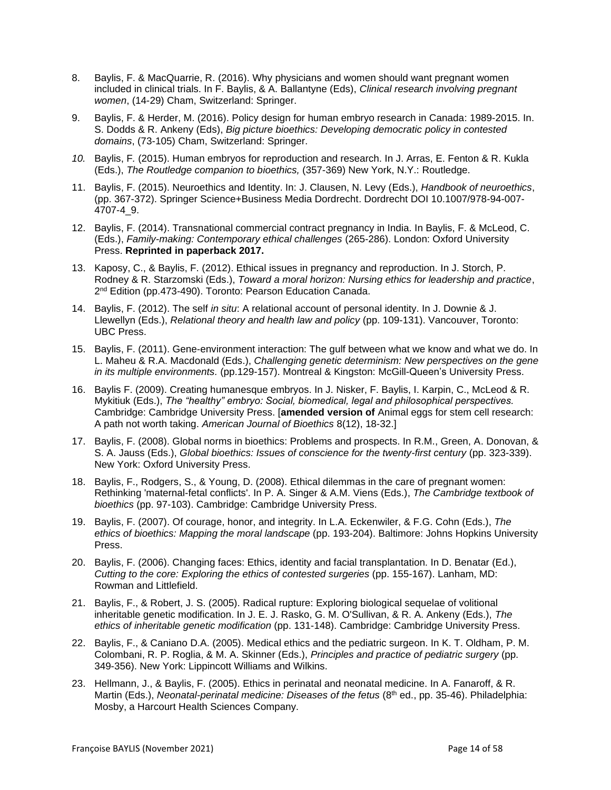- 8. Baylis, F. & MacQuarrie, R. (2016). Why physicians and women should want pregnant women included in clinical trials. In F. Baylis, & A. Ballantyne (Eds), *Clinical research involving pregnant women*, (14-29) Cham, Switzerland: Springer.
- 9. Baylis, F. & Herder, M. (2016). Policy design for human embryo research in Canada: 1989-2015. In. S. Dodds & R. Ankeny (Eds), *Big picture bioethics: Developing democratic policy in contested domains*, (73-105) Cham, Switzerland: Springer.
- *10.* Baylis, F*.* (2015). Human embryos for reproduction and research. In J. Arras, E. Fenton & R. Kukla (Eds.), *The Routledge companion to bioethics,* (357-369) New York, N.Y.: Routledge.
- 11. Baylis, F. (2015). Neuroethics and Identity. In: J. Clausen, N. Levy (Eds.), *Handbook of neuroethics*, (pp. 367-372). Springer Science+Business Media Dordrecht. Dordrecht DOI 10.1007/978-94-007- 4707-4\_9.
- 12. Baylis, F. (2014). Transnational commercial contract pregnancy in India. In Baylis, F. & McLeod, C. (Eds.), *Family-making: Contemporary ethical challenges* (265-286). London: Oxford University Press. **Reprinted in paperback 2017.**
- 13. Kaposy, C., & Baylis, F. (2012). Ethical issues in pregnancy and reproduction. In J. Storch, P. Rodney & R. Starzomski (Eds.), *Toward a moral horizon: Nursing ethics for leadership and practice*, 2<sup>nd</sup> Edition (pp.473-490). Toronto: Pearson Education Canada.
- 14. Baylis, F. (2012). The self *in situ*: A relational account of personal identity. In J. Downie & J. Llewellyn (Eds.), *Relational theory and health law and policy* (pp. 109-131). Vancouver, Toronto: UBC Press.
- 15. Baylis, F. (2011). Gene-environment interaction: The gulf between what we know and what we do. In L. Maheu & R.A. Macdonald (Eds.), *Challenging genetic determinism: New perspectives on the gene in its multiple environments.* (pp.129-157). Montreal & Kingston: McGill-Queen's University Press.
- 16. Baylis F. (2009). Creating humanesque embryos. In J. Nisker, F. Baylis, I. Karpin, C., McLeod & R. Mykitiuk (Eds.), *The "healthy" embryo: Social, biomedical, legal and philosophical perspectives.* Cambridge: Cambridge University Press. [**amended version of** Animal eggs for stem cell research: A path not worth taking. *American Journal of Bioethics* 8(12), 18-32.]
- 17. Baylis, F. (2008). Global norms in bioethics: Problems and prospects. In R.M., Green, A. Donovan, & S. A. Jauss (Eds.), *Global bioethics: Issues of conscience for the twenty-first century* (pp. 323-339). New York: Oxford University Press.
- 18. Baylis, F., Rodgers, S., & Young, D. (2008). Ethical dilemmas in the care of pregnant women: Rethinking 'maternal-fetal conflicts'. In P. A. Singer & A.M. Viens (Eds.), *The Cambridge textbook of bioethics* (pp. 97-103). Cambridge: Cambridge University Press.
- 19. Baylis, F. (2007). Of courage, honor, and integrity. In L.A. Eckenwiler, & F.G. Cohn (Eds.), *The ethics of bioethics: Mapping the moral landscape* (pp. 193-204). Baltimore: Johns Hopkins University Press.
- 20. Baylis, F. (2006). Changing faces: Ethics, identity and facial transplantation. In D. Benatar (Ed.), *Cutting to the core: Exploring the ethics of contested surgeries* (pp. 155-167). Lanham, MD: Rowman and Littlefield.
- 21. Baylis, F., & Robert, J. S. (2005). Radical rupture: Exploring biological sequelae of volitional inheritable genetic modification. In J. E. J. Rasko, G. M. O'Sullivan, & R. A. Ankeny (Eds.), *The ethics of inheritable genetic modification* (pp. 131-148). Cambridge: Cambridge University Press.
- 22. Baylis, F., & Caniano D.A. (2005). Medical ethics and the pediatric surgeon. In K. T. Oldham, P. M. Colombani, R. P. Roglia, & M. A. Skinner (Eds.), *Principles and practice of pediatric surgery* (pp. 349-356). New York: Lippincott Williams and Wilkins.
- 23. Hellmann, J., & Baylis, F. (2005). Ethics in perinatal and neonatal medicine. In A. Fanaroff, & R. Martin (Eds.), *Neonatal-perinatal medicine: Diseases of the fetus* (8<sup>th</sup> ed., pp. 35-46). Philadelphia: Mosby, a Harcourt Health Sciences Company.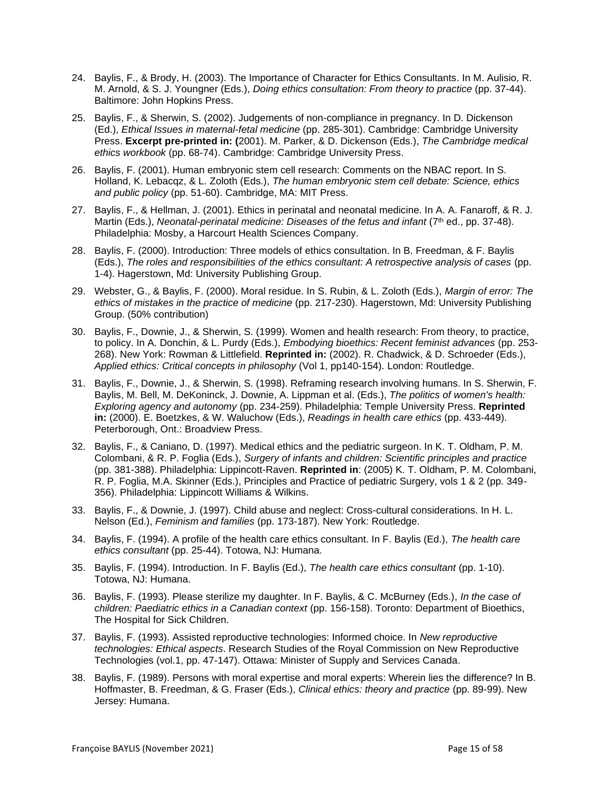- 24. Baylis, F., & Brody, H. (2003). The Importance of Character for Ethics Consultants. In M. Aulisio, R. M. Arnold, & S. J. Youngner (Eds.), *Doing ethics consultation: From theory to practice* (pp. 37-44). Baltimore: John Hopkins Press.
- 25. Baylis, F., & Sherwin, S. (2002). Judgements of non-compliance in pregnancy. In D. Dickenson (Ed.), *Ethical Issues in maternal-fetal medicine* (pp. 285-301). Cambridge: Cambridge University Press. **Excerpt pre-printed in: (**2001). M. Parker, & D. Dickenson (Eds.), *The Cambridge medical ethics workbook* (pp. 68-74). Cambridge: Cambridge University Press.
- 26. Baylis, F. (2001). Human embryonic stem cell research: Comments on the NBAC report. In S. Holland, K. Lebacqz, & L. Zoloth (Eds.), *The human embryonic stem cell debate: Science, ethics and public policy* (pp. 51-60). Cambridge, MA: MIT Press.
- 27. Baylis, F., & Hellman, J. (2001). Ethics in perinatal and neonatal medicine. In A. A. Fanaroff, & R. J. Martin (Eds.), *Neonatal-perinatal medicine: Diseases of the fetus and infant* (7<sup>th</sup> ed., pp. 37-48). Philadelphia: Mosby, a Harcourt Health Sciences Company.
- 28. Baylis, F. (2000). Introduction: Three models of ethics consultation. In B. Freedman, & F. Baylis (Eds.), *The roles and responsibilities of the ethics consultant: A retrospective analysis of cases* (pp. 1-4). Hagerstown, Md: University Publishing Group.
- 29. Webster, G., & Baylis, F. (2000). Moral residue. In S. Rubin, & L. Zoloth (Eds.), *Margin of error: The ethics of mistakes in the practice of medicine* (pp. 217-230). Hagerstown, Md: University Publishing Group. (50% contribution)
- 30. Baylis, F., Downie, J., & Sherwin, S. (1999). Women and health research: From theory, to practice, to policy. In A. Donchin, & L. Purdy (Eds.), *Embodying bioethics: Recent feminist advances* (pp. 253- 268). New York: Rowman & Littlefield. **Reprinted in:** (2002). R. Chadwick, & D. Schroeder (Eds.), *Applied ethics: Critical concepts in philosophy* (Vol 1, pp140-154). London: Routledge.
- 31. Baylis, F., Downie, J., & Sherwin, S. (1998). Reframing research involving humans. In S. Sherwin, F. Baylis, M. Bell, M. DeKoninck, J. Downie, A. Lippman et al. (Eds.), *The politics of women's health: Exploring agency and autonomy* (pp. 234-259). Philadelphia: Temple University Press. **Reprinted in:** (2000). E. Boetzkes, & W. Waluchow (Eds.), *Readings in health care ethics* (pp. 433-449). Peterborough, Ont.: Broadview Press.
- 32. Baylis, F., & Caniano, D. (1997). Medical ethics and the pediatric surgeon. In K. T. Oldham, P. M. Colombani, & R. P. Foglia (Eds.), *Surgery of infants and children: Scientific principles and practice* (pp. 381-388). Philadelphia: Lippincott-Raven. **Reprinted in**: (2005) K. T. Oldham, P. M. Colombani, R. P. Foglia, M.A. Skinner (Eds.), Principles and Practice of pediatric Surgery, vols 1 & 2 (pp. 349- 356). Philadelphia: Lippincott Williams & Wilkins.
- 33. Baylis, F., & Downie, J. (1997). Child abuse and neglect: Cross-cultural considerations. In H. L. Nelson (Ed.), *Feminism and families* (pp. 173-187). New York: Routledge.
- 34. Baylis, F. (1994). A profile of the health care ethics consultant. In F. Baylis (Ed.), *The health care ethics consultant* (pp. 25-44). Totowa, NJ: Humana.
- 35. Baylis, F. (1994). Introduction. In F. Baylis (Ed.), *The health care ethics consultant* (pp. 1-10). Totowa, NJ: Humana.
- 36. Baylis, F. (1993). Please sterilize my daughter. In F. Baylis, & C. McBurney (Eds.), *In the case of children: Paediatric ethics in a Canadian context* (pp. 156-158). Toronto: Department of Bioethics, The Hospital for Sick Children.
- 37. Baylis, F. (1993). Assisted reproductive technologies: Informed choice. In *New reproductive technologies: Ethical aspects*. Research Studies of the Royal Commission on New Reproductive Technologies (vol.1, pp. 47-147). Ottawa: Minister of Supply and Services Canada.
- 38. Baylis, F. (1989). Persons with moral expertise and moral experts: Wherein lies the difference? In B. Hoffmaster, B. Freedman, & G. Fraser (Eds.), *Clinical ethics: theory and practice* (pp. 89-99). New Jersey: Humana.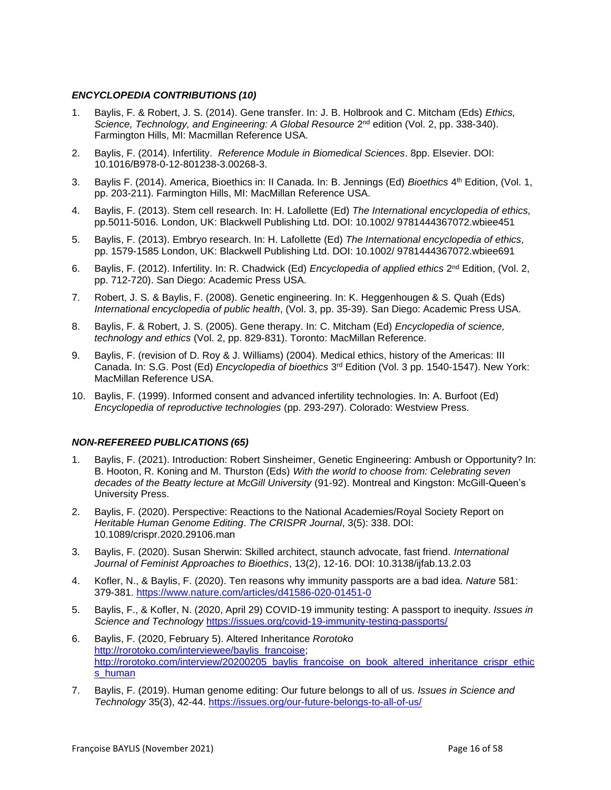# *ENCYCLOPEDIA CONTRIBUTIONS (10)*

- 1. Baylis, F. & Robert, J. S. (2014). Gene transfer. In: J. B. Holbrook and C. Mitcham (Eds) *Ethics,*  Science, Technology, and Engineering: A Global Resource 2<sup>nd</sup> edition (Vol. 2, pp. 338-340). Farmington Hills, MI: Macmillan Reference USA.
- 2. Baylis, F. (2014). Infertility. *Reference Module in Biomedical Sciences*. 8pp. Elsevier. DOI: 10.1016/B978-0-12-801238-3.00268-3.
- 3. Baylis F. (2014). America, Bioethics in: II Canada. In: B. Jennings (Ed) *Bioethics* 4 th Edition, (Vol. 1, pp. 203-211). Farmington Hills, MI: MacMillan Reference USA.
- 4. Baylis, F. (2013). Stem cell research. In: H. Lafollette (Ed) *The International encyclopedia of ethics,*  pp.5011-5016*.* London, UK: Blackwell Publishing Ltd. DOI: 10.1002/ 9781444367072.wbiee451
- 5. Baylis, F. (2013). Embryo research. In: H. Lafollette (Ed) *The International encyclopedia of ethics,*  pp. 1579-1585 London, UK: Blackwell Publishing Ltd. DOI: 10.1002/ 9781444367072.wbiee691
- 6. Baylis, F. (2012). Infertility. In: R. Chadwick (Ed) *Encyclopedia of applied ethics* 2<sup>nd</sup> Edition, (Vol. 2, pp. 712-720). San Diego: Academic Press USA.
- 7. Robert, J. S. & Baylis, F. (2008). Genetic engineering. In: K. Heggenhougen & S. Quah (Eds) *International encyclopedia of public health*, (Vol. 3, pp. 35-39). San Diego: Academic Press USA.
- 8. Baylis, F. & Robert, J. S. (2005). Gene therapy. In: C. Mitcham (Ed) *Encyclopedia of science, technology and ethics* (Vol. 2, pp. 829-831). Toronto: MacMillan Reference.
- 9. Baylis, F. (revision of D. Roy & J. Williams) (2004). Medical ethics, history of the Americas: III Canada. In: S.G. Post (Ed) *Encyclopedia of bioethics* 3<sup>rd</sup> Edition (Vol. 3 pp. 1540-1547). New York: MacMillan Reference USA.
- 10. Baylis, F. (1999). Informed consent and advanced infertility technologies. In: A. Burfoot (Ed) *Encyclopedia of reproductive technologies* (pp. 293-297). Colorado: Westview Press.

### *NON-REFEREED PUBLICATIONS (65)*

- 1. Baylis, F. (2021). Introduction: Robert Sinsheimer, Genetic Engineering: Ambush or Opportunity? In: B. Hooton, R. Koning and M. Thurston (Eds) *With the world to choose from: Celebrating seven decades of the Beatty lecture at McGill University* (91-92). Montreal and Kingston: McGill-Queen's University Press.
- 2. Baylis, F. (2020). Perspective: Reactions to the National Academies/Royal Society Report on *Heritable Human Genome Editing*. *The CRISPR Journal*, 3(5): 338. DOI: 10.1089/crispr.2020.29106.man
- 3. Baylis, F. (2020). Susan Sherwin: Skilled architect, staunch advocate, fast friend. *International Journal of Feminist Approaches to Bioethics*, 13(2), 12-16. DOI: 10.3138/ijfab.13.2.03
- 4. Kofler, N., & Baylis, F. (2020). Ten reasons why immunity passports are a bad idea. *Nature* 581: 379-381.<https://www.nature.com/articles/d41586-020-01451-0>
- 5. Baylis, F., & Kofler, N. (2020, April 29) COVID-19 immunity testing: A passport to inequity. *Issues in Science and Technology* <https://issues.org/covid-19-immunity-testing-passports/>
- 6. Baylis, F. (2020, February 5). Altered Inheritance *Rorotoko* [http://rorotoko.com/interviewee/baylis\\_francoise;](http://rorotoko.com/interviewee/baylis_francoise) [http://rorotoko.com/interview/20200205\\_baylis\\_francoise\\_on\\_book\\_altered\\_inheritance\\_crispr\\_ethic](http://rorotoko.com/interview/20200205_baylis_francoise_on_book_altered_inheritance_crispr_ethics_human) [s\\_human](http://rorotoko.com/interview/20200205_baylis_francoise_on_book_altered_inheritance_crispr_ethics_human)
- 7. Baylis, F. (2019). Human genome editing: Our future belongs to all of us. *Issues in Science and Technology* 35(3), 42-44. <https://issues.org/our-future-belongs-to-all-of-us/>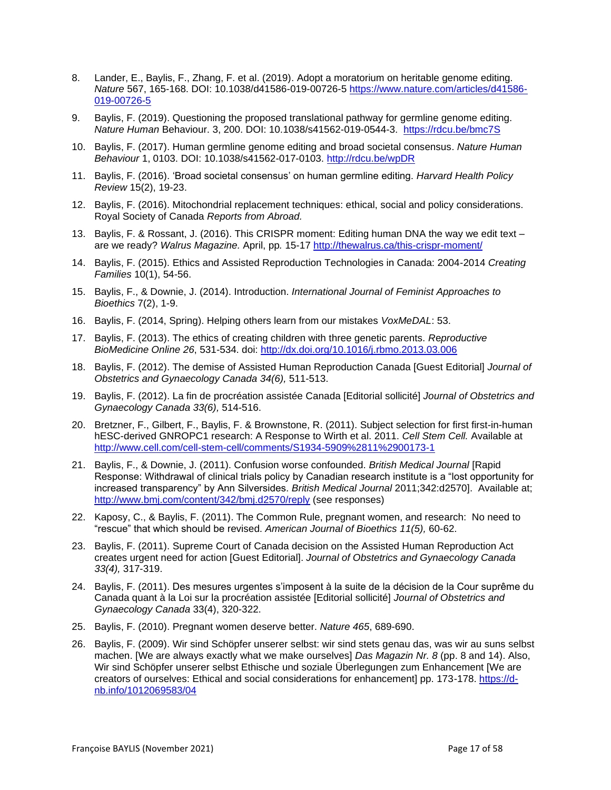- 8. Lander, E., Baylis, F., Zhang, F. et al. (2019). Adopt a moratorium on heritable genome editing. *Nature* 567, 165-168. DOI: 10.1038/d41586-019-00726-5 [https://www.nature.com/articles/d41586-](https://www.nature.com/articles/d41586-019-00726-5) [019-00726-5](https://www.nature.com/articles/d41586-019-00726-5)
- 9. Baylis, F. (2019). Questioning the proposed translational pathway for germline genome editing. *Nature Human* Behaviour. 3, 200. DOI: 10.1038/s41562-019-0544-3. <https://rdcu.be/bmc7S>
- 10. Baylis, F. (2017). Human germline genome editing and broad societal consensus. *Nature Human Behaviour* 1, 0103. DOI: 10.1038/s41562-017-0103. <http://rdcu.be/wpDR>
- 11. Baylis, F. (2016). 'Broad societal consensus' on human germline editing. *Harvard Health Policy Review* 15(2), 19-23.
- 12. Baylis, F. (2016). Mitochondrial replacement techniques: ethical, social and policy considerations. Royal Society of Canada *Reports from Abroad.*
- 13. Baylis, F. & Rossant, J. (2016). This CRISPR moment: Editing human DNA the way we edit text are we ready? *Walrus Magazine.* April, pp*.* 15-17<http://thewalrus.ca/this-crispr-moment/>
- 14. Baylis, F. (2015). Ethics and Assisted Reproduction Technologies in Canada: 2004-2014 *Creating Families* 10(1), 54-56.
- 15. Baylis, F., & Downie, J. (2014). Introduction. *International Journal of Feminist Approaches to Bioethics* 7(2), 1-9.
- 16. Baylis, F. (2014, Spring). Helping others learn from our mistakes *VoxMeDAL*: 53.
- 17. Baylis, F. (2013). The ethics of creating children with three genetic parents. *R*e*productive BioMedicine Online 26*, 531-534. doi:<http://dx.doi.org/10.1016/j.rbmo.2013.03.006>
- 18. Baylis, F. (2012). The demise of Assisted Human Reproduction Canada [Guest Editorial] *Journal of Obstetrics and Gynaecology Canada 34(6),* 511-513.
- 19. Baylis, F. (2012). La fin de procréation assistée Canada [Editorial sollicité] *Journal of Obstetrics and Gynaecology Canada 33(6),* 514-516.
- 20. Bretzner, F., Gilbert, F., Baylis, F. & Brownstone, R. (2011). Subject selection for first first-in-human hESC-derived GNROPC1 research: A Response to Wirth et al. 2011. *Cell Stem Cell.* Available at <http://www.cell.com/cell-stem-cell/comments/S1934-5909%2811%2900173-1>
- 21. Baylis, F., & Downie, J. (2011). Confusion worse confounded. *British Medical Journal* [Rapid Response: Withdrawal of clinical trials policy by Canadian research institute is a "lost opportunity for increased transparency" by Ann Silversides. *British Medical Journal* 2011;342:d2570]. Available at; <http://www.bmj.com/content/342/bmj.d2570/reply> (see responses)
- 22. Kaposy, C., & Baylis, F. (2011). The Common Rule, pregnant women, and research: No need to "rescue" that which should be revised. *American Journal of Bioethics 11(5),* 60-62.
- 23. Baylis, F. (2011). Supreme Court of Canada decision on the Assisted Human Reproduction Act creates urgent need for action [Guest Editorial]. *Journal of Obstetrics and Gynaecology Canada 33(4),* 317-319.
- 24. Baylis, F. (2011). Des mesures urgentes s'imposent à la suite de la décision de la Cour suprême du Canada quant à la Loi sur la procréation assistée [Editorial sollicité] *Journal of Obstetrics and Gynaecology Canada* 33(4), 320-322.
- 25. Baylis, F. (2010). Pregnant women deserve better. *Nature 465*, 689-690.
- 26. Baylis, F. (2009). Wir sind Schöpfer unserer selbst: wir sind stets genau das, was wir au suns selbst machen. [We are always exactly what we make ourselves] *Das Magazin Nr. 8* (pp. 8 and 14). Also, Wir sind Schöpfer unserer selbst Ethische und soziale Überlegungen zum Enhancement [We are creators of ourselves: Ethical and social considerations for enhancement] pp. 173-178. [https://d](https://d-nb.info/1012069583/04)[nb.info/1012069583/04](https://d-nb.info/1012069583/04)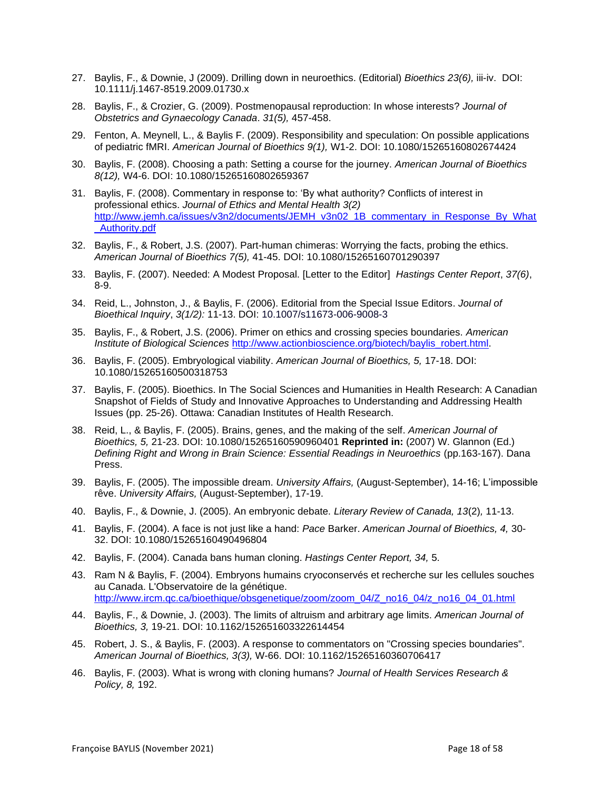- 27. Baylis, F., & Downie, J (2009). Drilling down in neuroethics. (Editorial) *Bioethics 23(6),* iii-iv. DOI: 10.1111/j.1467-8519.2009.01730.x
- 28. Baylis, F., & Crozier, G. (2009). Postmenopausal reproduction: In whose interests? *Journal of Obstetrics and Gynaecology Canada*. *31(5),* 457-458.
- 29. Fenton, A. Meynell, L., & Baylis F. (2009). Responsibility and speculation: On possible applications of pediatric fMRI. *American Journal of Bioethics 9(1),* W1-2. DOI: 10.1080/15265160802674424
- 30. Baylis, F. (2008). Choosing a path: Setting a course for the journey. *American Journal of Bioethics 8(12),* W4-6. DOI: 10.1080/15265160802659367
- 31. Baylis, F. (2008). Commentary in response to: 'By what authority? Conflicts of interest in professional ethics. *Journal of Ethics and Mental Health 3(2)* http://www.iemh.ca/issues/v3n2/documents/JEMH\_v3n02\_1B\_commentary\_in\_Response\_By\_What Authority.pdf
- 32. Baylis, F., & Robert, J.S. (2007). Part-human chimeras: Worrying the facts, probing the ethics. *American Journal of Bioethics 7(5),* 41-45. DOI: 10.1080/15265160701290397
- 33. Baylis, F. (2007). Needed: A Modest Proposal. [Letter to the Editor] *Hastings Center Report*, *37(6)*, 8-9.
- 34. Reid, L., Johnston, J., & Baylis, F. (2006). Editorial from the Special Issue Editors. *Journal of Bioethical Inquiry*, *3(1/2):* 11-13. DOI: 10.1007/s11673-006-9008-3
- 35. Baylis, F., & Robert, J.S. (2006). Primer on ethics and crossing species boundaries. *American Institute of Biological Sciences* [http://www.actionbioscience.org/biotech/baylis\\_robert.html.](http://www.actionbioscience.org/biotech/baylis_robert.html)
- 36. Baylis, F. (2005). Embryological viability. *American Journal of Bioethics, 5,* 17-18. DOI: 10.1080/15265160500318753
- 37. Baylis, F. (2005). Bioethics. In The Social Sciences and Humanities in Health Research: A Canadian Snapshot of Fields of Study and Innovative Approaches to Understanding and Addressing Health Issues (pp. 25-26). Ottawa: Canadian Institutes of Health Research.
- 38. Reid, L., & Baylis, F. (2005). Brains, genes, and the making of the self. *American Journal of Bioethics, 5,* 21-23. DOI: 10.1080/15265160590960401 **Reprinted in:** (2007) W. Glannon (Ed.) *Defining Right and Wrong in Brain Science: Essential Readings in Neuroethics* (pp.163-167). Dana Press.
- 39. Baylis, F. (2005). The impossible dream. *University Affairs,* (August-September), 14-16; L'impossible rêve. *University Affairs,* (August-September), 17-19.
- 40. Baylis, F., & Downie, J. (2005). An embryonic debate. *Literary Review of Canada, 13*(2)*,* 11-13.
- 41. Baylis, F. (2004). A face is not just like a hand: *Pace* Barker. *American Journal of Bioethics, 4,* 30- 32. DOI: 10.1080/15265160490496804
- 42. Baylis, F. (2004). Canada bans human cloning. *Hastings Center Report, 34,* 5.
- 43. Ram N & Baylis, F. (2004). Embryons humains cryoconservés et recherche sur les cellules souches au Canada. L'Observatoire de la génétique. [http://www.ircm.qc.ca/bioethique/obsgenetique/zoom/zoom\\_04/Z\\_no16\\_04/z\\_no16\\_04\\_01.html](http://www.ircm.qc.ca/bioethique/obsgenetique/zoom/zoom_04/Z_no16_04/z_no16_04_01.html)
- 44. Baylis, F., & Downie, J. (2003). The limits of altruism and arbitrary age limits. *American Journal of Bioethics, 3,* 19-21. DOI: 10.1162/152651603322614454
- 45. Robert, J. S., & Baylis, F. (2003). A response to commentators on "Crossing species boundaries". *American Journal of Bioethics, 3(3),* W-66. DOI: 10.1162/15265160360706417
- 46. Baylis, F. (2003). What is wrong with cloning humans? *Journal of Health Services Research & Policy, 8,* 192.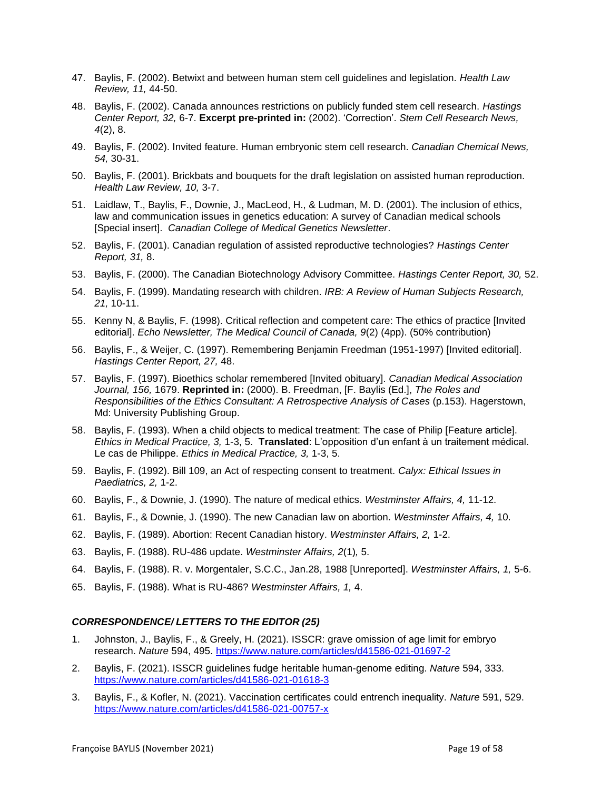- 47. Baylis, F. (2002). Betwixt and between human stem cell guidelines and legislation. *Health Law Review, 11,* 44-50.
- 48. Baylis, F. (2002). Canada announces restrictions on publicly funded stem cell research. *Hastings Center Report, 32,* 6-7. **Excerpt pre-printed in:** (2002). 'Correction'. *Stem Cell Research News, 4*(2), 8.
- 49. Baylis, F. (2002). Invited feature. Human embryonic stem cell research. *Canadian Chemical News, 54,* 30-31.
- 50. Baylis, F. (2001). Brickbats and bouquets for the draft legislation on assisted human reproduction. *Health Law Review, 10,* 3-7.
- 51. Laidlaw, T., Baylis, F., Downie, J., MacLeod, H., & Ludman, M. D. (2001). The inclusion of ethics, law and communication issues in genetics education: A survey of Canadian medical schools [Special insert]. *Canadian College of Medical Genetics Newsletter*.
- 52. Baylis, F. (2001). Canadian regulation of assisted reproductive technologies? *Hastings Center Report, 31,* 8.
- 53. Baylis, F. (2000). The Canadian Biotechnology Advisory Committee. *Hastings Center Report, 30,* 52.
- 54. Baylis, F. (1999). Mandating research with children. *IRB: A Review of Human Subjects Research, 21,* 10-11.
- 55. Kenny N, & Baylis, F. (1998). Critical reflection and competent care: The ethics of practice [Invited editorial]. *Echo Newsletter, The Medical Council of Canada, 9*(2) (4pp). (50% contribution)
- 56. Baylis, F., & Weijer, C. (1997). Remembering Benjamin Freedman (1951-1997) [Invited editorial]. *Hastings Center Report, 27,* 48.
- 57. Baylis, F. (1997). Bioethics scholar remembered [Invited obituary]. *Canadian Medical Association Journal, 156,* 1679. **Reprinted in:** (2000). B. Freedman, [F. Baylis (Ed.], *The Roles and Responsibilities of the Ethics Consultant: A Retrospective Analysis of Cases* (p.153). Hagerstown, Md: University Publishing Group.
- 58. Baylis, F. (1993). When a child objects to medical treatment: The case of Philip [Feature article]. *Ethics in Medical Practice, 3,* 1-3, 5. **Translated**: L'opposition d'un enfant à un traitement médical. Le cas de Philippe. *Ethics in Medical Practice, 3,* 1-3, 5.
- 59. Baylis, F. (1992). Bill 109, an Act of respecting consent to treatment. *Calyx: Ethical Issues in Paediatrics, 2,* 1-2.
- 60. Baylis, F., & Downie, J. (1990). The nature of medical ethics. *Westminster Affairs, 4,* 11-12.
- 61. Baylis, F., & Downie, J. (1990). The new Canadian law on abortion. *Westminster Affairs, 4,* 10.
- 62. Baylis, F. (1989). Abortion: Recent Canadian history. *Westminster Affairs, 2,* 1-2.
- 63. Baylis, F. (1988). RU-486 update. *Westminster Affairs, 2*(1)*,* 5.
- 64. Baylis, F. (1988). R. v. Morgentaler, S.C.C., Jan.28, 1988 [Unreported]. *Westminster Affairs, 1,* 5-6.
- 65. Baylis, F. (1988). What is RU-486? *Westminster Affairs, 1,* 4.

### *CORRESPONDENCE/ LETTERS TO THE EDITOR (25)*

- 1. Johnston, J., Baylis, F., & Greely, H. (2021). ISSCR: grave omission of age limit for embryo research. *Nature* 594, 495.<https://www.nature.com/articles/d41586-021-01697-2>
- 2. Baylis, F. (2021). ISSCR guidelines fudge heritable human-genome editing. *Nature* 594, 333. <https://www.nature.com/articles/d41586-021-01618-3>
- 3. Baylis, F., & Kofler, N. (2021). Vaccination certificates could entrench inequality. *Nature* 591, 529. <https://www.nature.com/articles/d41586-021-00757-x>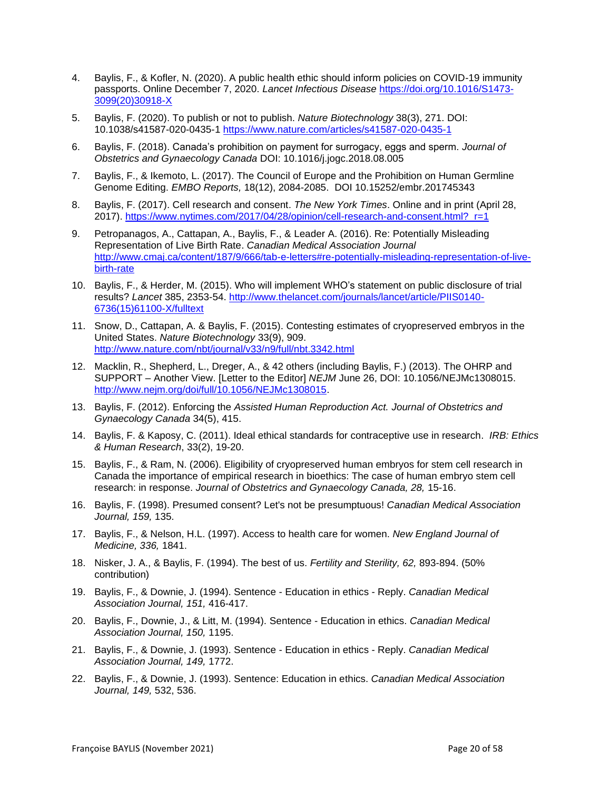- 4. Baylis, F., & Kofler, N. (2020). A public health ethic should inform policies on COVID-19 immunity passports. Online December 7, 2020. *Lancet Infectious Disease* [https://doi.org/10.1016/S1473-](https://doi.org/10.1016/S1473-3099(20)30918-X) [3099\(20\)30918-X](https://doi.org/10.1016/S1473-3099(20)30918-X)
- 5. Baylis, F. (2020). To publish or not to publish. *Nature Biotechnology* 38(3), 271. DOI: 10.1038/s41587-020-0435-1 <https://www.nature.com/articles/s41587-020-0435-1>
- 6. Baylis, F. (2018). Canada's prohibition on payment for surrogacy, eggs and sperm. *Journal of Obstetrics and Gynaecology Canada* DOI: 10.1016/j.jogc.2018.08.005
- 7. Baylis, F., & Ikemoto, L. (2017). The Council of Europe and the Prohibition on Human Germline Genome Editing. *EMBO Reports,* 18(12), 2084-2085. DOI 10.15252/embr.201745343
- 8. Baylis, F. (2017). Cell research and consent. *The New York Times*. Online and in print (April 28, 2017). [https://www.nytimes.com/2017/04/28/opinion/cell-research-and-consent.html?\\_r=1](https://www.nytimes.com/2017/04/28/opinion/cell-research-and-consent.html?_r=1)
- 9. Petropanagos, A., Cattapan, A., Baylis, F., & Leader A. (2016). Re: Potentially Misleading Representation of Live Birth Rate. *Canadian Medical Association Journal* [http://www.cmaj.ca/content/187/9/666/tab-e-letters#re-potentially-misleading-representation-of-live](http://www.cmaj.ca/content/187/9/666/tab-e-letters#re-potentially-misleading-representation-of-live-birth-rate)[birth-rate](http://www.cmaj.ca/content/187/9/666/tab-e-letters#re-potentially-misleading-representation-of-live-birth-rate)
- 10. Baylis, F., & Herder, M. (2015). Who will implement WHO's statement on public disclosure of trial results? *Lancet* 385, 2353-54. [http://www.thelancet.com/journals/lancet/article/PIIS0140-](http://www.thelancet.com/journals/lancet/article/PIIS0140-6736(15)61100-X/fulltext) [6736\(15\)61100-X/fulltext](http://www.thelancet.com/journals/lancet/article/PIIS0140-6736(15)61100-X/fulltext)
- 11. Snow, D., Cattapan, A. & Baylis, F. (2015). Contesting estimates of cryopreserved embryos in the United States. *Nature Biotechnology* 33(9), 909. <http://www.nature.com/nbt/journal/v33/n9/full/nbt.3342.html>
- 12. Macklin, R., Shepherd, L., Dreger, A., & 42 others (including Baylis, F.) (2013). The OHRP and SUPPORT – Another View. [Letter to the Editor] *NEJM* June 26, DOI: 10.1056/NEJMc1308015. [http://www.nejm.org/doi/full/10.1056/NEJMc1308015.](http://www.nejm.org/doi/full/10.1056/NEJMc1308015)
- 13. Baylis, F. (2012). Enforcing the *Assisted Human Reproduction Act. Journal of Obstetrics and Gynaecology Canada* 34(5), 415.
- 14. Baylis, F. & Kaposy, C. (2011). Ideal ethical standards for contraceptive use in research. *IRB: Ethics & Human Research*, 33(2), 19-20.
- 15. Baylis, F., & Ram, N. (2006). Eligibility of cryopreserved human embryos for stem cell research in Canada the importance of empirical research in bioethics: The case of human embryo stem cell research: in response. *Journal of Obstetrics and Gynaecology Canada, 28,* 15-16.
- 16. Baylis, F. (1998). Presumed consent? Let's not be presumptuous! *Canadian Medical Association Journal, 159,* 135.
- 17. Baylis, F., & Nelson, H.L. (1997). Access to health care for women. *New England Journal of Medicine, 336,* 1841.
- 18. Nisker, J. A., & Baylis, F. (1994). The best of us. *Fertility and Sterility, 62,* 893-894. (50% contribution)
- 19. Baylis, F., & Downie, J. (1994). Sentence Education in ethics Reply. *Canadian Medical Association Journal, 151,* 416-417.
- 20. Baylis, F., Downie, J., & Litt, M. (1994). Sentence Education in ethics. *Canadian Medical Association Journal, 150,* 1195.
- 21. Baylis, F., & Downie, J. (1993). Sentence Education in ethics Reply. *Canadian Medical Association Journal, 149,* 1772.
- 22. Baylis, F., & Downie, J. (1993). Sentence: Education in ethics. *Canadian Medical Association Journal, 149,* 532, 536.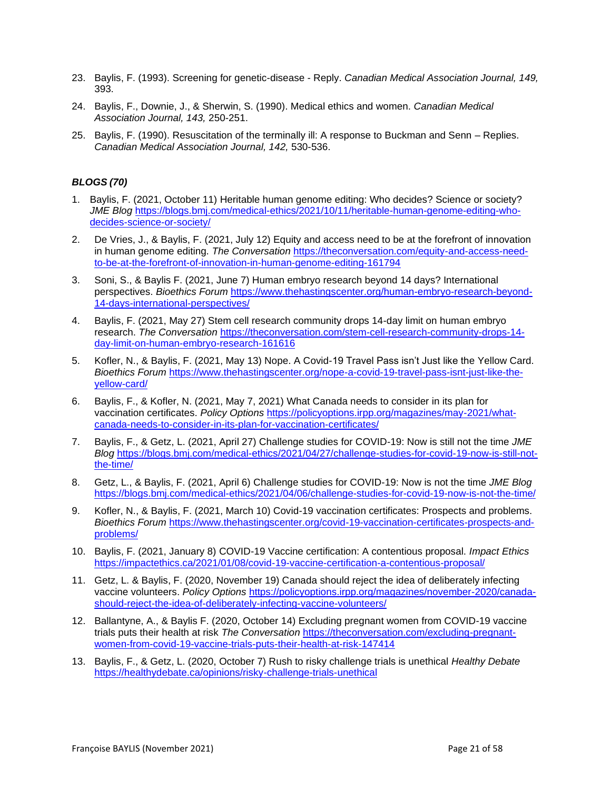- 23. Baylis, F. (1993). Screening for genetic-disease Reply. *Canadian Medical Association Journal, 149,* 393.
- 24. Baylis, F., Downie, J., & Sherwin, S. (1990). Medical ethics and women. *Canadian Medical Association Journal, 143,* 250-251.
- 25. Baylis, F. (1990). Resuscitation of the terminally ill: A response to Buckman and Senn Replies. *Canadian Medical Association Journal, 142,* 530-536.

# *BLOGS (70)*

- 1. Baylis, F. (2021, October 11) Heritable human genome editing: Who decides? Science or society? *JME Blog* [https://blogs.bmj.com/medical-ethics/2021/10/11/heritable-human-genome-editing-who](https://blogs.bmj.com/medical-ethics/2021/10/11/heritable-human-genome-editing-who-decides-science-or-society/)[decides-science-or-society/](https://blogs.bmj.com/medical-ethics/2021/10/11/heritable-human-genome-editing-who-decides-science-or-society/)
- 2. De Vries, J., & Baylis, F. (2021, July 12) Equity and access need to be at the forefront of innovation in human genome editing. *The Conversation* [https://theconversation.com/equity-and-access-need](https://theconversation.com/equity-and-access-need-to-be-at-the-forefront-of-innovation-in-human-genome-editing-161794)[to-be-at-the-forefront-of-innovation-in-human-genome-editing-161794](https://theconversation.com/equity-and-access-need-to-be-at-the-forefront-of-innovation-in-human-genome-editing-161794)
- 3. Soni, S., & Baylis F. (2021, June 7) Human embryo research beyond 14 days? International perspectives. *Bioethics Forum* [https://www.thehastingscenter.org/human-embryo-research-beyond-](https://www.thehastingscenter.org/human-embryo-research-beyond-14-days-international-perspectives/)[14-days-international-perspectives/](https://www.thehastingscenter.org/human-embryo-research-beyond-14-days-international-perspectives/)
- 4. Baylis, F. (2021, May 27) Stem cell research community drops 14-day limit on human embryo research. *The Conversation* [https://theconversation.com/stem-cell-research-community-drops-14](https://theconversation.com/stem-cell-research-community-drops-14-day-limit-on-human-embryo-research-161616) [day-limit-on-human-embryo-research-161616](https://theconversation.com/stem-cell-research-community-drops-14-day-limit-on-human-embryo-research-161616)
- 5. Kofler, N., & Baylis, F. (2021, May 13) Nope. A Covid-19 Travel Pass isn't Just like the Yellow Card. *Bioethics Forum* [https://www.thehastingscenter.org/nope-a-covid-19-travel-pass-isnt-just-like-the](https://www.thehastingscenter.org/nope-a-covid-19-travel-pass-isnt-just-like-the-yellow-card/)[yellow-card/](https://www.thehastingscenter.org/nope-a-covid-19-travel-pass-isnt-just-like-the-yellow-card/)
- 6. Baylis, F., & Kofler, N. (2021, May 7, 2021) What Canada needs to consider in its plan for vaccination certificates. *Policy Options* [https://policyoptions.irpp.org/magazines/may-2021/what](https://policyoptions.irpp.org/magazines/may-2021/what-canada-needs-to-consider-in-its-plan-for-vaccination-certificates/)[canada-needs-to-consider-in-its-plan-for-vaccination-certificates/](https://policyoptions.irpp.org/magazines/may-2021/what-canada-needs-to-consider-in-its-plan-for-vaccination-certificates/)
- 7. Baylis, F., & Getz, L. (2021, April 27) Challenge studies for COVID-19: Now is still not the time *JME Blog* [https://blogs.bmj.com/medical-ethics/2021/04/27/challenge-studies-for-covid-19-now-is-still-not](https://blogs.bmj.com/medical-ethics/2021/04/27/challenge-studies-for-covid-19-now-is-still-not-the-time/)[the-time/](https://blogs.bmj.com/medical-ethics/2021/04/27/challenge-studies-for-covid-19-now-is-still-not-the-time/)
- 8. Getz, L., & Baylis, F. (2021, April 6) Challenge studies for COVID-19: Now is not the time *JME Blog* <https://blogs.bmj.com/medical-ethics/2021/04/06/challenge-studies-for-covid-19-now-is-not-the-time/>
- 9. Kofler, N., & Baylis, F. (2021, March 10) Covid-19 vaccination certificates: Prospects and problems. *Bioethics Forum* [https://www.thehastingscenter.org/covid-19-vaccination-certificates-prospects-and](https://www.thehastingscenter.org/covid-19-vaccination-certificates-prospects-and-problems/)[problems/](https://www.thehastingscenter.org/covid-19-vaccination-certificates-prospects-and-problems/)
- 10. Baylis, F. (2021, January 8) COVID-19 Vaccine certification: A contentious proposal. *Impact Ethics* <https://impactethics.ca/2021/01/08/covid-19-vaccine-certification-a-contentious-proposal/>
- 11. Getz, L. & Baylis, F. (2020, November 19) Canada should reject the idea of deliberately infecting vaccine volunteers. *Policy Options* [https://policyoptions.irpp.org/magazines/november-2020/canada](https://policyoptions.irpp.org/magazines/november-2020/canada-should-reject-the-idea-of-deliberately-infecting-vaccine-volunteers/)[should-reject-the-idea-of-deliberately-infecting-vaccine-volunteers/](https://policyoptions.irpp.org/magazines/november-2020/canada-should-reject-the-idea-of-deliberately-infecting-vaccine-volunteers/)
- 12. Ballantyne, A., & Baylis F. (2020, October 14) Excluding pregnant women from COVID-19 vaccine trials puts their health at risk *The Conversation* [https://theconversation.com/excluding-pregnant](https://theconversation.com/excluding-pregnant-women-from-covid-19-vaccine-trials-puts-their-health-at-risk-147414)[women-from-covid-19-vaccine-trials-puts-their-health-at-risk-147414](https://theconversation.com/excluding-pregnant-women-from-covid-19-vaccine-trials-puts-their-health-at-risk-147414)
- 13. Baylis, F., & Getz, L. (2020, October 7) Rush to risky challenge trials is unethical *Healthy Debate* <https://healthydebate.ca/opinions/risky-challenge-trials-unethical>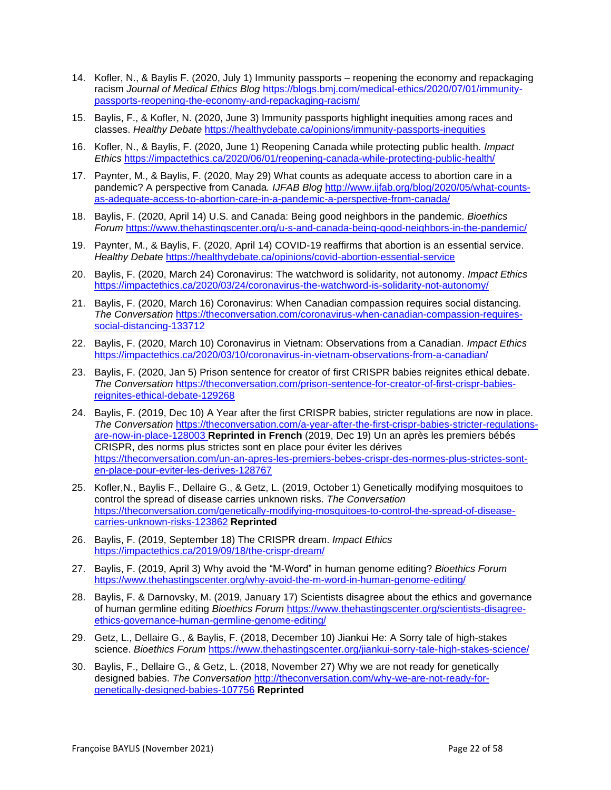- 14. Kofler, N., & Baylis F. (2020, July 1) Immunity passports reopening the economy and repackaging racism *Journal of Medical Ethics Blog* [https://blogs.bmj.com/medical-ethics/2020/07/01/immunity](https://blogs.bmj.com/medical-ethics/2020/07/01/immunity-passports-reopening-the-economy-and-repackaging-racism/)[passports-reopening-the-economy-and-repackaging-racism/](https://blogs.bmj.com/medical-ethics/2020/07/01/immunity-passports-reopening-the-economy-and-repackaging-racism/)
- 15. Baylis, F., & Kofler, N. (2020, June 3) Immunity passports highlight inequities among races and classes. *Healthy Debate* <https://healthydebate.ca/opinions/immunity-passports-inequities>
- 16. Kofler, N., & Baylis, F. (2020, June 1) Reopening Canada while protecting public health. *Impact Ethics* <https://impactethics.ca/2020/06/01/reopening-canada-while-protecting-public-health/>
- 17. Paynter, M., & Baylis, F. (2020, May 29) What counts as adequate access to abortion care in a pandemic? A perspective from Canada*. IJFAB Blog* [http://www.ijfab.org/blog/2020/05/what-counts](http://www.ijfab.org/blog/2020/05/what-counts-as-adequate-access-to-abortion-care-in-a-pandemic-a-perspective-from-canada/)[as-adequate-access-to-abortion-care-in-a-pandemic-a-perspective-from-canada/](http://www.ijfab.org/blog/2020/05/what-counts-as-adequate-access-to-abortion-care-in-a-pandemic-a-perspective-from-canada/)
- 18. Baylis, F. (2020, April 14) U.S. and Canada: Being good neighbors in the pandemic. *Bioethics Forum* <https://www.thehastingscenter.org/u-s-and-canada-being-good-neighbors-in-the-pandemic/>
- 19. Paynter, M., & Baylis, F. (2020, April 14) COVID-19 reaffirms that abortion is an essential service. *Healthy Debate* <https://healthydebate.ca/opinions/covid-abortion-essential-service>
- 20. Baylis, F. (2020, March 24) Coronavirus: The watchword is solidarity, not autonomy. *Impact Ethics* <https://impactethics.ca/2020/03/24/coronavirus-the-watchword-is-solidarity-not-autonomy/>
- 21. Baylis, F. (2020, March 16) Coronavirus: When Canadian compassion requires social distancing. *The Conversation* [https://theconversation.com/coronavirus-when-canadian-compassion-requires](https://theconversation.com/coronavirus-when-canadian-compassion-requires-social-distancing-133712)[social-distancing-133712](https://theconversation.com/coronavirus-when-canadian-compassion-requires-social-distancing-133712)
- 22. Baylis, F. (2020, March 10) Coronavirus in Vietnam: Observations from a Canadian. *Impact Ethics* <https://impactethics.ca/2020/03/10/coronavirus-in-vietnam-observations-from-a-canadian/>
- 23. Baylis, F. (2020, Jan 5) Prison sentence for creator of first CRISPR babies reignites ethical debate. *The Conversation* [https://theconversation.com/prison-sentence-for-creator-of-first-crispr-babies](https://theconversation.com/prison-sentence-for-creator-of-first-crispr-babies-reignites-ethical-debate-129268)[reignites-ethical-debate-129268](https://theconversation.com/prison-sentence-for-creator-of-first-crispr-babies-reignites-ethical-debate-129268)
- 24. Baylis, F. (2019, Dec 10) A Year after the first CRISPR babies, stricter regulations are now in place. *The Conversation* [https://theconversation.com/a-year-after-the-first-crispr-babies-stricter-regulations](https://theconversation.com/a-year-after-the-first-crispr-babies-stricter-regulations-are-now-in-place-128003)[are-now-in-place-128003](https://theconversation.com/a-year-after-the-first-crispr-babies-stricter-regulations-are-now-in-place-128003) **Reprinted in French** (2019, Dec 19) Un an après les premiers bébés CRISPR, des norms plus strictes sont en place pour éviter les dérives [https://theconversation.com/un-an-apres-les-premiers-bebes-crispr-des-normes-plus-strictes-sont](https://theconversation.com/un-an-apres-les-premiers-bebes-crispr-des-normes-plus-strictes-sont-en-place-pour-eviter-les-derives-128767)[en-place-pour-eviter-les-derives-128767](https://theconversation.com/un-an-apres-les-premiers-bebes-crispr-des-normes-plus-strictes-sont-en-place-pour-eviter-les-derives-128767)
- 25. Kofler,N., Baylis F., Dellaire G., & Getz, L. (2019, October 1) Genetically modifying mosquitoes to control the spread of disease carries unknown risks. *The Conversation* [https://theconversation.com/genetically-modifying-mosquitoes-to-control-the-spread-of-disease](https://theconversation.com/genetically-modifying-mosquitoes-to-control-the-spread-of-disease-carries-unknown-risks-123862)[carries-unknown-risks-123862](https://theconversation.com/genetically-modifying-mosquitoes-to-control-the-spread-of-disease-carries-unknown-risks-123862) **Reprinted**
- 26. Baylis, F. (2019, September 18) The CRISPR dream. *Impact Ethics*  <https://impactethics.ca/2019/09/18/the-crispr-dream/>
- 27. Baylis, F. (2019, April 3) Why avoid the "M-Word" in human genome editing? *Bioethics Forum* <https://www.thehastingscenter.org/why-avoid-the-m-word-in-human-genome-editing/>
- 28. Baylis, F. & Darnovsky, M. (2019, January 17) Scientists disagree about the ethics and governance of human germline editing *Bioethics Forum* [https://www.thehastingscenter.org/scientists-disagree](https://www.thehastingscenter.org/scientists-disagree-ethics-governance-human-germline-genome-editing/)[ethics-governance-human-germline-genome-editing/](https://www.thehastingscenter.org/scientists-disagree-ethics-governance-human-germline-genome-editing/)
- 29. Getz, L., Dellaire G., & Baylis, F. (2018, December 10) Jiankui He: A Sorry tale of high-stakes science. *Bioethics Forum* <https://www.thehastingscenter.org/jiankui-sorry-tale-high-stakes-science/>
- 30. Baylis, F., Dellaire G., & Getz, L. (2018, November 27) Why we are not ready for genetically designed babies. *The Conversation* [http://theconversation.com/why-we-are-not-ready-for](http://theconversation.com/why-we-are-not-ready-for-genetically-designed-babies-107756)[genetically-designed-babies-107756](http://theconversation.com/why-we-are-not-ready-for-genetically-designed-babies-107756) **Reprinted**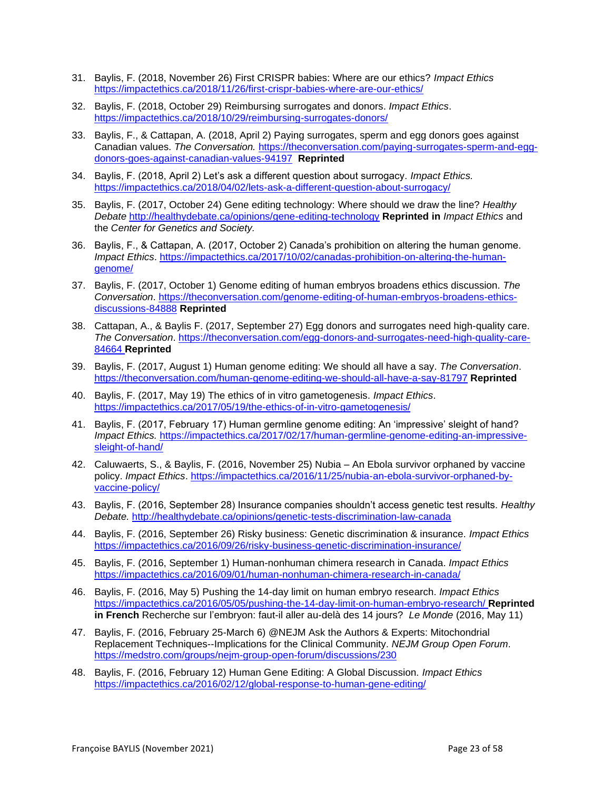- 31. Baylis, F. (2018, November 26) First CRISPR babies: Where are our ethics? *Impact Ethics* <https://impactethics.ca/2018/11/26/first-crispr-babies-where-are-our-ethics/>
- 32. Baylis, F. (2018, October 29) Reimbursing surrogates and donors. *Impact Ethics*. <https://impactethics.ca/2018/10/29/reimbursing-surrogates-donors/>
- 33. Baylis, F., & Cattapan, A. (2018, April 2) Paying surrogates, sperm and egg donors goes against Canadian values. *The Conversation.* [https://theconversation.com/paying-surrogates-sperm-and-egg](https://theconversation.com/paying-surrogates-sperm-and-egg-donors-goes-against-canadian-values-94197)[donors-goes-against-canadian-values-94197](https://theconversation.com/paying-surrogates-sperm-and-egg-donors-goes-against-canadian-values-94197) **Reprinted**
- 34. Baylis, F. (2018, April 2) Let's ask a different question about surrogacy. *Impact Ethics.*  <https://impactethics.ca/2018/04/02/lets-ask-a-different-question-about-surrogacy/>
- 35. Baylis, F. (2017, October 24) Gene editing technology: Where should we draw the line? *Healthy Debate* <http://healthydebate.ca/opinions/gene-editing-technology> **Reprinted in** *Impact Ethics* and the *Center for Genetics and Society.*
- 36. Baylis, F., & Cattapan, A. (2017, October 2) Canada's prohibition on altering the human genome. *Impact Ethics*. [https://impactethics.ca/2017/10/02/canadas-prohibition-on-altering-the-human](https://impactethics.ca/2017/10/02/canadas-prohibition-on-altering-the-human-genome/)[genome/](https://impactethics.ca/2017/10/02/canadas-prohibition-on-altering-the-human-genome/)
- 37. Baylis, F. (2017, October 1) Genome editing of human embryos broadens ethics discussion. *The Conversation*. [https://theconversation.com/genome-editing-of-human-embryos-broadens-ethics](https://theconversation.com/genome-editing-of-human-embryos-broadens-ethics-discussions-84888)[discussions-84888](https://theconversation.com/genome-editing-of-human-embryos-broadens-ethics-discussions-84888) **Reprinted**
- 38. Cattapan, A., & Baylis F. (2017, September 27) Egg donors and surrogates need high-quality care. *The Conversation*. [https://theconversation.com/egg-donors-and-surrogates-need-high-quality-care-](https://theconversation.com/egg-donors-and-surrogates-need-high-quality-care-84664)[84664](https://theconversation.com/egg-donors-and-surrogates-need-high-quality-care-84664) **Reprinted**
- 39. Baylis, F. (2017, August 1) Human genome editing: We should all have a say. *The Conversation*. <https://theconversation.com/human-genome-editing-we-should-all-have-a-say-81797> **Reprinted**
- 40. Baylis, F. (2017, May 19) The ethics of in vitro gametogenesis. *Impact Ethics*. <https://impactethics.ca/2017/05/19/the-ethics-of-in-vitro-gametogenesis/>
- 41. Baylis, F. (2017, February 17) Human germline genome editing: An 'impressive' sleight of hand? *Impact Ethics.* [https://impactethics.ca/2017/02/17/human-germline-genome-editing-an-impressive](https://impactethics.ca/2017/02/17/human-germline-genome-editing-an-impressive-sleight-of-hand/)[sleight-of-hand/](https://impactethics.ca/2017/02/17/human-germline-genome-editing-an-impressive-sleight-of-hand/)
- 42. Caluwaerts, S., & Baylis, F. (2016, November 25) Nubia An Ebola survivor orphaned by vaccine policy. *Impact Ethics*. [https://impactethics.ca/2016/11/25/nubia-an-ebola-survivor-orphaned-by](https://impactethics.ca/2016/11/25/nubia-an-ebola-survivor-orphaned-by-vaccine-policy/)[vaccine-policy/](https://impactethics.ca/2016/11/25/nubia-an-ebola-survivor-orphaned-by-vaccine-policy/)
- 43. Baylis, F. (2016, September 28) Insurance companies shouldn't access genetic test results. *Healthy Debate.* <http://healthydebate.ca/opinions/genetic-tests-discrimination-law-canada>
- 44. Baylis, F. (2016, September 26) Risky business: Genetic discrimination & insurance. *Impact Ethics* <https://impactethics.ca/2016/09/26/risky-business-genetic-discrimination-insurance/>
- 45. Baylis, F. (2016, September 1) Human-nonhuman chimera research in Canada. *Impact Ethics* <https://impactethics.ca/2016/09/01/human-nonhuman-chimera-research-in-canada/>
- 46. Baylis, F. (2016, May 5) Pushing the 14-day limit on human embryo research. *Impact Ethics* <https://impactethics.ca/2016/05/05/pushing-the-14-day-limit-on-human-embryo-research/> **Reprinted in French** Recherche sur l'embryon: faut-il aller au-delà des 14 jours?*Le Monde* (2016, May 11)
- 47. Baylis, F. (2016, February 25-March 6) @NEJM Ask the Authors & Experts: Mitochondrial Replacement Techniques--Implications for the Clinical Community. *NEJM Group Open Forum*. <https://medstro.com/groups/nejm-group-open-forum/discussions/230>
- 48. Baylis, F. (2016, February 12) Human Gene Editing: A Global Discussion. *Impact Ethics* <https://impactethics.ca/2016/02/12/global-response-to-human-gene-editing/>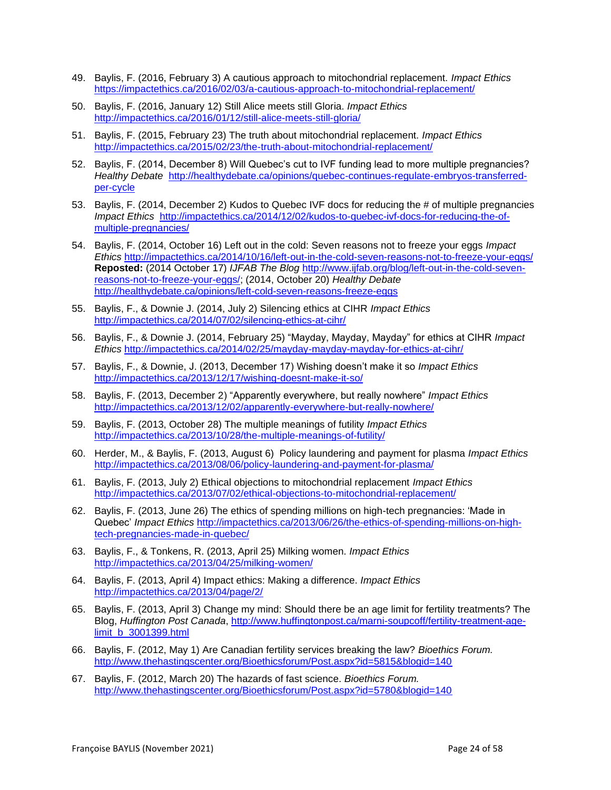- 49. Baylis, F. (2016, February 3) A cautious approach to mitochondrial replacement. *Impact Ethics*  <https://impactethics.ca/2016/02/03/a-cautious-approach-to-mitochondrial-replacement/>
- 50. Baylis, F. (2016, January 12) Still Alice meets still Gloria. *Impact Ethics* <http://impactethics.ca/2016/01/12/still-alice-meets-still-gloria/>
- 51. Baylis, F. (2015, February 23) The truth about mitochondrial replacement. *Impact Ethics* <http://impactethics.ca/2015/02/23/the-truth-about-mitochondrial-replacement/>
- 52. Baylis, F. (2014, December 8) Will Quebec's cut to IVF funding lead to more multiple pregnancies? *Healthy Debate* [http://healthydebate.ca/opinions/quebec-continues-regulate-embryos-transferred](http://healthydebate.ca/opinions/quebec-continues-regulate-embryos-transferred-per-cycle)[per-cycle](http://healthydebate.ca/opinions/quebec-continues-regulate-embryos-transferred-per-cycle)
- 53. Baylis, F. (2014, December 2) Kudos to Quebec IVF docs for reducing the # of multiple pregnancies *Impact Ethics* [http://impactethics.ca/2014/12/02/kudos-to-quebec-ivf-docs-for-reducing-the-of](http://impactethics.ca/2014/12/02/kudos-to-quebec-ivf-docs-for-reducing-the-of-multiple-pregnancies/)[multiple-pregnancies/](http://impactethics.ca/2014/12/02/kudos-to-quebec-ivf-docs-for-reducing-the-of-multiple-pregnancies/)
- 54. Baylis, F. (2014, October 16) Left out in the cold: Seven reasons not to freeze your eggs *Impact Ethics* <http://impactethics.ca/2014/10/16/left-out-in-the-cold-seven-reasons-not-to-freeze-your-eggs/> **Reposted:** (2014 October 17) *IJFAB The Blog* [http://www.ijfab.org/blog/left-out-in-the-cold-seven](http://www.ijfab.org/blog/left-out-in-the-cold-seven-reasons-not-to-freeze-your-eggs/)[reasons-not-to-freeze-your-eggs/;](http://www.ijfab.org/blog/left-out-in-the-cold-seven-reasons-not-to-freeze-your-eggs/) (2014, October 20) *Healthy Debate* <http://healthydebate.ca/opinions/left-cold-seven-reasons-freeze-eggs>
- 55. Baylis, F., & Downie J. (2014, July 2) Silencing ethics at CIHR *Impact Ethics* <http://impactethics.ca/2014/07/02/silencing-ethics-at-cihr/>
- 56. Baylis, F., & Downie J. (2014, February 25) "Mayday, Mayday, Mayday" for ethics at CIHR *Impact Ethics* <http://impactethics.ca/2014/02/25/mayday-mayday-mayday-for-ethics-at-cihr/>
- 57. Baylis, F., & Downie, J. (2013, December 17) Wishing doesn't make it so *Impact Ethics*  <http://impactethics.ca/2013/12/17/wishing-doesnt-make-it-so/>
- 58. Baylis, F. (2013, December 2) "Apparently everywhere, but really nowhere" *Impact Ethics* <http://impactethics.ca/2013/12/02/apparently-everywhere-but-really-nowhere/>
- 59. Baylis, F. (2013, October 28) The multiple meanings of futility *Impact Ethics* <http://impactethics.ca/2013/10/28/the-multiple-meanings-of-futility/>
- 60. Herder, M., & Baylis, F. (2013, August 6) Policy laundering and payment for plasma *Impact Ethics* <http://impactethics.ca/2013/08/06/policy-laundering-and-payment-for-plasma/>
- 61. Baylis, F. (2013, July 2) Ethical objections to mitochondrial replacement *Impact Ethics* <http://impactethics.ca/2013/07/02/ethical-objections-to-mitochondrial-replacement/>
- 62. Baylis, F. (2013, June 26) The ethics of spending millions on high-tech pregnancies: 'Made in Quebec' *Impact Ethics* [http://impactethics.ca/2013/06/26/the-ethics-of-spending-millions-on-high](http://impactethics.ca/2013/06/26/the-ethics-of-spending-millions-on-high-tech-pregnancies-made-in-quebec/)[tech-pregnancies-made-in-quebec/](http://impactethics.ca/2013/06/26/the-ethics-of-spending-millions-on-high-tech-pregnancies-made-in-quebec/)
- 63. Baylis, F., & Tonkens, R. (2013, April 25) Milking women. *Impact Ethics* <http://impactethics.ca/2013/04/25/milking-women/>
- 64. Baylis, F. (2013, April 4) Impact ethics: Making a difference. *Impact Ethics* <http://impactethics.ca/2013/04/page/2/>
- 65. Baylis, F. (2013, April 3) Change my mind: Should there be an age limit for fertility treatments? The Blog, *Huffington Post Canada*, [http://www.huffingtonpost.ca/marni-soupcoff/fertility-treatment-age](http://www.huffingtonpost.ca/marni-soupcoff/fertility-treatment-age-limit_b_3001399.html)[limit\\_b\\_3001399.html](http://www.huffingtonpost.ca/marni-soupcoff/fertility-treatment-age-limit_b_3001399.html)
- 66. Baylis, F. (2012, May 1) Are Canadian fertility services breaking the law? *Bioethics Forum.* <http://www.thehastingscenter.org/Bioethicsforum/Post.aspx?id=5815&blogid=140>
- 67. Baylis, F. (2012, March 20) The hazards of fast science. *Bioethics Forum.*  <http://www.thehastingscenter.org/Bioethicsforum/Post.aspx?id=5780&blogid=140>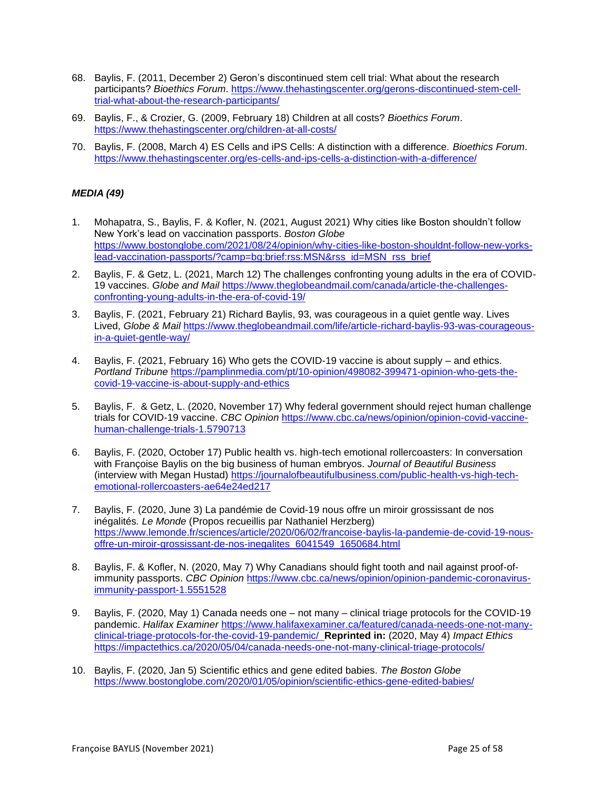- 68. Baylis, F. (2011, December 2) Geron's discontinued stem cell trial: What about the research participants? *Bioethics Forum*. [https://www.thehastingscenter.org/gerons-discontinued-stem-cell](https://www.thehastingscenter.org/gerons-discontinued-stem-cell-trial-what-about-the-research-participants/)[trial-what-about-the-research-participants/](https://www.thehastingscenter.org/gerons-discontinued-stem-cell-trial-what-about-the-research-participants/)
- 69. Baylis, F., & Crozier, G. (2009, February 18) Children at all costs? *Bioethics Forum*. <https://www.thehastingscenter.org/children-at-all-costs/>
- 70. Baylis, F. (2008, March 4) ES Cells and iPS Cells: A distinction with a difference. *Bioethics Forum*. <https://www.thehastingscenter.org/es-cells-and-ips-cells-a-distinction-with-a-difference/>

# *MEDIA (49)*

- 1. Mohapatra, S., Baylis, F. & Kofler, N. (2021, August 2021) Why cities like Boston shouldn't follow New York's lead on vaccination passports. *Boston Globe* [https://www.bostonglobe.com/2021/08/24/opinion/why-cities-like-boston-shouldnt-follow-new-yorks](https://www.bostonglobe.com/2021/08/24/opinion/why-cities-like-boston-shouldnt-follow-new-yorks-lead-vaccination-passports/?camp=bg:brief:rss:MSN&rss_id=MSN_rss_brief)[lead-vaccination-passports/?camp=bg:brief:rss:MSN&rss\\_id=MSN\\_rss\\_brief](https://www.bostonglobe.com/2021/08/24/opinion/why-cities-like-boston-shouldnt-follow-new-yorks-lead-vaccination-passports/?camp=bg:brief:rss:MSN&rss_id=MSN_rss_brief)
- 2. Baylis, F. & Getz, L. (2021, March 12) The challenges confronting young adults in the era of COVID-19 vaccines. *Globe and Mail* [https://www.theglobeandmail.com/canada/article-the-challenges](https://www.theglobeandmail.com/canada/article-the-challenges-confronting-young-adults-in-the-era-of-covid-19/)[confronting-young-adults-in-the-era-of-covid-19/](https://www.theglobeandmail.com/canada/article-the-challenges-confronting-young-adults-in-the-era-of-covid-19/)
- 3. Baylis, F. (2021, February 21) Richard Baylis, 93, was courageous in a quiet gentle way. Lives Lived, *Globe & Mail* [https://www.theglobeandmail.com/life/article-richard-baylis-93-was-courageous](https://www.theglobeandmail.com/life/article-richard-baylis-93-was-courageous-in-a-quiet-gentle-way/)[in-a-quiet-gentle-way/](https://www.theglobeandmail.com/life/article-richard-baylis-93-was-courageous-in-a-quiet-gentle-way/)
- 4. Baylis, F. (2021, February 16) Who gets the COVID-19 vaccine is about supply and ethics. *Portland Tribune* [https://pamplinmedia.com/pt/10-opinion/498082-399471-opinion-who-gets-the](https://pamplinmedia.com/pt/10-opinion/498082-399471-opinion-who-gets-the-covid-19-vaccine-is-about-supply-and-ethics)[covid-19-vaccine-is-about-supply-and-ethics](https://pamplinmedia.com/pt/10-opinion/498082-399471-opinion-who-gets-the-covid-19-vaccine-is-about-supply-and-ethics)
- 5. Baylis, F. & Getz, L. (2020, November 17) Why federal government should reject human challenge trials for COVID-19 vaccine. *CBC Opinion* [https://www.cbc.ca/news/opinion/opinion-covid-vaccine](https://www.cbc.ca/news/opinion/opinion-covid-vaccine-human-challenge-trials-1.5790713)[human-challenge-trials-1.5790713](https://www.cbc.ca/news/opinion/opinion-covid-vaccine-human-challenge-trials-1.5790713)
- 6. Baylis, F. (2020, October 17) Public health vs. high-tech emotional rollercoasters: In conversation with Françoise Baylis on the big business of human embryos. *Journal of Beautiful Business* (interview with Megan Hustad) [https://journalofbeautifulbusiness.com/public-health-vs-high-tech](https://journalofbeautifulbusiness.com/public-health-vs-high-tech-emotional-rollercoasters-ae64e24ed217)[emotional-rollercoasters-ae64e24ed217](https://journalofbeautifulbusiness.com/public-health-vs-high-tech-emotional-rollercoasters-ae64e24ed217)
- 7. Baylis, F. (2020, June 3) La pandémie de Covid-19 nous offre un miroir grossissant de nos inégalités*. Le Monde* (Propos recueillis par Nathaniel Herzberg) [https://www.lemonde.fr/sciences/article/2020/06/02/francoise-baylis-la-pandemie-de-covid-19-nous](https://www.lemonde.fr/sciences/article/2020/06/02/francoise-baylis-la-pandemie-de-covid-19-nous-offre-un-miroir-grossissant-de-nos-inegalites_6041549_1650684.html)[offre-un-miroir-grossissant-de-nos-inegalites\\_6041549\\_1650684.html](https://www.lemonde.fr/sciences/article/2020/06/02/francoise-baylis-la-pandemie-de-covid-19-nous-offre-un-miroir-grossissant-de-nos-inegalites_6041549_1650684.html)
- 8. Baylis, F. & Kofler, N. (2020, May 7) Why Canadians should fight tooth and nail against proof-ofimmunity passports. *CBC Opinion* [https://www.cbc.ca/news/opinion/opinion-pandemic-coronavirus](https://www.cbc.ca/news/opinion/opinion-pandemic-coronavirus-immunity-passport-1.5551528)[immunity-passport-1.5551528](https://www.cbc.ca/news/opinion/opinion-pandemic-coronavirus-immunity-passport-1.5551528)
- 9. Baylis, F. (2020, May 1) Canada needs one not many clinical triage protocols for the COVID-19 pandemic. *Halifax Examiner* [https://www.halifaxexaminer.ca/featured/canada-needs-one-not-many](https://www.halifaxexaminer.ca/featured/canada-needs-one-not-many-clinical-triage-protocols-for-the-covid-19-pandemic/)[clinical-triage-protocols-for-the-covid-19-pandemic/](https://www.halifaxexaminer.ca/featured/canada-needs-one-not-many-clinical-triage-protocols-for-the-covid-19-pandemic/) **Reprinted in:** (2020, May 4) *Impact Ethics*  https://impactethics.ca/2020/05/04/canada-needs-one-not-many-clinical-triage-protocols/
- 10. Baylis, F. (2020, Jan 5) Scientific ethics and gene edited babies. *The Boston Globe* <https://www.bostonglobe.com/2020/01/05/opinion/scientific-ethics-gene-edited-babies/>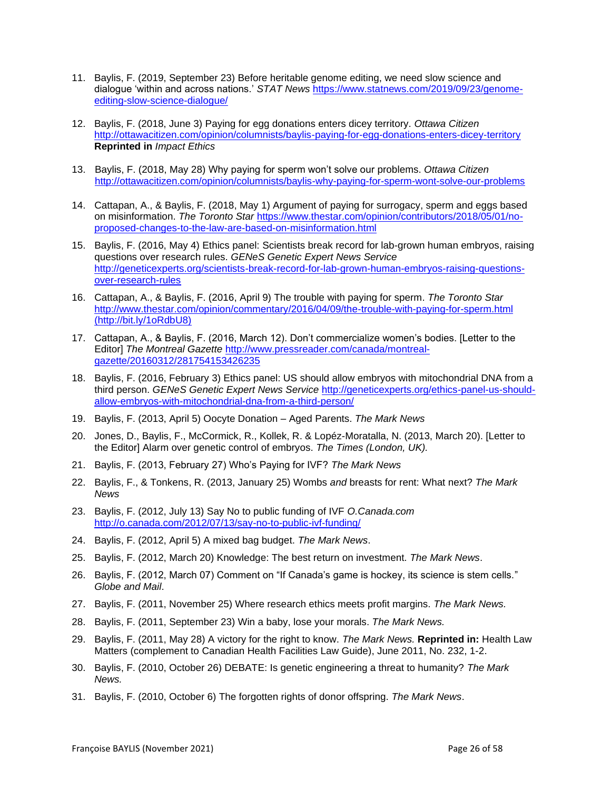- 11. Baylis, F. (2019, September 23) Before heritable genome editing, we need slow science and dialogue 'within and across nations.' *STAT News* [https://www.statnews.com/2019/09/23/genome](https://www.statnews.com/2019/09/23/genome-editing-slow-science-dialogue/)[editing-slow-science-dialogue/](https://www.statnews.com/2019/09/23/genome-editing-slow-science-dialogue/)
- 12. Baylis, F. (2018, June 3) Paying for egg donations enters dicey territory. *Ottawa Citizen* <http://ottawacitizen.com/opinion/columnists/baylis-paying-for-egg-donations-enters-dicey-territory> **Reprinted in** *Impact Ethics*
- 13. Baylis, F. (2018, May 28) Why paying for sperm won't solve our problems. *Ottawa Citizen* <http://ottawacitizen.com/opinion/columnists/baylis-why-paying-for-sperm-wont-solve-our-problems>
- 14. Cattapan, A., & Baylis, F. (2018, May 1) Argument of paying for surrogacy, sperm and eggs based on misinformation. *The Toronto Star* [https://www.thestar.com/opinion/contributors/2018/05/01/no](https://www.thestar.com/opinion/contributors/2018/05/01/no-proposed-changes-to-the-law-are-based-on-misinformation.html)[proposed-changes-to-the-law-are-based-on-misinformation.html](https://www.thestar.com/opinion/contributors/2018/05/01/no-proposed-changes-to-the-law-are-based-on-misinformation.html)
- 15. Baylis, F. (2016, May 4) Ethics panel: Scientists break record for lab-grown human embryos, raising questions over research rules. *GENeS Genetic Expert News Service*  [http://geneticexperts.org/scientists-break-record-for-lab-grown-human-embryos-raising-questions](http://geneticexperts.org/scientists-break-record-for-lab-grown-human-embryos-raising-questions-over-research-rules)[over-research-rules](http://geneticexperts.org/scientists-break-record-for-lab-grown-human-embryos-raising-questions-over-research-rules)
- 16. Cattapan, A., & Baylis, F. (2016, April 9) The trouble with paying for sperm. *The Toronto Star* <http://www.thestar.com/opinion/commentary/2016/04/09/the-trouble-with-paying-for-sperm.html> [\(http://bit.ly/1oRdbU8\)](http://bit.ly/1oRdbU8)
- 17. Cattapan, A., & Baylis, F. (2016, March 12). Don't commercialize women's bodies. [Letter to the Editor] *The Montreal Gazette* [http://www.pressreader.com/canada/montreal](http://www.pressreader.com/canada/montreal-gazette/20160312/281754153426235)[gazette/20160312/281754153426235](http://www.pressreader.com/canada/montreal-gazette/20160312/281754153426235)
- 18. Baylis, F. (2016, February 3) Ethics panel: US should allow embryos with mitochondrial DNA from a third person. *GENeS Genetic Expert News Service* [http://geneticexperts.org/ethics-panel-us-should](http://geneticexperts.org/ethics-panel-us-should-allow-embryos-with-mitochondrial-dna-from-a-third-person/)[allow-embryos-with-mitochondrial-dna-from-a-third-person/](http://geneticexperts.org/ethics-panel-us-should-allow-embryos-with-mitochondrial-dna-from-a-third-person/)
- 19. Baylis, F. (2013, April 5) Oocyte Donation Aged Parents. *The Mark News*
- 20. Jones, D., Baylis, F., McCormick, R., Kollek, R. & Lopéz-Moratalla, N. (2013, March 20). [Letter to the Editor] Alarm over genetic control of embryos. *The Times (London, UK).*
- 21. Baylis, F. (2013, February 27) Who's Paying for IVF? *The Mark News*
- 22. Baylis, F., & Tonkens, R. (2013, January 25) Wombs *and* breasts for rent: What next? *The Mark News*
- 23. Baylis, F. (2012, July 13) Say No to public funding of IVF *O.Canada.com*  <http://o.canada.com/2012/07/13/say-no-to-public-ivf-funding/>
- 24. Baylis, F. (2012, April 5) A mixed bag budget. *The Mark News*.
- 25. Baylis, F. (2012, March 20) Knowledge: The best return on investment. *The Mark News*.
- 26. Baylis, F. (2012, March 07) Comment on "If Canada's game is hockey, its science is stem cells." *Globe and Mail*.
- 27. Baylis, F. (2011, November 25) Where research ethics meets profit margins. *The Mark News.*
- 28. Baylis, F. (2011, September 23) Win a baby, lose your morals. *The Mark News.*
- 29. Baylis, F. (2011, May 28) A victory for the right to know. *The Mark News.* **Reprinted in:** Health Law Matters (complement to Canadian Health Facilities Law Guide), June 2011, No. 232, 1-2.
- 30. Baylis, F. (2010, October 26) DEBATE: Is genetic engineering a threat to humanity? *The Mark News.*
- 31. Baylis, F. (2010, October 6) The forgotten rights of donor offspring. *The Mark News*.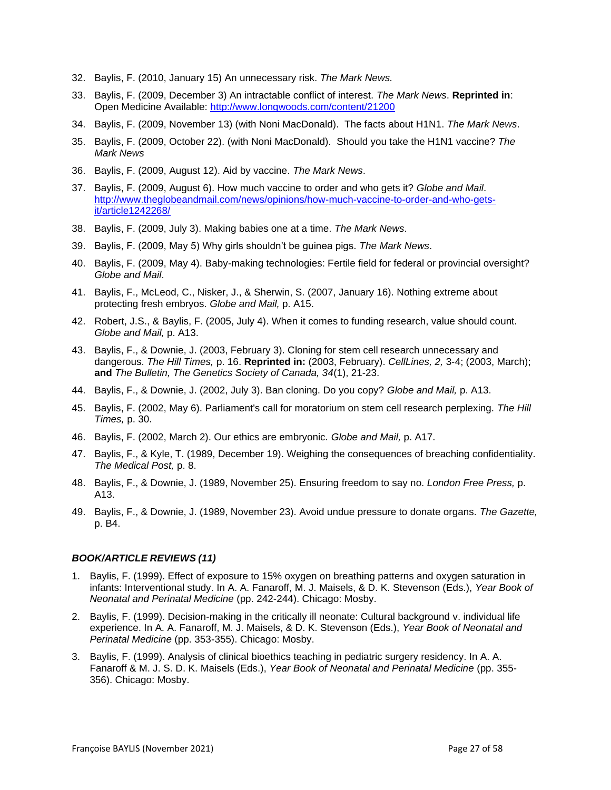- 32. Baylis, F. (2010, January 15) An unnecessary risk. *The Mark News.*
- 33. Baylis, F. (2009, December 3) An intractable conflict of interest. *The Mark News*. **Reprinted in**: Open Medicine Available:<http://www.longwoods.com/content/21200>
- 34. Baylis, F. (2009, November 13) (with Noni MacDonald). The facts about H1N1. *The Mark News*.
- 35. Baylis, F. (2009, October 22). (with Noni MacDonald). Should you take the H1N1 vaccine? *The Mark News*
- 36. Baylis, F. (2009, August 12). Aid by vaccine. *The Mark News*.
- 37. Baylis, F. (2009, August 6). How much vaccine to order and who gets it? *Globe and Mail*. [http://www.theglobeandmail.com/news/opinions/how-much-vaccine-to-order-and-who-gets](http://www.theglobeandmail.com/news/opinions/how-much-vaccine-to-order-and-who-gets-it/article1242268/)[it/article1242268/](http://www.theglobeandmail.com/news/opinions/how-much-vaccine-to-order-and-who-gets-it/article1242268/)
- 38. Baylis, F. (2009, July 3). Making babies one at a time. *The Mark News*.
- 39. Baylis, F. (2009, May 5) Why girls shouldn't be guinea pigs. *The Mark News*.
- 40. Baylis, F. (2009, May 4). Baby-making technologies: Fertile field for federal or provincial oversight? *Globe and Mail*.
- 41. Baylis, F., McLeod, C., Nisker, J., & Sherwin, S. (2007, January 16). Nothing extreme about protecting fresh embryos. *Globe and Mail,* p. A15.
- 42. Robert, J.S., & Baylis, F. (2005, July 4). When it comes to funding research, value should count. *Globe and Mail,* p. A13.
- 43. Baylis, F., & Downie, J. (2003, February 3). Cloning for stem cell research unnecessary and dangerous. *The Hill Times,* p. 16. **Reprinted in:** (2003, February). *CellLines, 2,* 3-4; (2003, March); **and** *The Bulletin, The Genetics Society of Canada, 34*(1), 21-23.
- 44. Baylis, F., & Downie, J. (2002, July 3). Ban cloning. Do you copy? *Globe and Mail,* p. A13.
- 45. Baylis, F. (2002, May 6). Parliament's call for moratorium on stem cell research perplexing. *The Hill Times,* p. 30.
- 46. Baylis, F. (2002, March 2). Our ethics are embryonic. *Globe and Mail,* p. A17.
- 47. Baylis, F., & Kyle, T. (1989, December 19). Weighing the consequences of breaching confidentiality. *The Medical Post,* p. 8.
- 48. Baylis, F., & Downie, J. (1989, November 25). Ensuring freedom to say no. *London Free Press,* p. A13.
- 49. Baylis, F., & Downie, J. (1989, November 23). Avoid undue pressure to donate organs. *The Gazette,* p. B4.

#### *BOOK/ARTICLE REVIEWS (11)*

- 1. Baylis, F. (1999). Effect of exposure to 15% oxygen on breathing patterns and oxygen saturation in infants: Interventional study. In A. A. Fanaroff, M. J. Maisels, & D. K. Stevenson (Eds.), *Year Book of Neonatal and Perinatal Medicine* (pp. 242-244). Chicago: Mosby.
- 2. Baylis, F. (1999). Decision-making in the critically ill neonate: Cultural background v. individual life experience. In A. A. Fanaroff, M. J. Maisels, & D. K. Stevenson (Eds.), *Year Book of Neonatal and Perinatal Medicine* (pp. 353-355). Chicago: Mosby.
- 3. Baylis, F. (1999). Analysis of clinical bioethics teaching in pediatric surgery residency. In A. A. Fanaroff & M. J. S. D. K. Maisels (Eds.), *Year Book of Neonatal and Perinatal Medicine* (pp. 355- 356). Chicago: Mosby.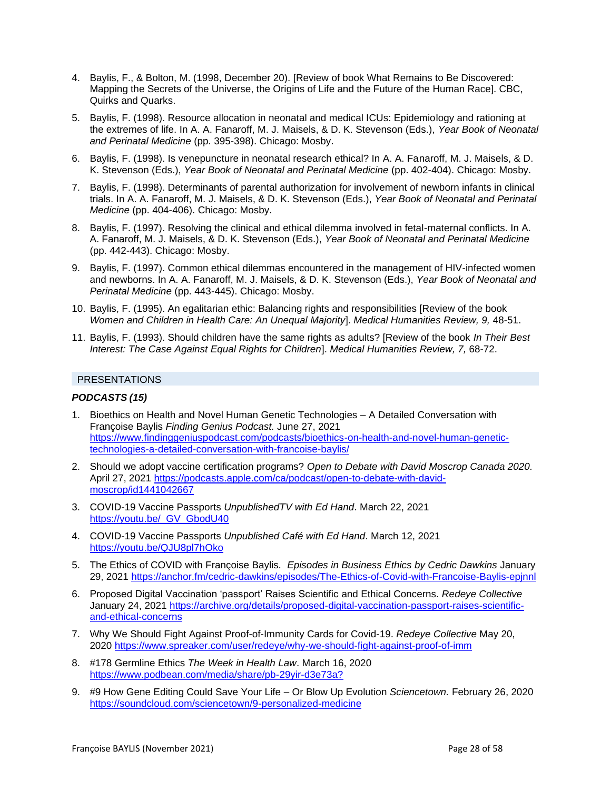- 4. Baylis, F., & Bolton, M. (1998, December 20). [Review of book What Remains to Be Discovered: Mapping the Secrets of the Universe, the Origins of Life and the Future of the Human Race]. CBC, Quirks and Quarks.
- 5. Baylis, F. (1998). Resource allocation in neonatal and medical ICUs: Epidemiology and rationing at the extremes of life. In A. A. Fanaroff, M. J. Maisels, & D. K. Stevenson (Eds.), *Year Book of Neonatal and Perinatal Medicine* (pp. 395-398). Chicago: Mosby.
- 6. Baylis, F. (1998). Is venepuncture in neonatal research ethical? In A. A. Fanaroff, M. J. Maisels, & D. K. Stevenson (Eds.), *Year Book of Neonatal and Perinatal Medicine* (pp. 402-404). Chicago: Mosby.
- 7. Baylis, F. (1998). Determinants of parental authorization for involvement of newborn infants in clinical trials. In A. A. Fanaroff, M. J. Maisels, & D. K. Stevenson (Eds.), *Year Book of Neonatal and Perinatal Medicine* (pp. 404-406). Chicago: Mosby.
- 8. Baylis, F. (1997). Resolving the clinical and ethical dilemma involved in fetal-maternal conflicts. In A. A. Fanaroff, M. J. Maisels, & D. K. Stevenson (Eds.), *Year Book of Neonatal and Perinatal Medicine* (pp. 442-443). Chicago: Mosby.
- 9. Baylis, F. (1997). Common ethical dilemmas encountered in the management of HIV-infected women and newborns. In A. A. Fanaroff, M. J. Maisels, & D. K. Stevenson (Eds.), *Year Book of Neonatal and Perinatal Medicine* (pp. 443-445). Chicago: Mosby.
- 10. Baylis, F. (1995). An egalitarian ethic: Balancing rights and responsibilities [Review of the book *Women and Children in Health Care: An Unequal Majority*]. *Medical Humanities Review, 9,* 48-51.
- 11. Baylis, F. (1993). Should children have the same rights as adults? [Review of the book *In Their Best Interest: The Case Against Equal Rights for Children*]. *Medical Humanities Review, 7,* 68-72.

### PRESENTATIONS

### *PODCASTS (15)*

- 1. Bioethics on Health and Novel Human Genetic Technologies A Detailed Conversation with Françoise Baylis *Finding Genius Podcast.* June 27, 2021 [https://www.findinggeniuspodcast.com/podcasts/bioethics-on-health-and-novel-human-genetic](https://www.findinggeniuspodcast.com/podcasts/bioethics-on-health-and-novel-human-genetic-technologies-a-detailed-conversation-with-francoise-baylis/)[technologies-a-detailed-conversation-with-francoise-baylis/](https://www.findinggeniuspodcast.com/podcasts/bioethics-on-health-and-novel-human-genetic-technologies-a-detailed-conversation-with-francoise-baylis/)
- 2. Should we adopt vaccine certification programs? *Open to Debate with David Moscrop Canada 2020.*  April 27, 2021 [https://podcasts.apple.com/ca/podcast/open-to-debate-with-david](https://podcasts.apple.com/ca/podcast/open-to-debate-with-david-moscrop/id1441042667)[moscrop/id1441042667](https://podcasts.apple.com/ca/podcast/open-to-debate-with-david-moscrop/id1441042667)
- 3. COVID-19 Vaccine Passports *UnpublishedTV with Ed Hand*. March 22, 2021 [https://youtu.be/\\_GV\\_GbodU40](https://youtu.be/_GV_GbodU40)
- 4. COVID-19 Vaccine Passports *Unpublished Café with Ed Hand*. March 12, 2021 <https://youtu.be/QJU8pl7hOko>
- 5. The Ethics of COVID with Françoise Baylis*. Episodes in Business Ethics by Cedric Dawkins* January 29, 2021<https://anchor.fm/cedric-dawkins/episodes/The-Ethics-of-Covid-with-Francoise-Baylis-epjnnl>
- 6. Proposed Digital Vaccination 'passport' Raises Scientific and Ethical Concerns. *Redeye Collective* January 24, 2021 [https://archive.org/details/proposed-digital-vaccination-passport-raises-scientific](https://archive.org/details/proposed-digital-vaccination-passport-raises-scientific-and-ethical-concerns)[and-ethical-concerns](https://archive.org/details/proposed-digital-vaccination-passport-raises-scientific-and-ethical-concerns)
- 7. Why We Should Fight Against Proof-of-Immunity Cards for Covid-19. *Redeye Collective* May 20, 2020<https://www.spreaker.com/user/redeye/why-we-should-fight-against-proof-of-imm>
- 8. #178 Germline Ethics *The Week in Health Law*. March 16, 2020 <https://www.podbean.com/media/share/pb-29yir-d3e73a?>
- 9. #9 How Gene Editing Could Save Your Life Or Blow Up Evolution *Sciencetown.* February 26, 2020 <https://soundcloud.com/sciencetown/9-personalized-medicine>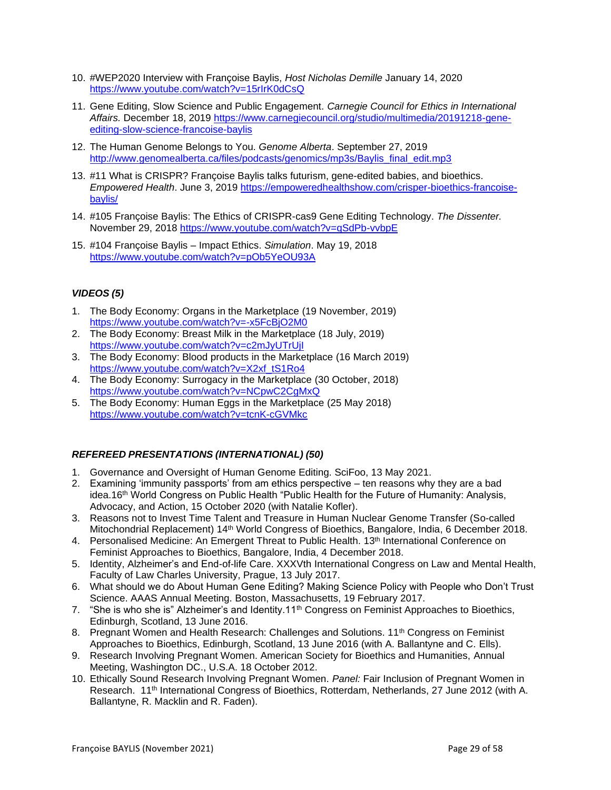- 10. #WEP2020 Interview with Françoise Baylis, *Host Nicholas Demille* January 14, 2020 <https://www.youtube.com/watch?v=15rIrK0dCsQ>
- 11. Gene Editing, Slow Science and Public Engagement. *Carnegie Council for Ethics in International Affairs.* December 18, 2019 [https://www.carnegiecouncil.org/studio/multimedia/20191218-gene](https://www.carnegiecouncil.org/studio/multimedia/20191218-gene-editing-slow-science-francoise-baylis)[editing-slow-science-francoise-baylis](https://www.carnegiecouncil.org/studio/multimedia/20191218-gene-editing-slow-science-francoise-baylis)
- 12. The Human Genome Belongs to You. *Genome Alberta*. September 27, 2019 [http://www.genomealberta.ca/files/podcasts/genomics/mp3s/Baylis\\_final\\_edit.mp3](http://www.genomealberta.ca/files/podcasts/genomics/mp3s/Baylis_final_edit.mp3)
- 13. #11 What is CRISPR? Françoise Baylis talks futurism, gene-edited babies, and bioethics. *Empowered Health*. June 3, 2019 [https://empoweredhealthshow.com/crisper-bioethics-francoise](https://empoweredhealthshow.com/crisper-bioethics-francoise-baylis/)[baylis/](https://empoweredhealthshow.com/crisper-bioethics-francoise-baylis/)
- 14. #105 Françoise Baylis: The Ethics of CRISPR-cas9 Gene Editing Technology. *The Dissenter.* November 29, 2018<https://www.youtube.com/watch?v=qSdPb-vvbpE>
- 15. #104 Françoise Baylis Impact Ethics. *Simulation*. May 19, 2018 <https://www.youtube.com/watch?v=pOb5YeOU93A>

# *VIDEOS (5)*

- 1. The Body Economy: Organs in the Marketplace (19 November, 2019) <https://www.youtube.com/watch?v=-x5FcBjO2M0>
- 2. The Body Economy: Breast Milk in the Marketplace (18 July, 2019) <https://www.youtube.com/watch?v=c2mJyUTrUjI>
- 3. The Body Economy: Blood products in the Marketplace (16 March 2019) [https://www.youtube.com/watch?v=X2xf\\_tS1Ro4](https://www.youtube.com/watch?v=X2xf_tS1Ro4)
- 4. The Body Economy: Surrogacy in the Marketplace (30 October, 2018) <https://www.youtube.com/watch?v=NCpwC2CgMxQ>
- 5. The Body Economy: Human Eggs in the Marketplace (25 May 2018) <https://www.youtube.com/watch?v=tcnK-cGVMkc>

# *REFEREED PRESENTATIONS (INTERNATIONAL) (50)*

- 1. Governance and Oversight of Human Genome Editing. SciFoo, 13 May 2021.
- 2. Examining 'immunity passports' from am ethics perspective ten reasons why they are a bad idea.16<sup>th</sup> World Congress on Public Health "Public Health for the Future of Humanity: Analysis, Advocacy, and Action, 15 October 2020 (with Natalie Kofler).
- 3. Reasons not to Invest Time Talent and Treasure in Human Nuclear Genome Transfer (So-called Mitochondrial Replacement) 14th World Congress of Bioethics, Bangalore, India, 6 December 2018.
- 4. Personalised Medicine: An Emergent Threat to Public Health. 13<sup>th</sup> International Conference on Feminist Approaches to Bioethics, Bangalore, India, 4 December 2018.
- 5. Identity, Alzheimer's and End-of-life Care. XXXVth International Congress on Law and Mental Health, Faculty of Law Charles University, Prague, 13 July 2017.
- 6. What should we do About Human Gene Editing? Making Science Policy with People who Don't Trust Science. AAAS Annual Meeting. Boston, Massachusetts, 19 February 2017.
- 7. "She is who she is" Alzheimer's and Identity.11<sup>th</sup> Congress on Feminist Approaches to Bioethics, Edinburgh, Scotland, 13 June 2016.
- 8. Pregnant Women and Health Research: Challenges and Solutions. 11<sup>th</sup> Congress on Feminist Approaches to Bioethics, Edinburgh, Scotland, 13 June 2016 (with A. Ballantyne and C. Ells).
- 9. Research Involving Pregnant Women. American Society for Bioethics and Humanities, Annual Meeting, Washington DC., U.S.A. 18 October 2012.
- 10. Ethically Sound Research Involving Pregnant Women. *Panel:* Fair Inclusion of Pregnant Women in Research. 11th International Congress of Bioethics, Rotterdam, Netherlands, 27 June 2012 (with A. Ballantyne, R. Macklin and R. Faden).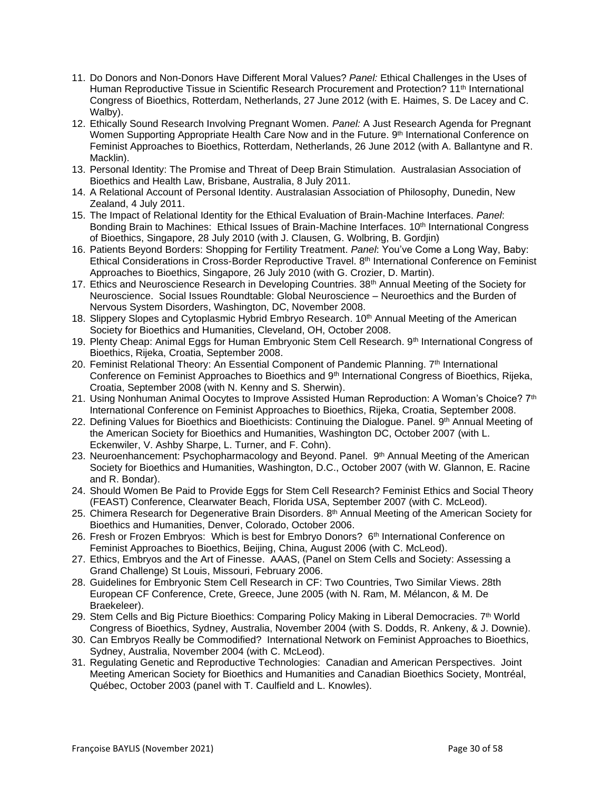- 11. Do Donors and Non-Donors Have Different Moral Values? *Panel:* Ethical Challenges in the Uses of Human Reproductive Tissue in Scientific Research Procurement and Protection? 11th International Congress of Bioethics, Rotterdam, Netherlands, 27 June 2012 (with E. Haimes, S. De Lacey and C. Walby).
- 12. Ethically Sound Research Involving Pregnant Women. *Panel:* A Just Research Agenda for Pregnant Women Supporting Appropriate Health Care Now and in the Future. 9th International Conference on Feminist Approaches to Bioethics, Rotterdam, Netherlands, 26 June 2012 (with A. Ballantyne and R. Macklin).
- 13. Personal Identity: The Promise and Threat of Deep Brain Stimulation. Australasian Association of Bioethics and Health Law, Brisbane, Australia, 8 July 2011.
- 14. A Relational Account of Personal Identity. Australasian Association of Philosophy, Dunedin, New Zealand, 4 July 2011.
- 15. The Impact of Relational Identity for the Ethical Evaluation of Brain-Machine Interfaces. *Panel*: Bonding Brain to Machines: Ethical Issues of Brain-Machine Interfaces. 10<sup>th</sup> International Congress of Bioethics, Singapore, 28 July 2010 (with J. Clausen, G. Wolbring, B. Gordjin)
- 16. Patients Beyond Borders: Shopping for Fertility Treatment. *Panel*: You've Come a Long Way, Baby: Ethical Considerations in Cross-Border Reproductive Travel. 8<sup>th</sup> International Conference on Feminist Approaches to Bioethics, Singapore, 26 July 2010 (with G. Crozier, D. Martin).
- 17. Ethics and Neuroscience Research in Developing Countries. 38<sup>th</sup> Annual Meeting of the Society for Neuroscience. Social Issues Roundtable: Global Neuroscience – Neuroethics and the Burden of Nervous System Disorders, Washington, DC, November 2008.
- 18. Slippery Slopes and Cytoplasmic Hybrid Embryo Research. 10<sup>th</sup> Annual Meeting of the American Society for Bioethics and Humanities, Cleveland, OH, October 2008.
- 19. Plenty Cheap: Animal Eggs for Human Embryonic Stem Cell Research. 9th International Congress of Bioethics, Rijeka, Croatia, September 2008.
- 20. Feminist Relational Theory: An Essential Component of Pandemic Planning. 7<sup>th</sup> International Conference on Feminist Approaches to Bioethics and 9th International Congress of Bioethics, Rijeka, Croatia, September 2008 (with N. Kenny and S. Sherwin).
- 21. Using Nonhuman Animal Oocytes to Improve Assisted Human Reproduction: A Woman's Choice? 7<sup>th</sup> International Conference on Feminist Approaches to Bioethics, Rijeka, Croatia, September 2008.
- 22. Defining Values for Bioethics and Bioethicists: Continuing the Dialogue. Panel. 9<sup>th</sup> Annual Meeting of the American Society for Bioethics and Humanities, Washington DC, October 2007 (with L. Eckenwiler, V. Ashby Sharpe, L. Turner, and F. Cohn).
- 23. Neuroenhancement: Psychopharmacology and Beyond. Panel. 9<sup>th</sup> Annual Meeting of the American Society for Bioethics and Humanities, Washington, D.C., October 2007 (with W. Glannon, E. Racine and R. Bondar).
- 24. Should Women Be Paid to Provide Eggs for Stem Cell Research? Feminist Ethics and Social Theory (FEAST) Conference, Clearwater Beach, Florida USA, September 2007 (with C. McLeod).
- 25. Chimera Research for Degenerative Brain Disorders. 8<sup>th</sup> Annual Meeting of the American Society for Bioethics and Humanities, Denver, Colorado, October 2006.
- 26. Fresh or Frozen Embryos: Which is best for Embryo Donors? 6<sup>th</sup> International Conference on Feminist Approaches to Bioethics, Beijing, China, August 2006 (with C. McLeod).
- 27. Ethics, Embryos and the Art of Finesse. AAAS, (Panel on Stem Cells and Society: Assessing a Grand Challenge) St Louis, Missouri, February 2006.
- 28. Guidelines for Embryonic Stem Cell Research in CF: Two Countries, Two Similar Views. 28th European CF Conference, Crete, Greece, June 2005 (with N. Ram, M. Mélancon, & M. De Braekeleer).
- 29. Stem Cells and Big Picture Bioethics: Comparing Policy Making in Liberal Democracies. 7<sup>th</sup> World Congress of Bioethics, Sydney, Australia, November 2004 (with S. Dodds, R. Ankeny, & J. Downie).
- 30. Can Embryos Really be Commodified? International Network on Feminist Approaches to Bioethics, Sydney, Australia, November 2004 (with C. McLeod).
- 31. Regulating Genetic and Reproductive Technologies: Canadian and American Perspectives. Joint Meeting American Society for Bioethics and Humanities and Canadian Bioethics Society, Montréal, Québec, October 2003 (panel with T. Caulfield and L. Knowles).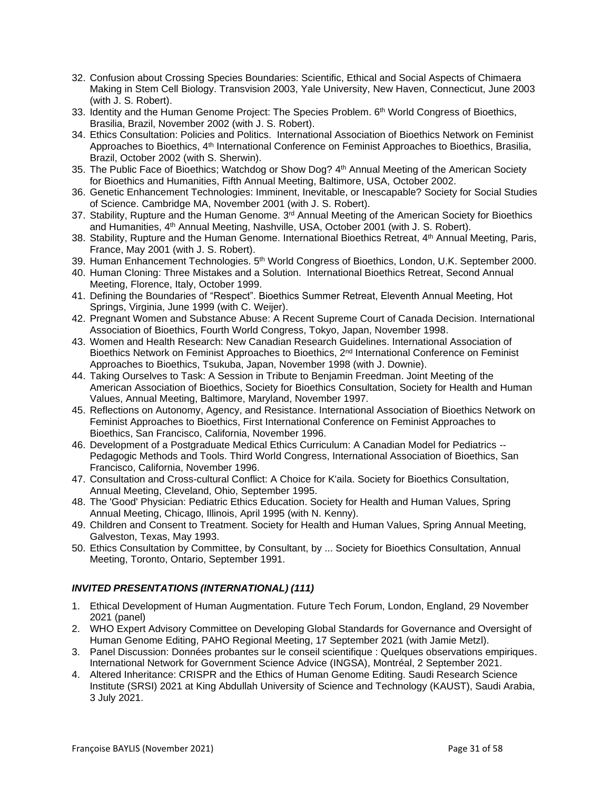- 32. Confusion about Crossing Species Boundaries: Scientific, Ethical and Social Aspects of Chimaera Making in Stem Cell Biology. Transvision 2003, Yale University, New Haven, Connecticut, June 2003 (with J. S. Robert).
- 33. Identity and the Human Genome Project: The Species Problem. 6<sup>th</sup> World Congress of Bioethics, Brasilia, Brazil, November 2002 (with J. S. Robert).
- 34. Ethics Consultation: Policies and Politics. International Association of Bioethics Network on Feminist Approaches to Bioethics, 4th International Conference on Feminist Approaches to Bioethics, Brasilia, Brazil, October 2002 (with S. Sherwin).
- 35. The Public Face of Bioethics; Watchdog or Show Dog? 4<sup>th</sup> Annual Meeting of the American Society for Bioethics and Humanities, Fifth Annual Meeting, Baltimore, USA, October 2002.
- 36. Genetic Enhancement Technologies: Imminent, Inevitable, or Inescapable? Society for Social Studies of Science. Cambridge MA, November 2001 (with J. S. Robert).
- 37. Stability, Rupture and the Human Genome. 3<sup>rd</sup> Annual Meeting of the American Society for Bioethics and Humanities, 4<sup>th</sup> Annual Meeting, Nashville, USA, October 2001 (with J. S. Robert).
- 38. Stability, Rupture and the Human Genome. International Bioethics Retreat, 4th Annual Meeting, Paris, France, May 2001 (with J. S. Robert).
- 39. Human Enhancement Technologies. 5<sup>th</sup> World Congress of Bioethics, London, U.K. September 2000.
- 40. Human Cloning: Three Mistakes and a Solution. International Bioethics Retreat, Second Annual Meeting, Florence, Italy, October 1999.
- 41. Defining the Boundaries of "Respect". Bioethics Summer Retreat, Eleventh Annual Meeting, Hot Springs, Virginia, June 1999 (with C. Weijer).
- 42. Pregnant Women and Substance Abuse: A Recent Supreme Court of Canada Decision. International Association of Bioethics, Fourth World Congress, Tokyo, Japan, November 1998.
- 43. Women and Health Research: New Canadian Research Guidelines. International Association of Bioethics Network on Feminist Approaches to Bioethics, 2<sup>nd</sup> International Conference on Feminist Approaches to Bioethics, Tsukuba, Japan, November 1998 (with J. Downie).
- 44. Taking Ourselves to Task: A Session in Tribute to Benjamin Freedman. Joint Meeting of the American Association of Bioethics, Society for Bioethics Consultation, Society for Health and Human Values, Annual Meeting, Baltimore, Maryland, November 1997.
- 45. Reflections on Autonomy, Agency, and Resistance. International Association of Bioethics Network on Feminist Approaches to Bioethics, First International Conference on Feminist Approaches to Bioethics, San Francisco, California, November 1996.
- 46. Development of a Postgraduate Medical Ethics Curriculum: A Canadian Model for Pediatrics -- Pedagogic Methods and Tools. Third World Congress, International Association of Bioethics, San Francisco, California, November 1996.
- 47. Consultation and Cross-cultural Conflict: A Choice for K'aila. Society for Bioethics Consultation, Annual Meeting, Cleveland, Ohio, September 1995.
- 48. The 'Good' Physician: Pediatric Ethics Education. Society for Health and Human Values, Spring Annual Meeting, Chicago, Illinois, April 1995 (with N. Kenny).
- 49. Children and Consent to Treatment. Society for Health and Human Values, Spring Annual Meeting, Galveston, Texas, May 1993.
- 50. Ethics Consultation by Committee, by Consultant, by ... Society for Bioethics Consultation, Annual Meeting, Toronto, Ontario, September 1991.

# *INVITED PRESENTATIONS (INTERNATIONAL) (111)*

- 1. Ethical Development of Human Augmentation. Future Tech Forum, London, England, 29 November 2021 (panel)
- 2. WHO Expert Advisory Committee on Developing Global Standards for Governance and Oversight of Human Genome Editing, PAHO Regional Meeting, 17 September 2021 (with Jamie Metzl).
- 3. Panel Discussion: Données probantes sur le conseil scientifique : Quelques observations empiriques. International Network for Government Science Advice (INGSA), Montréal, 2 September 2021.
- 4. Altered Inheritance: CRISPR and the Ethics of Human Genome Editing. Saudi Research Science Institute (SRSI) 2021 at King Abdullah University of Science and Technology (KAUST), Saudi Arabia, 3 July 2021.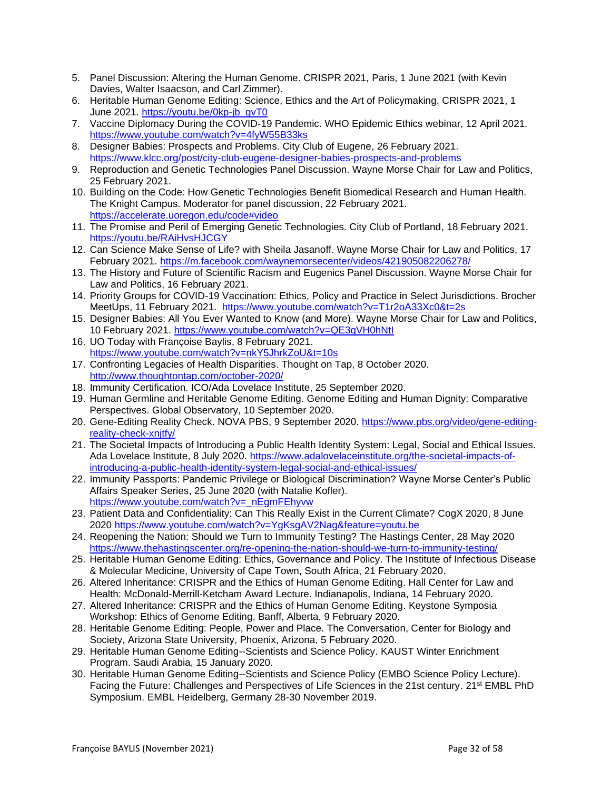- 5. Panel Discussion: Altering the Human Genome. CRISPR 2021, Paris, 1 June 2021 (with Kevin Davies, Walter Isaacson, and Carl Zimmer).
- 6. Heritable Human Genome Editing: Science, Ethics and the Art of Policymaking. CRISPR 2021, 1 June 2021. [https://youtu.be/0kp-jb\\_gvT0](https://youtu.be/0kp-jb_gvT0)
- 7. Vaccine Diplomacy During the COVID-19 Pandemic. WHO Epidemic Ethics webinar, 12 April 2021. <https://www.youtube.com/watch?v=4fyW55B33ks>
- 8. Designer Babies: Prospects and Problems. City Club of Eugene, 26 February 2021. <https://www.klcc.org/post/city-club-eugene-designer-babies-prospects-and-problems>
- 9. Reproduction and Genetic Technologies Panel Discussion. Wayne Morse Chair for Law and Politics, 25 February 2021.
- 10. Building on the Code: How Genetic Technologies Benefit Biomedical Research and Human Health. The Knight Campus. Moderator for panel discussion, 22 February 2021. <https://accelerate.uoregon.edu/code#video>
- 11. The Promise and Peril of Emerging Genetic Technologies. City Club of Portland, 18 February 2021. <https://youtu.be/RAiHvsHJCGY>
- 12. Can Science Make Sense of Life? with Sheila Jasanoff. Wayne Morse Chair for Law and Politics, 17 February 2021. <https://m.facebook.com/waynemorsecenter/videos/421905082206278/>
- 13. The History and Future of Scientific Racism and Eugenics Panel Discussion. Wayne Morse Chair for Law and Politics, 16 February 2021.
- 14. Priority Groups for COVID-19 Vaccination: Ethics, Policy and Practice in Select Jurisdictions. Brocher MeetUps, 11 February 2021. <https://www.youtube.com/watch?v=T1r2oA33Xc0&t=2s>
- 15. Designer Babies: All You Ever Wanted to Know (and More). Wayne Morse Chair for Law and Politics, 10 February 2021. <https://www.youtube.com/watch?v=QE3gVH0hNtI>
- 16. UO Today with Françoise Baylis, 8 February 2021. <https://www.youtube.com/watch?v=nkY5JhrkZoU&t=10s>
- 17. Confronting Legacies of Health Disparities. Thought on Tap, 8 October 2020. <http://www.thoughtontap.com/october-2020/>
- 18. Immunity Certification. ICO/Ada Lovelace Institute, 25 September 2020.
- 19. Human Germline and Heritable Genome Editing. Genome Editing and Human Dignity: Comparative Perspectives. Global Observatory, 10 September 2020.
- 20. Gene-Editing Reality Check. NOVA PBS, 9 September 2020. [https://www.pbs.org/video/gene-editing](https://www.pbs.org/video/gene-editing-reality-check-xnjtfy/)[reality-check-xnjtfy/](https://www.pbs.org/video/gene-editing-reality-check-xnjtfy/)
- 21. The Societal Impacts of Introducing a Public Health Identity System: Legal, Social and Ethical Issues. Ada Lovelace Institute, 8 July 2020. [https://www.adalovelaceinstitute.org/the-societal-impacts-of](https://www.adalovelaceinstitute.org/the-societal-impacts-of-introducing-a-public-health-identity-system-legal-social-and-ethical-issues/)[introducing-a-public-health-identity-system-legal-social-and-ethical-issues/](https://www.adalovelaceinstitute.org/the-societal-impacts-of-introducing-a-public-health-identity-system-legal-social-and-ethical-issues/)
- 22. Immunity Passports: Pandemic Privilege or Biological Discrimination? Wayne Morse Center's Public Affairs Speaker Series, 25 June 2020 (with Natalie Kofler). [https://www.youtube.com/watch?v=\\_nEgmFEhyvw](https://www.youtube.com/watch?v=_nEgmFEhyvw)
- 23. Patient Data and Confidentiality: Can This Really Exist in the Current Climate? CogX 2020, 8 June 2020<https://www.youtube.com/watch?v=YgKsgAV2Nag&feature=youtu.be>
- 24. Reopening the Nation: Should we Turn to Immunity Testing? The Hastings Center, 28 May 2020 <https://www.thehastingscenter.org/re-opening-the-nation-should-we-turn-to-immunity-testing/>
- 25. Heritable Human Genome Editing: Ethics, Governance and Policy. The Institute of Infectious Disease & Molecular Medicine, University of Cape Town, South Africa, 21 February 2020.
- 26. Altered Inheritance: CRISPR and the Ethics of Human Genome Editing. Hall Center for Law and Health: McDonald-Merrill-Ketcham Award Lecture. Indianapolis, Indiana, 14 February 2020.
- 27. Altered Inheritance: CRISPR and the Ethics of Human Genome Editing. Keystone Symposia Workshop: Ethics of Genome Editing, Banff, Alberta, 9 February 2020.
- 28. Heritable Genome Editing: People, Power and Place. The Conversation, Center for Biology and Society, Arizona State University, Phoenix, Arizona, 5 February 2020.
- 29. Heritable Human Genome Editing--Scientists and Science Policy. KAUST Winter Enrichment Program. Saudi Arabia, 15 January 2020.
- 30. Heritable Human Genome Editing--Scientists and Science Policy (EMBO Science Policy Lecture). Facing the Future: Challenges and Perspectives of Life Sciences in the 21st century. 21<sup>st</sup> EMBL PhD Symposium. EMBL Heidelberg, Germany 28-30 November 2019.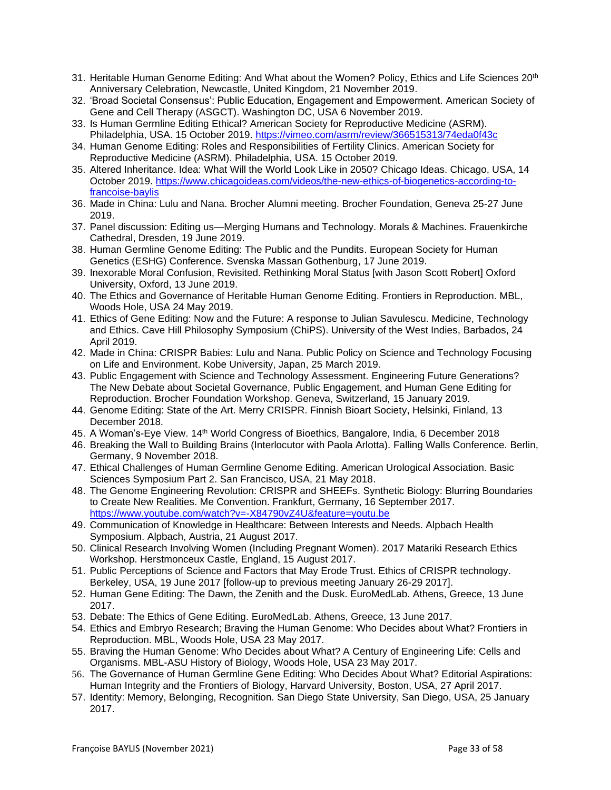- 31. Heritable Human Genome Editing: And What about the Women? Policy, Ethics and Life Sciences 20<sup>th</sup> Anniversary Celebration, Newcastle, United Kingdom, 21 November 2019.
- 32. 'Broad Societal Consensus': Public Education, Engagement and Empowerment. American Society of Gene and Cell Therapy (ASGCT). Washington DC, USA 6 November 2019.
- 33. Is Human Germline Editing Ethical? American Society for Reproductive Medicine (ASRM). Philadelphia, USA. 15 October 2019. <https://vimeo.com/asrm/review/366515313/74eda0f43c>
- 34. Human Genome Editing: Roles and Responsibilities of Fertility Clinics. American Society for Reproductive Medicine (ASRM). Philadelphia, USA. 15 October 2019.
- 35. Altered Inheritance. Idea: What Will the World Look Like in 2050? Chicago Ideas. Chicago, USA, 14 October 2019. [https://www.chicagoideas.com/videos/the-new-ethics-of-biogenetics-according-to](https://www.chicagoideas.com/videos/the-new-ethics-of-biogenetics-according-to-francoise-baylis)[francoise-baylis](https://www.chicagoideas.com/videos/the-new-ethics-of-biogenetics-according-to-francoise-baylis)
- 36. Made in China: Lulu and Nana. Brocher Alumni meeting. Brocher Foundation, Geneva 25-27 June 2019.
- 37. Panel discussion: Editing us—Merging Humans and Technology. Morals & Machines. Frauenkirche Cathedral, Dresden, 19 June 2019.
- 38. Human Germline Genome Editing: The Public and the Pundits. European Society for Human Genetics (ESHG) Conference. Svenska Massan Gothenburg, 17 June 2019.
- 39. Inexorable Moral Confusion, Revisited. Rethinking Moral Status [with Jason Scott Robert] Oxford University, Oxford, 13 June 2019.
- 40. The Ethics and Governance of Heritable Human Genome Editing. Frontiers in Reproduction. MBL, Woods Hole, USA 24 May 2019.
- 41. Ethics of Gene Editing: Now and the Future: A response to Julian Savulescu. Medicine, Technology and Ethics. Cave Hill Philosophy Symposium (ChiPS). University of the West Indies, Barbados, 24 April 2019.
- 42. Made in China: CRISPR Babies: Lulu and Nana. Public Policy on Science and Technology Focusing on Life and Environment. Kobe University, Japan, 25 March 2019.
- 43. Public Engagement with Science and Technology Assessment. Engineering Future Generations? The New Debate about Societal Governance, Public Engagement, and Human Gene Editing for Reproduction. Brocher Foundation Workshop. Geneva, Switzerland, 15 January 2019.
- 44. Genome Editing: State of the Art. Merry CRISPR. Finnish Bioart Society, Helsinki, Finland, 13 December 2018.
- 45. A Woman's-Eye View. 14<sup>th</sup> World Congress of Bioethics, Bangalore, India, 6 December 2018
- 46. Breaking the Wall to Building Brains (Interlocutor with Paola Arlotta). Falling Walls Conference. Berlin, Germany, 9 November 2018.
- 47. Ethical Challenges of Human Germline Genome Editing. American Urological Association. Basic Sciences Symposium Part 2. San Francisco, USA, 21 May 2018.
- 48. The Genome Engineering Revolution: CRISPR and SHEEFs. Synthetic Biology: Blurring Boundaries to Create New Realities. Me Convention. Frankfurt, Germany, 16 September 2017. <https://www.youtube.com/watch?v=-X84790vZ4U&feature=youtu.be>
- 49. Communication of Knowledge in Healthcare: Between Interests and Needs. Alpbach Health Symposium. Alpbach, Austria, 21 August 2017.
- 50. Clinical Research Involving Women (Including Pregnant Women). 2017 Matariki Research Ethics Workshop. Herstmonceux Castle, England, 15 August 2017.
- 51. Public Perceptions of Science and Factors that May Erode Trust. Ethics of CRISPR technology. Berkeley, USA, 19 June 2017 [follow-up to previous meeting January 26-29 2017].
- 52. Human Gene Editing: The Dawn, the Zenith and the Dusk. EuroMedLab. Athens, Greece, 13 June 2017.
- 53. Debate: The Ethics of Gene Editing. EuroMedLab. Athens, Greece, 13 June 2017.
- 54. Ethics and Embryo Research; Braving the Human Genome: Who Decides about What? Frontiers in Reproduction. MBL, Woods Hole, USA 23 May 2017.
- 55. Braving the Human Genome: Who Decides about What? A Century of Engineering Life: Cells and Organisms. MBL-ASU History of Biology, Woods Hole, USA 23 May 2017.
- 56. The Governance of Human Germline Gene Editing: Who Decides About What? Editorial Aspirations: Human Integrity and the Frontiers of Biology, Harvard University, Boston, USA, 27 April 2017.
- 57. Identity: Memory, Belonging, Recognition. San Diego State University, San Diego, USA, 25 January 2017.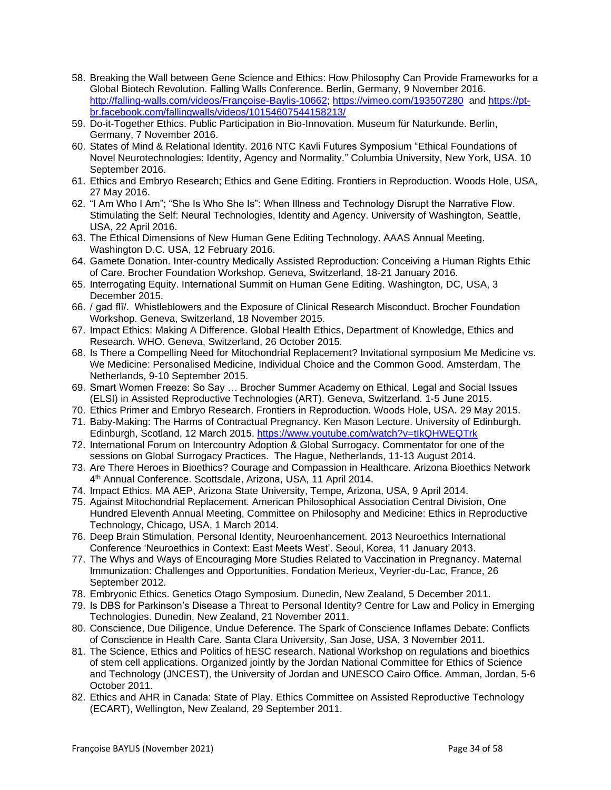- 58. Breaking the Wall between Gene Science and Ethics: How Philosophy Can Provide Frameworks for a Global Biotech Revolution. Falling Walls Conference. Berlin, Germany, 9 November 2016. [http://falling-walls.com/videos/Françoise-Baylis-10662;](http://falling-walls.com/videos/Françoise-Baylis-10662)<https://vimeo.com/193507280> and [https://pt](https://pt-br.facebook.com/fallingwalls/videos/10154607544158213/)[br.facebook.com/fallingwalls/videos/10154607544158213/](https://pt-br.facebook.com/fallingwalls/videos/10154607544158213/)
- 59. Do-it-Together Ethics. Public Participation in Bio-Innovation. Museum für Naturkunde. Berlin, Germany, 7 November 2016.
- 60. States of Mind & Relational Identity. 2016 NTC Kavli Futures Symposium "Ethical Foundations of Novel Neurotechnologies: Identity, Agency and Normality." Columbia University, New York, USA. 10 September 2016.
- 61. Ethics and Embryo Research; Ethics and Gene Editing. Frontiers in Reproduction. Woods Hole, USA, 27 May 2016.
- 62. "I Am Who I Am"; "She Is Who She Is": When Illness and Technology Disrupt the Narrative Flow. Stimulating the Self: Neural Technologies, Identity and Agency. University of Washington, Seattle, USA, 22 April 2016.
- 63. The Ethical Dimensions of New Human Gene Editing Technology. AAAS Annual Meeting. Washington D.C. USA, 12 February 2016.
- 64. Gamete Donation. Inter-country Medically Assisted Reproduction: Conceiving a Human Rights Ethic of Care. Brocher Foundation Workshop. Geneva, Switzerland, 18-21 January 2016.
- 65. Interrogating Equity. International Summit on Human Gene Editing. Washington, DC, USA, 3 December 2015.
- 66. /ˈɡadˌflī/. Whistleblowers and the Exposure of Clinical Research Misconduct. Brocher Foundation Workshop. Geneva, Switzerland, 18 November 2015.
- 67. Impact Ethics: Making A Difference. Global Health Ethics, Department of Knowledge, Ethics and Research. WHO. Geneva, Switzerland, 26 October 2015.
- 68. Is There a Compelling Need for Mitochondrial Replacement? Invitational symposium Me Medicine vs. We Medicine: Personalised Medicine, Individual Choice and the Common Good. Amsterdam, The Netherlands, 9-10 September 2015.
- 69. Smart Women Freeze: So Say … Brocher Summer Academy on Ethical, Legal and Social Issues (ELSI) in Assisted Reproductive Technologies (ART). Geneva, Switzerland. 1-5 June 2015.
- 70. Ethics Primer and Embryo Research. Frontiers in Reproduction. Woods Hole, USA. 29 May 2015.
- 71. Baby-Making: The Harms of Contractual Pregnancy. Ken Mason Lecture. University of Edinburgh. Edinburgh, Scotland, 12 March 2015. https://www.youtube.com/watch?v=tlkQHWEQTrk
- 72. International Forum on Intercountry Adoption & Global Surrogacy. Commentator for one of the sessions on Global Surrogacy Practices. The Hague, Netherlands, 11-13 August 2014.
- 73. Are There Heroes in Bioethics? Courage and Compassion in Healthcare. Arizona Bioethics Network 4 th Annual Conference. Scottsdale, Arizona, USA, 11 April 2014.
- 74. Impact Ethics. MA AEP, Arizona State University, Tempe, Arizona, USA, 9 April 2014.
- 75. Against Mitochondrial Replacement. American Philosophical Association Central Division, One Hundred Eleventh Annual Meeting, Committee on Philosophy and Medicine: Ethics in Reproductive Technology, Chicago, USA, 1 March 2014.
- 76. Deep Brain Stimulation, Personal Identity, Neuroenhancement. 2013 Neuroethics International Conference 'Neuroethics in Context: East Meets West'. Seoul, Korea, 11 January 2013.
- 77. The Whys and Ways of Encouraging More Studies Related to Vaccination in Pregnancy. Maternal Immunization: Challenges and Opportunities. Fondation Merieux, Veyrier-du-Lac, France, 26 September 2012.
- 78. Embryonic Ethics. Genetics Otago Symposium. Dunedin, New Zealand, 5 December 2011.
- 79. Is DBS for Parkinson's Disease a Threat to Personal Identity? Centre for Law and Policy in Emerging Technologies. Dunedin, New Zealand, 21 November 2011.
- 80. Conscience, Due Diligence, Undue Deference. The Spark of Conscience Inflames Debate: Conflicts of Conscience in Health Care. Santa Clara University, San Jose, USA, 3 November 2011.
- 81. The Science, Ethics and Politics of hESC research. National Workshop on regulations and bioethics of stem cell applications. Organized jointly by the Jordan National Committee for Ethics of Science and Technology (JNCEST), the University of Jordan and UNESCO Cairo Office. Amman, Jordan, 5-6 October 2011.
- 82. Ethics and AHR in Canada: State of Play. Ethics Committee on Assisted Reproductive Technology (ECART), Wellington, New Zealand, 29 September 2011.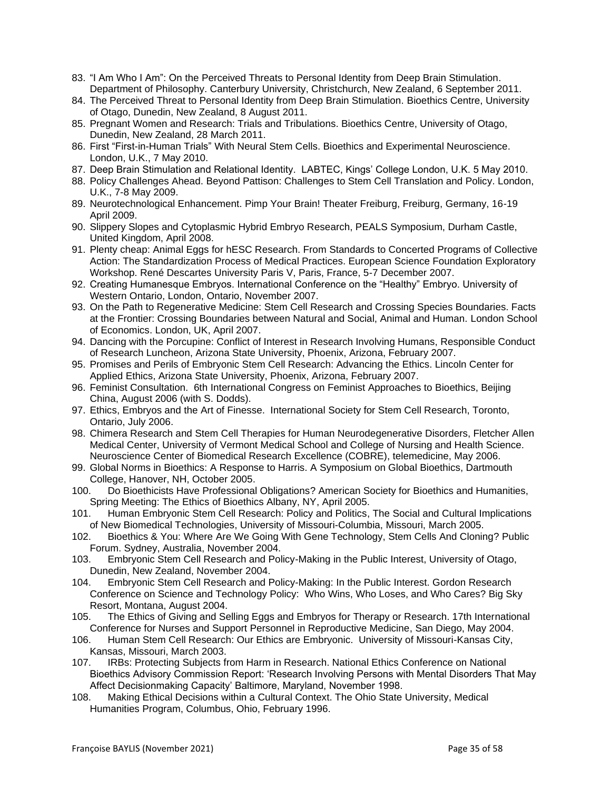- 83. "I Am Who I Am": On the Perceived Threats to Personal Identity from Deep Brain Stimulation. Department of Philosophy. Canterbury University, Christchurch, New Zealand, 6 September 2011.
- 84. The Perceived Threat to Personal Identity from Deep Brain Stimulation. Bioethics Centre, University of Otago, Dunedin, New Zealand, 8 August 2011.
- 85. Pregnant Women and Research: Trials and Tribulations. Bioethics Centre, University of Otago, Dunedin, New Zealand, 28 March 2011.
- 86. First "First-in-Human Trials" With Neural Stem Cells. Bioethics and Experimental Neuroscience. London, U.K., 7 May 2010.
- 87. Deep Brain Stimulation and Relational Identity. LABTEC, Kings' College London, U.K. 5 May 2010.
- 88. Policy Challenges Ahead. Beyond Pattison: Challenges to Stem Cell Translation and Policy. London, U.K., 7-8 May 2009.
- 89. Neurotechnological Enhancement. Pimp Your Brain! Theater Freiburg, Freiburg, Germany, 16-19 April 2009.
- 90. Slippery Slopes and Cytoplasmic Hybrid Embryo Research, PEALS Symposium, Durham Castle, United Kingdom, April 2008.
- 91. Plenty cheap: Animal Eggs for hESC Research. From Standards to Concerted Programs of Collective Action: The Standardization Process of Medical Practices. European Science Foundation Exploratory Workshop. René Descartes University Paris V, Paris, France, 5-7 December 2007.
- 92. Creating Humanesque Embryos. International Conference on the "Healthy" Embryo. University of Western Ontario, London, Ontario, November 2007.
- 93. On the Path to Regenerative Medicine: Stem Cell Research and Crossing Species Boundaries. Facts at the Frontier: Crossing Boundaries between Natural and Social, Animal and Human. London School of Economics. London, UK, April 2007.
- 94. Dancing with the Porcupine: Conflict of Interest in Research Involving Humans, Responsible Conduct of Research Luncheon, Arizona State University, Phoenix, Arizona, February 2007.
- 95. Promises and Perils of Embryonic Stem Cell Research: Advancing the Ethics. Lincoln Center for Applied Ethics, Arizona State University, Phoenix, Arizona, February 2007.
- 96. Feminist Consultation. 6th International Congress on Feminist Approaches to Bioethics, Beijing China, August 2006 (with S. Dodds).
- 97. Ethics, Embryos and the Art of Finesse. International Society for Stem Cell Research, Toronto, Ontario, July 2006.
- 98. Chimera Research and Stem Cell Therapies for Human Neurodegenerative Disorders, Fletcher Allen Medical Center, University of Vermont Medical School and College of Nursing and Health Science. Neuroscience Center of Biomedical Research Excellence (COBRE), telemedicine, May 2006.
- 99. Global Norms in Bioethics: A Response to Harris. A Symposium on Global Bioethics, Dartmouth College, Hanover, NH, October 2005.
- 100. Do Bioethicists Have Professional Obligations? American Society for Bioethics and Humanities, Spring Meeting: The Ethics of Bioethics Albany, NY, April 2005.
- 101. Human Embryonic Stem Cell Research: Policy and Politics, The Social and Cultural Implications of New Biomedical Technologies, University of Missouri-Columbia, Missouri, March 2005.
- 102. Bioethics & You: Where Are We Going With Gene Technology, Stem Cells And Cloning? Public Forum. Sydney, Australia, November 2004.
- 103. Embryonic Stem Cell Research and Policy-Making in the Public Interest, University of Otago, Dunedin, New Zealand, November 2004.
- 104. Embryonic Stem Cell Research and Policy-Making: In the Public Interest. Gordon Research Conference on Science and Technology Policy: Who Wins, Who Loses, and Who Cares? Big Sky Resort, Montana, August 2004.
- 105. The Ethics of Giving and Selling Eggs and Embryos for Therapy or Research. 17th International Conference for Nurses and Support Personnel in Reproductive Medicine, San Diego, May 2004.
- 106. Human Stem Cell Research: Our Ethics are Embryonic. University of Missouri-Kansas City, Kansas, Missouri, March 2003.
- 107. IRBs: Protecting Subjects from Harm in Research. National Ethics Conference on National Bioethics Advisory Commission Report: 'Research Involving Persons with Mental Disorders That May Affect Decisionmaking Capacity' Baltimore, Maryland, November 1998.
- 108. Making Ethical Decisions within a Cultural Context. The Ohio State University, Medical Humanities Program, Columbus, Ohio, February 1996.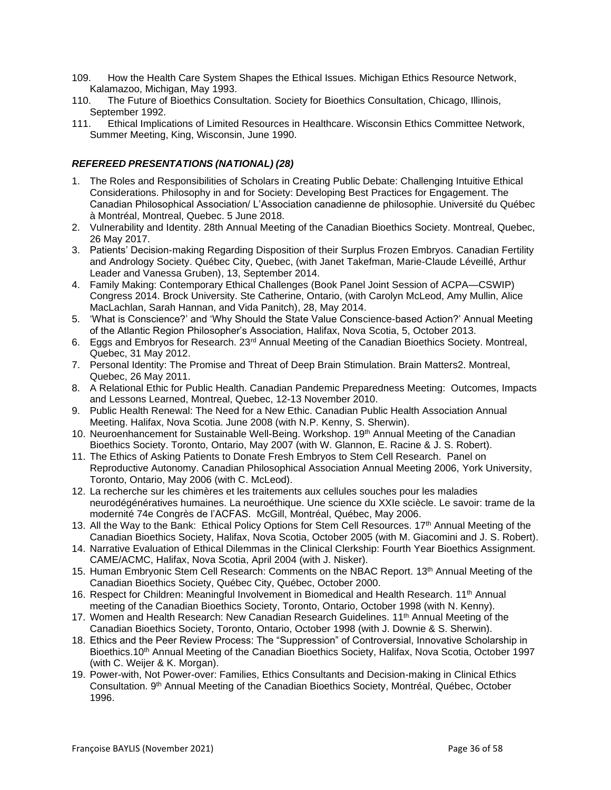- 109. How the Health Care System Shapes the Ethical Issues. Michigan Ethics Resource Network, Kalamazoo, Michigan, May 1993.
- 110. The Future of Bioethics Consultation. Society for Bioethics Consultation, Chicago, Illinois, September 1992.
- 111. Ethical Implications of Limited Resources in Healthcare. Wisconsin Ethics Committee Network, Summer Meeting, King, Wisconsin, June 1990.

# *REFEREED PRESENTATIONS (NATIONAL) (28)*

- 1. The Roles and Responsibilities of Scholars in Creating Public Debate: Challenging Intuitive Ethical Considerations. Philosophy in and for Society: Developing Best Practices for Engagement. The Canadian Philosophical Association/ L'Association canadienne de philosophie. Université du Québec à Montréal, Montreal, Quebec. 5 June 2018.
- 2. Vulnerability and Identity. 28th Annual Meeting of the Canadian Bioethics Society. Montreal, Quebec, 26 May 2017.
- 3. Patients' Decision-making Regarding Disposition of their Surplus Frozen Embryos. Canadian Fertility and Andrology Society. Québec City, Quebec, (with Janet Takefman, Marie-Claude Léveillé, Arthur Leader and Vanessa Gruben), 13, September 2014.
- 4. Family Making: Contemporary Ethical Challenges (Book Panel Joint Session of ACPA—CSWIP) Congress 2014. Brock University. Ste Catherine, Ontario, (with Carolyn McLeod, Amy Mullin, Alice MacLachlan, Sarah Hannan, and Vida Panitch), 28, May 2014.
- 5. 'What is Conscience?' and 'Why Should the State Value Conscience-based Action?' Annual Meeting of the Atlantic Region Philosopher's Association, Halifax, Nova Scotia, 5, October 2013.
- 6. Eggs and Embryos for Research. 23rd Annual Meeting of the Canadian Bioethics Society. Montreal, Quebec, 31 May 2012.
- 7. Personal Identity: The Promise and Threat of Deep Brain Stimulation. Brain Matters2. Montreal, Quebec, 26 May 2011.
- 8. A Relational Ethic for Public Health. Canadian Pandemic Preparedness Meeting: Outcomes, Impacts and Lessons Learned, Montreal, Quebec, 12-13 November 2010.
- 9. Public Health Renewal: The Need for a New Ethic. Canadian Public Health Association Annual Meeting. Halifax, Nova Scotia. June 2008 (with N.P. Kenny, S. Sherwin).
- 10. Neuroenhancement for Sustainable Well-Being. Workshop. 19<sup>th</sup> Annual Meeting of the Canadian Bioethics Society. Toronto, Ontario, May 2007 (with W. Glannon, E. Racine & J. S. Robert).
- 11. The Ethics of Asking Patients to Donate Fresh Embryos to Stem Cell Research. Panel on Reproductive Autonomy. Canadian Philosophical Association Annual Meeting 2006, York University, Toronto, Ontario, May 2006 (with C. McLeod).
- 12. La recherche sur les chimères et les traitements aux cellules souches pour les maladies neurodégénératives humaines. La neuroéthique. Une science du XXIe sciècle. Le savoir: trame de la modernité 74e Congrès de l'ACFAS. McGill, Montréal, Québec, May 2006.
- 13. All the Way to the Bank: Ethical Policy Options for Stem Cell Resources. 17<sup>th</sup> Annual Meeting of the Canadian Bioethics Society, Halifax, Nova Scotia, October 2005 (with M. Giacomini and J. S. Robert).
- 14. Narrative Evaluation of Ethical Dilemmas in the Clinical Clerkship: Fourth Year Bioethics Assignment. CAME/ACMC, Halifax, Nova Scotia, April 2004 (with J. Nisker).
- 15. Human Embryonic Stem Cell Research: Comments on the NBAC Report. 13<sup>th</sup> Annual Meeting of the Canadian Bioethics Society, Québec City, Québec, October 2000.
- 16. Respect for Children: Meaningful Involvement in Biomedical and Health Research. 11<sup>th</sup> Annual meeting of the Canadian Bioethics Society, Toronto, Ontario, October 1998 (with N. Kenny).
- 17. Women and Health Research: New Canadian Research Guidelines. 11<sup>th</sup> Annual Meeting of the Canadian Bioethics Society, Toronto, Ontario, October 1998 (with J. Downie & S. Sherwin).
- 18. Ethics and the Peer Review Process: The "Suppression" of Controversial, Innovative Scholarship in Bioethics.10<sup>th</sup> Annual Meeting of the Canadian Bioethics Society, Halifax, Nova Scotia, October 1997 (with C. Weijer & K. Morgan).
- 19. Power-with, Not Power-over: Families, Ethics Consultants and Decision-making in Clinical Ethics Consultation. 9<sup>th</sup> Annual Meeting of the Canadian Bioethics Society, Montréal, Québec, October 1996.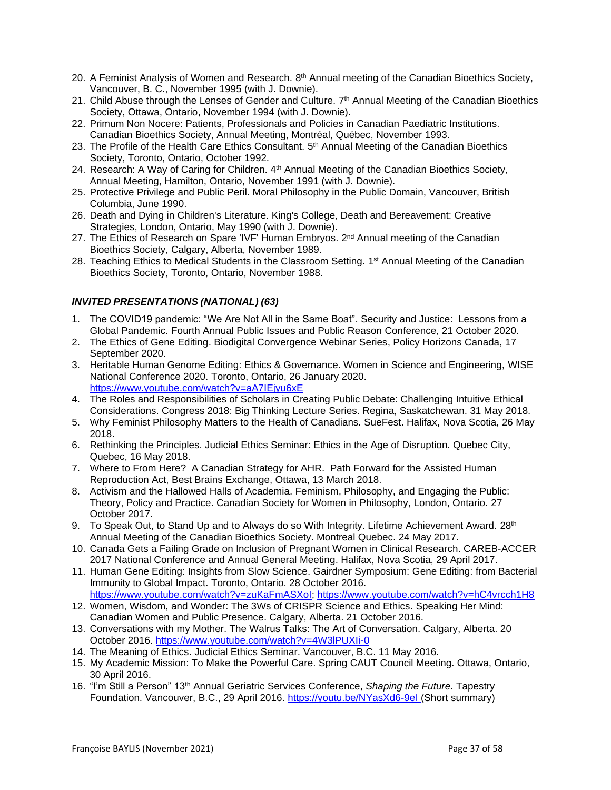- 20. A Feminist Analysis of Women and Research. 8<sup>th</sup> Annual meeting of the Canadian Bioethics Society, Vancouver, B. C., November 1995 (with J. Downie).
- 21. Child Abuse through the Lenses of Gender and Culture. 7<sup>th</sup> Annual Meeting of the Canadian Bioethics Society, Ottawa, Ontario, November 1994 (with J. Downie).
- 22. Primum Non Nocere: Patients, Professionals and Policies in Canadian Paediatric Institutions. Canadian Bioethics Society, Annual Meeting, Montréal, Québec, November 1993.
- 23. The Profile of the Health Care Ethics Consultant. 5<sup>th</sup> Annual Meeting of the Canadian Bioethics Society, Toronto, Ontario, October 1992.
- 24. Research: A Way of Caring for Children. 4<sup>th</sup> Annual Meeting of the Canadian Bioethics Society, Annual Meeting, Hamilton, Ontario, November 1991 (with J. Downie).
- 25. Protective Privilege and Public Peril. Moral Philosophy in the Public Domain, Vancouver, British Columbia, June 1990.
- 26. Death and Dying in Children's Literature. King's College, Death and Bereavement: Creative Strategies, London, Ontario, May 1990 (with J. Downie).
- 27. The Ethics of Research on Spare 'IVF' Human Embryos. 2<sup>nd</sup> Annual meeting of the Canadian Bioethics Society, Calgary, Alberta, November 1989.
- 28. Teaching Ethics to Medical Students in the Classroom Setting. 1<sup>st</sup> Annual Meeting of the Canadian Bioethics Society, Toronto, Ontario, November 1988.

# *INVITED PRESENTATIONS (NATIONAL) (63)*

- 1. The COVID19 pandemic: "We Are Not All in the Same Boat". Security and Justice: Lessons from a Global Pandemic. Fourth Annual Public Issues and Public Reason Conference, 21 October 2020.
- 2. The Ethics of Gene Editing. Biodigital Convergence Webinar Series, Policy Horizons Canada, 17 September 2020.
- 3. Heritable Human Genome Editing: Ethics & Governance. Women in Science and Engineering, WISE National Conference 2020. Toronto, Ontario, 26 January 2020. <https://www.youtube.com/watch?v=aA7IEjyu6xE>
- 4. The Roles and Responsibilities of Scholars in Creating Public Debate: Challenging Intuitive Ethical Considerations. Congress 2018: Big Thinking Lecture Series. Regina, Saskatchewan. 31 May 2018.
- 5. Why Feminist Philosophy Matters to the Health of Canadians. SueFest. Halifax, Nova Scotia, 26 May 2018.
- 6. Rethinking the Principles. Judicial Ethics Seminar: Ethics in the Age of Disruption. Quebec City, Quebec, 16 May 2018.
- 7. Where to From Here? A Canadian Strategy for AHR. Path Forward for the Assisted Human Reproduction Act, Best Brains Exchange, Ottawa, 13 March 2018.
- 8. Activism and the Hallowed Halls of Academia. Feminism, Philosophy, and Engaging the Public: Theory, Policy and Practice. Canadian Society for Women in Philosophy, London, Ontario. 27 October 2017.
- 9. To Speak Out, to Stand Up and to Always do so With Integrity. Lifetime Achievement Award. 28<sup>th</sup> Annual Meeting of the Canadian Bioethics Society. Montreal Quebec. 24 May 2017.
- 10. Canada Gets a Failing Grade on Inclusion of Pregnant Women in Clinical Research. CAREB-ACCER 2017 National Conference and Annual General Meeting. Halifax, Nova Scotia, 29 April 2017.
- 11. Human Gene Editing: Insights from Slow Science. Gairdner Symposium: Gene Editing: from Bacterial Immunity to Global Impact. Toronto, Ontario. 28 October 2016. [https://www.youtube.com/watch?v=zuKaFmASXoI;](https://www.youtube.com/watch?v=zuKaFmASXoI)<https://www.youtube.com/watch?v=hC4vrcch1H8>
- 12. Women, Wisdom, and Wonder: The 3Ws of CRISPR Science and Ethics. Speaking Her Mind: Canadian Women and Public Presence. Calgary, Alberta. 21 October 2016.
- 13. Conversations with my Mother. The Walrus Talks: The Art of Conversation. Calgary, Alberta. 20 October 2016. <https://www.youtube.com/watch?v=4W3lPUXIi-0>
- 14. The Meaning of Ethics. Judicial Ethics Seminar. Vancouver, B.C. 11 May 2016.
- 15. My Academic Mission: To Make the Powerful Care. Spring CAUT Council Meeting. Ottawa, Ontario, 30 April 2016.
- 16. "I'm Still a Person" 13th Annual Geriatric Services Conference, *Shaping the Future.* Tapestry Foundation. Vancouver, B.C., 29 April 2016. <https://youtu.be/NYasXd6-9eI> (Short summary)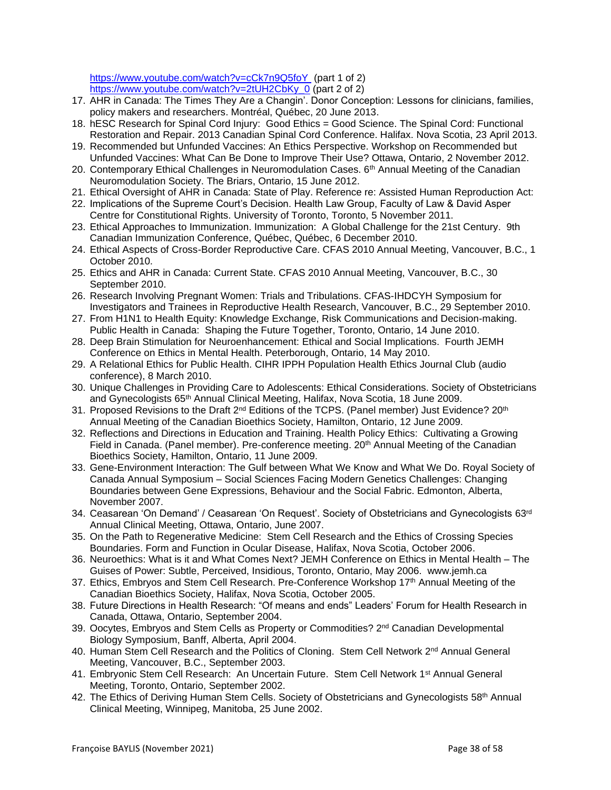[https://www.youtube.com/watch?v=cCk7n9Q5foY](https://www.youtube.com/watch?v=cCk7n9Q5foY%20%20) (part 1 of 2) [https://www.youtube.com/watch?v=2tUH2CbKy\\_0](https://www.youtube.com/watch?v=2tUH2CbKy_0) (part 2 of 2)

- 17. AHR in Canada: The Times They Are a Changin'. Donor Conception: Lessons for clinicians, families, policy makers and researchers. Montréal, Québec, 20 June 2013.
- 18. hESC Research for Spinal Cord Injury: Good Ethics = Good Science. The Spinal Cord: Functional Restoration and Repair. 2013 Canadian Spinal Cord Conference. Halifax. Nova Scotia, 23 April 2013.
- 19. Recommended but Unfunded Vaccines: An Ethics Perspective. Workshop on Recommended but Unfunded Vaccines: What Can Be Done to Improve Their Use? Ottawa, Ontario, 2 November 2012.
- 20. Contemporary Ethical Challenges in Neuromodulation Cases. 6<sup>th</sup> Annual Meeting of the Canadian Neuromodulation Society. The Briars, Ontario, 15 June 2012.
- 21. Ethical Oversight of AHR in Canada: State of Play. Reference re: Assisted Human Reproduction Act:
- 22. Implications of the Supreme Court's Decision. Health Law Group, Faculty of Law & David Asper Centre for Constitutional Rights. University of Toronto, Toronto, 5 November 2011.
- 23. Ethical Approaches to Immunization. Immunization: A Global Challenge for the 21st Century. 9th Canadian Immunization Conference, Québec, Québec, 6 December 2010.
- 24. Ethical Aspects of Cross-Border Reproductive Care. CFAS 2010 Annual Meeting, Vancouver, B.C., 1 October 2010.
- 25. Ethics and AHR in Canada: Current State. CFAS 2010 Annual Meeting, Vancouver, B.C., 30 September 2010.
- 26. Research Involving Pregnant Women: Trials and Tribulations. CFAS-IHDCYH Symposium for Investigators and Trainees in Reproductive Health Research, Vancouver, B.C., 29 September 2010.
- 27. From H1N1 to Health Equity: Knowledge Exchange, Risk Communications and Decision-making. Public Health in Canada: Shaping the Future Together, Toronto, Ontario, 14 June 2010.
- 28. Deep Brain Stimulation for Neuroenhancement: Ethical and Social Implications. Fourth JEMH Conference on Ethics in Mental Health. Peterborough, Ontario, 14 May 2010.
- 29. A Relational Ethics for Public Health. CIHR IPPH Population Health Ethics Journal Club (audio conference), 8 March 2010.
- 30. Unique Challenges in Providing Care to Adolescents: Ethical Considerations. Society of Obstetricians and Gynecologists 65<sup>th</sup> Annual Clinical Meeting, Halifax, Nova Scotia, 18 June 2009.
- 31. Proposed Revisions to the Draft  $2^{nd}$  Editions of the TCPS. (Panel member) Just Evidence?  $20^{th}$ Annual Meeting of the Canadian Bioethics Society, Hamilton, Ontario, 12 June 2009.
- 32. Reflections and Directions in Education and Training. Health Policy Ethics: Cultivating a Growing Field in Canada. (Panel member). Pre-conference meeting. 20<sup>th</sup> Annual Meeting of the Canadian Bioethics Society, Hamilton, Ontario, 11 June 2009.
- 33. Gene-Environment Interaction: The Gulf between What We Know and What We Do. Royal Society of Canada Annual Symposium – Social Sciences Facing Modern Genetics Challenges: Changing Boundaries between Gene Expressions, Behaviour and the Social Fabric. Edmonton, Alberta, November 2007.
- 34. Ceasarean 'On Demand' / Ceasarean 'On Request'. Society of Obstetricians and Gynecologists 63rd Annual Clinical Meeting, Ottawa, Ontario, June 2007.
- 35. On the Path to Regenerative Medicine: Stem Cell Research and the Ethics of Crossing Species Boundaries. Form and Function in Ocular Disease, Halifax, Nova Scotia, October 2006.
- 36. Neuroethics: What is it and What Comes Next? JEMH Conference on Ethics in Mental Health The Guises of Power: Subtle, Perceived, Insidious, Toronto, Ontario, May 2006. www.jemh.ca
- 37. Ethics, Embryos and Stem Cell Research. Pre-Conference Workshop 17<sup>th</sup> Annual Meeting of the Canadian Bioethics Society, Halifax, Nova Scotia, October 2005.
- 38. Future Directions in Health Research: "Of means and ends" Leaders' Forum for Health Research in Canada, Ottawa, Ontario, September 2004.
- 39. Oocytes, Embryos and Stem Cells as Property or Commodities? 2nd Canadian Developmental Biology Symposium, Banff, Alberta, April 2004.
- 40. Human Stem Cell Research and the Politics of Cloning. Stem Cell Network 2<sup>nd</sup> Annual General Meeting, Vancouver, B.C., September 2003.
- 41. Embryonic Stem Cell Research: An Uncertain Future. Stem Cell Network 1<sup>st</sup> Annual General Meeting, Toronto, Ontario, September 2002.
- 42. The Ethics of Deriving Human Stem Cells. Society of Obstetricians and Gynecologists 58<sup>th</sup> Annual Clinical Meeting, Winnipeg, Manitoba, 25 June 2002.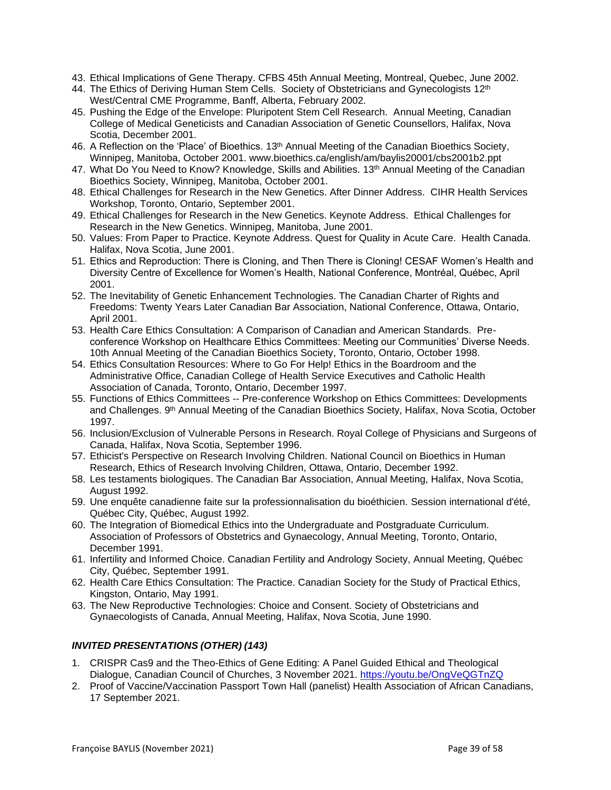- 43. Ethical Implications of Gene Therapy. CFBS 45th Annual Meeting, Montreal, Quebec, June 2002.
- 44. The Ethics of Deriving Human Stem Cells. Society of Obstetricians and Gynecologists 12<sup>th</sup> West/Central CME Programme, Banff, Alberta, February 2002.
- 45. Pushing the Edge of the Envelope: Pluripotent Stem Cell Research. Annual Meeting, Canadian College of Medical Geneticists and Canadian Association of Genetic Counsellors, Halifax, Nova Scotia, December 2001.
- 46. A Reflection on the 'Place' of Bioethics. 13th Annual Meeting of the Canadian Bioethics Society, Winnipeg, Manitoba, October 2001. www.bioethics.ca/english/am/baylis20001/cbs2001b2.ppt
- 47. What Do You Need to Know? Knowledge, Skills and Abilities. 13<sup>th</sup> Annual Meeting of the Canadian Bioethics Society, Winnipeg, Manitoba, October 2001.
- 48. Ethical Challenges for Research in the New Genetics. After Dinner Address. CIHR Health Services Workshop, Toronto, Ontario, September 2001.
- 49. Ethical Challenges for Research in the New Genetics. Keynote Address. Ethical Challenges for Research in the New Genetics. Winnipeg, Manitoba, June 2001.
- 50. Values: From Paper to Practice. Keynote Address. Quest for Quality in Acute Care. Health Canada. Halifax, Nova Scotia, June 2001.
- 51. Ethics and Reproduction: There is Cloning, and Then There is Cloning! CESAF Women's Health and Diversity Centre of Excellence for Women's Health, National Conference, Montréal, Québec, April 2001.
- 52. The Inevitability of Genetic Enhancement Technologies. The Canadian Charter of Rights and Freedoms: Twenty Years Later Canadian Bar Association, National Conference, Ottawa, Ontario, April 2001.
- 53. Health Care Ethics Consultation: A Comparison of Canadian and American Standards. Preconference Workshop on Healthcare Ethics Committees: Meeting our Communities' Diverse Needs. 10th Annual Meeting of the Canadian Bioethics Society, Toronto, Ontario, October 1998.
- 54. Ethics Consultation Resources: Where to Go For Help! Ethics in the Boardroom and the Administrative Office, Canadian College of Health Service Executives and Catholic Health Association of Canada, Toronto, Ontario, December 1997.
- 55. Functions of Ethics Committees -- Pre-conference Workshop on Ethics Committees: Developments and Challenges. 9<sup>th</sup> Annual Meeting of the Canadian Bioethics Society, Halifax, Nova Scotia, October 1997.
- 56. Inclusion/Exclusion of Vulnerable Persons in Research. Royal College of Physicians and Surgeons of Canada, Halifax, Nova Scotia, September 1996.
- 57. Ethicist's Perspective on Research Involving Children. National Council on Bioethics in Human Research, Ethics of Research Involving Children, Ottawa, Ontario, December 1992.
- 58. Les testaments biologiques. The Canadian Bar Association, Annual Meeting, Halifax, Nova Scotia, August 1992.
- 59. Une enquête canadienne faite sur la professionnalisation du bioéthicien. Session international d'été, Québec City, Québec, August 1992.
- 60. The Integration of Biomedical Ethics into the Undergraduate and Postgraduate Curriculum. Association of Professors of Obstetrics and Gynaecology, Annual Meeting, Toronto, Ontario, December 1991.
- 61. Infertility and Informed Choice. Canadian Fertility and Andrology Society, Annual Meeting, Québec City, Québec, September 1991.
- 62. Health Care Ethics Consultation: The Practice. Canadian Society for the Study of Practical Ethics, Kingston, Ontario, May 1991.
- 63. The New Reproductive Technologies: Choice and Consent. Society of Obstetricians and Gynaecologists of Canada, Annual Meeting, Halifax, Nova Scotia, June 1990.

# *INVITED PRESENTATIONS (OTHER) (143)*

- 1. CRISPR Cas9 and the Theo-Ethics of Gene Editing: A Panel Guided Ethical and Theological Dialogue, Canadian Council of Churches, 3 November 2021. <https://youtu.be/OngVeQGTnZQ>
- 2. Proof of Vaccine/Vaccination Passport Town Hall (panelist) Health Association of African Canadians, 17 September 2021.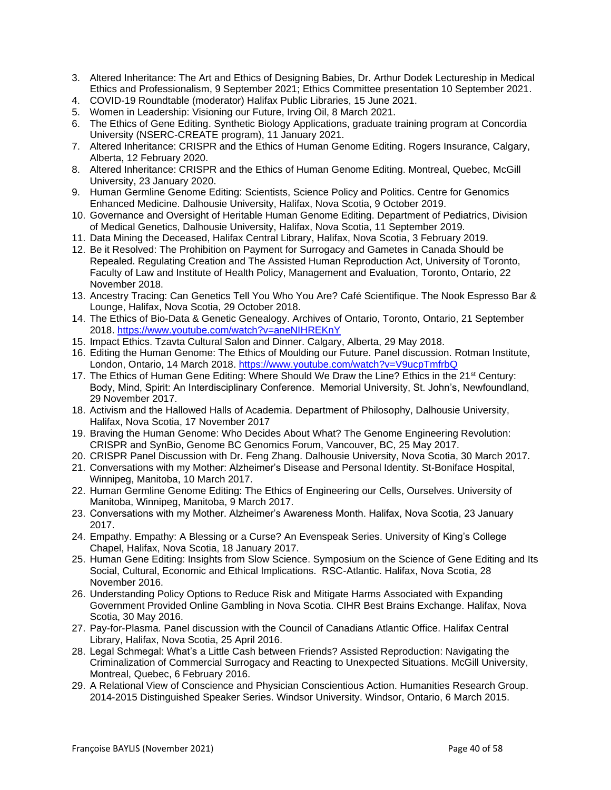- 3. Altered Inheritance: The Art and Ethics of Designing Babies, Dr. Arthur Dodek Lectureship in Medical Ethics and Professionalism, 9 September 2021; Ethics Committee presentation 10 September 2021.
- 4. COVID-19 Roundtable (moderator) Halifax Public Libraries, 15 June 2021.
- 5. Women in Leadership: Visioning our Future, Irving Oil, 8 March 2021.
- 6. The Ethics of Gene Editing. Synthetic Biology Applications, graduate training program at Concordia University (NSERC-CREATE program), 11 January 2021.
- 7. Altered Inheritance: CRISPR and the Ethics of Human Genome Editing. Rogers Insurance, Calgary, Alberta, 12 February 2020.
- 8. Altered Inheritance: CRISPR and the Ethics of Human Genome Editing. Montreal, Quebec, McGill University, 23 January 2020.
- 9. Human Germline Genome Editing: Scientists, Science Policy and Politics. Centre for Genomics Enhanced Medicine. Dalhousie University, Halifax, Nova Scotia, 9 October 2019.
- 10. Governance and Oversight of Heritable Human Genome Editing. Department of Pediatrics, Division of Medical Genetics, Dalhousie University, Halifax, Nova Scotia, 11 September 2019.
- 11. Data Mining the Deceased, Halifax Central Library, Halifax, Nova Scotia, 3 February 2019.
- 12. Be it Resolved: The Prohibition on Payment for Surrogacy and Gametes in Canada Should be Repealed. Regulating Creation and The Assisted Human Reproduction Act, University of Toronto, Faculty of Law and Institute of Health Policy, Management and Evaluation, Toronto, Ontario, 22 November 2018.
- 13. Ancestry Tracing: Can Genetics Tell You Who You Are? Café Scientifique. The Nook Espresso Bar & Lounge, Halifax, Nova Scotia, 29 October 2018.
- 14. The Ethics of Bio-Data & Genetic Genealogy. Archives of Ontario, Toronto, Ontario, 21 September 2018. <https://www.youtube.com/watch?v=aneNIHREKnY>
- 15. Impact Ethics. Tzavta Cultural Salon and Dinner. Calgary, Alberta, 29 May 2018.
- 16. Editing the Human Genome: The Ethics of Moulding our Future. Panel discussion. Rotman Institute, London, Ontario, 14 March 2018. <https://www.youtube.com/watch?v=V9ucpTmfrbQ>
- 17. The Ethics of Human Gene Editing: Where Should We Draw the Line? Ethics in the 21<sup>st</sup> Century: Body, Mind, Spirit: An Interdisciplinary Conference. Memorial University, St. John's, Newfoundland, 29 November 2017.
- 18. Activism and the Hallowed Halls of Academia. Department of Philosophy, Dalhousie University, Halifax, Nova Scotia, 17 November 2017
- 19. Braving the Human Genome: Who Decides About What? The Genome Engineering Revolution: CRISPR and SynBio, Genome BC Genomics Forum, Vancouver, BC, 25 May 2017.
- 20. CRISPR Panel Discussion with Dr. Feng Zhang. Dalhousie University, Nova Scotia, 30 March 2017.
- 21. Conversations with my Mother: Alzheimer's Disease and Personal Identity. St-Boniface Hospital, Winnipeg, Manitoba, 10 March 2017.
- 22. Human Germline Genome Editing: The Ethics of Engineering our Cells, Ourselves. University of Manitoba, Winnipeg, Manitoba, 9 March 2017.
- 23. Conversations with my Mother. Alzheimer's Awareness Month. Halifax, Nova Scotia, 23 January 2017.
- 24. Empathy. Empathy: A Blessing or a Curse? An Evenspeak Series. University of King's College Chapel, Halifax, Nova Scotia, 18 January 2017.
- 25. Human Gene Editing: Insights from Slow Science. Symposium on the Science of Gene Editing and Its Social, Cultural, Economic and Ethical Implications. RSC-Atlantic. Halifax, Nova Scotia, 28 November 2016.
- 26. Understanding Policy Options to Reduce Risk and Mitigate Harms Associated with Expanding Government Provided Online Gambling in Nova Scotia. CIHR Best Brains Exchange. Halifax, Nova Scotia, 30 May 2016.
- 27. Pay-for-Plasma. Panel discussion with the Council of Canadians Atlantic Office. Halifax Central Library, Halifax, Nova Scotia, 25 April 2016.
- 28. Legal Schmegal: What's a Little Cash between Friends? Assisted Reproduction: Navigating the Criminalization of Commercial Surrogacy and Reacting to Unexpected Situations. McGill University, Montreal, Quebec, 6 February 2016.
- 29. A Relational View of Conscience and Physician Conscientious Action. Humanities Research Group. 2014-2015 Distinguished Speaker Series. Windsor University. Windsor, Ontario, 6 March 2015.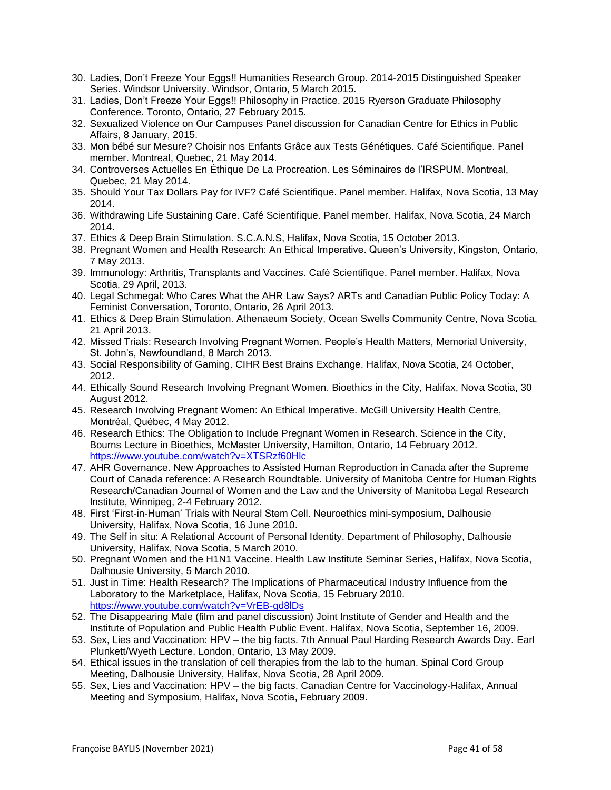- 30. Ladies, Don't Freeze Your Eggs!! Humanities Research Group. 2014-2015 Distinguished Speaker Series. Windsor University. Windsor, Ontario, 5 March 2015.
- 31. Ladies, Don't Freeze Your Eggs!! Philosophy in Practice. 2015 Ryerson Graduate Philosophy Conference. Toronto, Ontario, 27 February 2015.
- 32. Sexualized Violence on Our Campuses Panel discussion for Canadian Centre for Ethics in Public Affairs, 8 January, 2015.
- 33. Mon bébé sur Mesure? Choisir nos Enfants Grâce aux Tests Génétiques. Café Scientifique. Panel member. Montreal, Quebec, 21 May 2014.
- 34. Controverses Actuelles En Éthique De La Procreation. Les Séminaires de l'IRSPUM. Montreal, Quebec, 21 May 2014.
- 35. Should Your Tax Dollars Pay for IVF? Café Scientifique. Panel member. Halifax, Nova Scotia, 13 May 2014.
- 36. Withdrawing Life Sustaining Care. Café Scientifique. Panel member. Halifax, Nova Scotia, 24 March 2014.
- 37. Ethics & Deep Brain Stimulation. S.C.A.N.S, Halifax, Nova Scotia, 15 October 2013.
- 38. Pregnant Women and Health Research: An Ethical Imperative. Queen's University, Kingston, Ontario, 7 May 2013.
- 39. Immunology: Arthritis, Transplants and Vaccines. Café Scientifique. Panel member. Halifax, Nova Scotia, 29 April, 2013.
- 40. Legal Schmegal: Who Cares What the AHR Law Says? ARTs and Canadian Public Policy Today: A Feminist Conversation, Toronto, Ontario, 26 April 2013.
- 41. Ethics & Deep Brain Stimulation. Athenaeum Society, Ocean Swells Community Centre, Nova Scotia, 21 April 2013.
- 42. Missed Trials: Research Involving Pregnant Women. People's Health Matters, Memorial University, St. John's, Newfoundland, 8 March 2013.
- 43. Social Responsibility of Gaming. CIHR Best Brains Exchange. Halifax, Nova Scotia, 24 October, 2012.
- 44. Ethically Sound Research Involving Pregnant Women. Bioethics in the City, Halifax, Nova Scotia, 30 August 2012.
- 45. Research Involving Pregnant Women: An Ethical Imperative. McGill University Health Centre, Montréal, Québec, 4 May 2012.
- 46. Research Ethics: The Obligation to Include Pregnant Women in Research. Science in the City, Bourns Lecture in Bioethics, McMaster University, Hamilton, Ontario, 14 February 2012. <https://www.youtube.com/watch?v=XTSRzf60Hlc>
- 47. AHR Governance. New Approaches to Assisted Human Reproduction in Canada after the Supreme Court of Canada reference: A Research Roundtable. University of Manitoba Centre for Human Rights Research/Canadian Journal of Women and the Law and the University of Manitoba Legal Research Institute, Winnipeg, 2-4 February 2012.
- 48. First 'First-in-Human' Trials with Neural Stem Cell. Neuroethics mini-symposium, Dalhousie University, Halifax, Nova Scotia, 16 June 2010.
- 49. The Self in situ: A Relational Account of Personal Identity. Department of Philosophy, Dalhousie University, Halifax, Nova Scotia, 5 March 2010.
- 50. Pregnant Women and the H1N1 Vaccine. Health Law Institute Seminar Series, Halifax, Nova Scotia, Dalhousie University, 5 March 2010.
- 51. Just in Time: Health Research? The Implications of Pharmaceutical Industry Influence from the Laboratory to the Marketplace, Halifax, Nova Scotia, 15 February 2010. <https://www.youtube.com/watch?v=VrEB-gd8lDs>
- 52. The Disappearing Male (film and panel discussion) Joint Institute of Gender and Health and the Institute of Population and Public Health Public Event. Halifax, Nova Scotia, September 16, 2009.
- 53. Sex, Lies and Vaccination: HPV the big facts. 7th Annual Paul Harding Research Awards Day. Earl Plunkett/Wyeth Lecture. London, Ontario, 13 May 2009.
- 54. Ethical issues in the translation of cell therapies from the lab to the human. Spinal Cord Group Meeting, Dalhousie University, Halifax, Nova Scotia, 28 April 2009.
- 55. Sex, Lies and Vaccination: HPV the big facts. Canadian Centre for Vaccinology-Halifax, Annual Meeting and Symposium, Halifax, Nova Scotia, February 2009.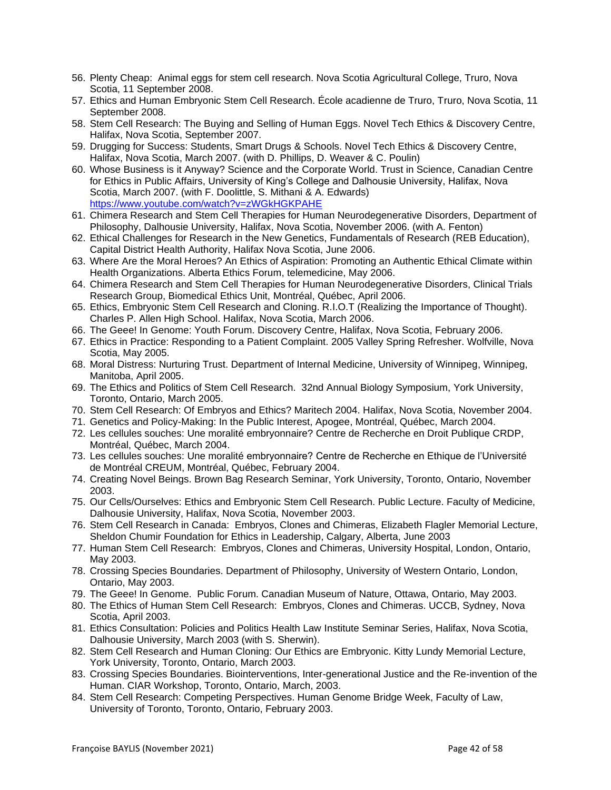- 56. Plenty Cheap: Animal eggs for stem cell research. Nova Scotia Agricultural College, Truro, Nova Scotia, 11 September 2008.
- 57. Ethics and Human Embryonic Stem Cell Research. École acadienne de Truro, Truro, Nova Scotia, 11 September 2008.
- 58. Stem Cell Research: The Buying and Selling of Human Eggs. Novel Tech Ethics & Discovery Centre, Halifax, Nova Scotia, September 2007.
- 59. Drugging for Success: Students, Smart Drugs & Schools. Novel Tech Ethics & Discovery Centre, Halifax, Nova Scotia, March 2007. (with D. Phillips, D. Weaver & C. Poulin)
- 60. Whose Business is it Anyway? Science and the Corporate World. Trust in Science, Canadian Centre for Ethics in Public Affairs, University of King's College and Dalhousie University, Halifax, Nova Scotia, March 2007. (with F. Doolittle, S. Mithani & A. Edwards) <https://www.youtube.com/watch?v=zWGkHGKPAHE>
- 61. Chimera Research and Stem Cell Therapies for Human Neurodegenerative Disorders, Department of Philosophy, Dalhousie University, Halifax, Nova Scotia, November 2006. (with A. Fenton)
- 62. Ethical Challenges for Research in the New Genetics, Fundamentals of Research (REB Education), Capital District Health Authority, Halifax Nova Scotia, June 2006.
- 63. Where Are the Moral Heroes? An Ethics of Aspiration: Promoting an Authentic Ethical Climate within Health Organizations. Alberta Ethics Forum, telemedicine, May 2006.
- 64. Chimera Research and Stem Cell Therapies for Human Neurodegenerative Disorders, Clinical Trials Research Group, Biomedical Ethics Unit, Montréal, Québec, April 2006.
- 65. Ethics, Embryonic Stem Cell Research and Cloning. R.I.O.T (Realizing the Importance of Thought). Charles P. Allen High School. Halifax, Nova Scotia, March 2006.
- 66. The Geee! In Genome: Youth Forum. Discovery Centre, Halifax, Nova Scotia, February 2006.
- 67. Ethics in Practice: Responding to a Patient Complaint. 2005 Valley Spring Refresher. Wolfville, Nova Scotia, May 2005.
- 68. Moral Distress: Nurturing Trust. Department of Internal Medicine, University of Winnipeg, Winnipeg, Manitoba, April 2005.
- 69. The Ethics and Politics of Stem Cell Research. 32nd Annual Biology Symposium, York University, Toronto, Ontario, March 2005.
- 70. Stem Cell Research: Of Embryos and Ethics? Maritech 2004. Halifax, Nova Scotia, November 2004.
- 71. Genetics and Policy-Making: In the Public Interest, Apogee, Montréal, Québec, March 2004.
- 72. Les cellules souches: Une moralité embryonnaire? Centre de Recherche en Droit Publique CRDP, Montréal, Québec, March 2004.
- 73. Les cellules souches: Une moralité embryonnaire? Centre de Recherche en Ethique de l'Université de Montréal CREUM, Montréal, Québec, February 2004.
- 74. Creating Novel Beings. Brown Bag Research Seminar, York University, Toronto, Ontario, November 2003.
- 75. Our Cells/Ourselves: Ethics and Embryonic Stem Cell Research. Public Lecture. Faculty of Medicine, Dalhousie University, Halifax, Nova Scotia, November 2003.
- 76. Stem Cell Research in Canada: Embryos, Clones and Chimeras, Elizabeth Flagler Memorial Lecture, Sheldon Chumir Foundation for Ethics in Leadership, Calgary, Alberta, June 2003
- 77. Human Stem Cell Research: Embryos, Clones and Chimeras, University Hospital, London, Ontario, May 2003.
- 78. Crossing Species Boundaries. Department of Philosophy, University of Western Ontario, London, Ontario, May 2003.
- 79. The Geee! In Genome. Public Forum. Canadian Museum of Nature, Ottawa, Ontario, May 2003.
- 80. The Ethics of Human Stem Cell Research: Embryos, Clones and Chimeras. UCCB, Sydney, Nova Scotia, April 2003.
- 81. Ethics Consultation: Policies and Politics Health Law Institute Seminar Series, Halifax, Nova Scotia, Dalhousie University, March 2003 (with S. Sherwin).
- 82. Stem Cell Research and Human Cloning: Our Ethics are Embryonic. Kitty Lundy Memorial Lecture, York University, Toronto, Ontario, March 2003.
- 83. Crossing Species Boundaries. Biointerventions, Inter-generational Justice and the Re-invention of the Human. CIAR Workshop, Toronto, Ontario, March, 2003.
- 84. Stem Cell Research: Competing Perspectives. Human Genome Bridge Week, Faculty of Law, University of Toronto, Toronto, Ontario, February 2003.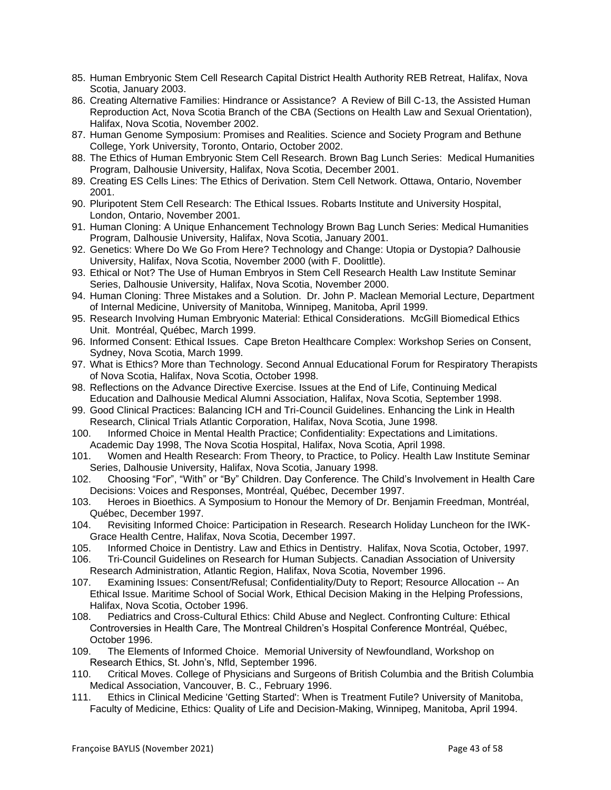- 85. Human Embryonic Stem Cell Research Capital District Health Authority REB Retreat, Halifax, Nova Scotia, January 2003.
- 86. Creating Alternative Families: Hindrance or Assistance? A Review of Bill C-13, the Assisted Human Reproduction Act, Nova Scotia Branch of the CBA (Sections on Health Law and Sexual Orientation), Halifax, Nova Scotia, November 2002.
- 87. Human Genome Symposium: Promises and Realities. Science and Society Program and Bethune College, York University, Toronto, Ontario, October 2002.
- 88. The Ethics of Human Embryonic Stem Cell Research. Brown Bag Lunch Series: Medical Humanities Program, Dalhousie University, Halifax, Nova Scotia, December 2001.
- 89. Creating ES Cells Lines: The Ethics of Derivation. Stem Cell Network. Ottawa, Ontario, November 2001.
- 90. Pluripotent Stem Cell Research: The Ethical Issues. Robarts Institute and University Hospital, London, Ontario, November 2001.
- 91. Human Cloning: A Unique Enhancement Technology Brown Bag Lunch Series: Medical Humanities Program, Dalhousie University, Halifax, Nova Scotia, January 2001.
- 92. Genetics: Where Do We Go From Here? Technology and Change: Utopia or Dystopia? Dalhousie University, Halifax, Nova Scotia, November 2000 (with F. Doolittle).
- 93. Ethical or Not? The Use of Human Embryos in Stem Cell Research Health Law Institute Seminar Series, Dalhousie University, Halifax, Nova Scotia, November 2000.
- 94. Human Cloning: Three Mistakes and a Solution. Dr. John P. Maclean Memorial Lecture, Department of Internal Medicine, University of Manitoba, Winnipeg, Manitoba, April 1999.
- 95. Research Involving Human Embryonic Material: Ethical Considerations. McGill Biomedical Ethics Unit. Montréal, Québec, March 1999.
- 96. Informed Consent: Ethical Issues. Cape Breton Healthcare Complex: Workshop Series on Consent, Sydney, Nova Scotia, March 1999.
- 97. What is Ethics? More than Technology. Second Annual Educational Forum for Respiratory Therapists of Nova Scotia, Halifax, Nova Scotia, October 1998.
- 98. Reflections on the Advance Directive Exercise. Issues at the End of Life, Continuing Medical Education and Dalhousie Medical Alumni Association, Halifax, Nova Scotia, September 1998.
- 99. Good Clinical Practices: Balancing ICH and Tri-Council Guidelines. Enhancing the Link in Health Research, Clinical Trials Atlantic Corporation, Halifax, Nova Scotia, June 1998.
- 100. Informed Choice in Mental Health Practice; Confidentiality: Expectations and Limitations. Academic Day 1998, The Nova Scotia Hospital, Halifax, Nova Scotia, April 1998.
- 101. Women and Health Research: From Theory, to Practice, to Policy. Health Law Institute Seminar Series, Dalhousie University, Halifax, Nova Scotia, January 1998.
- 102. Choosing "For", "With" or "By" Children. Day Conference. The Child's Involvement in Health Care Decisions: Voices and Responses, Montréal, Québec, December 1997.
- 103. Heroes in Bioethics. A Symposium to Honour the Memory of Dr. Benjamin Freedman, Montréal, Québec, December 1997.
- 104. Revisiting Informed Choice: Participation in Research. Research Holiday Luncheon for the IWK-Grace Health Centre, Halifax, Nova Scotia, December 1997.
- 105. Informed Choice in Dentistry. Law and Ethics in Dentistry. Halifax, Nova Scotia, October, 1997.
- 106. Tri-Council Guidelines on Research for Human Subjects. Canadian Association of University Research Administration, Atlantic Region, Halifax, Nova Scotia, November 1996.
- 107. Examining Issues: Consent/Refusal; Confidentiality/Duty to Report; Resource Allocation -- An Ethical Issue. Maritime School of Social Work, Ethical Decision Making in the Helping Professions, Halifax, Nova Scotia, October 1996.
- 108. Pediatrics and Cross-Cultural Ethics: Child Abuse and Neglect. Confronting Culture: Ethical Controversies in Health Care, The Montreal Children's Hospital Conference Montréal, Québec, October 1996.
- 109. The Elements of Informed Choice. Memorial University of Newfoundland, Workshop on Research Ethics, St. John's, Nfld, September 1996.
- 110. Critical Moves. College of Physicians and Surgeons of British Columbia and the British Columbia Medical Association, Vancouver, B. C., February 1996.
- 111. Ethics in Clinical Medicine 'Getting Started': When is Treatment Futile? University of Manitoba, Faculty of Medicine, Ethics: Quality of Life and Decision-Making, Winnipeg, Manitoba, April 1994.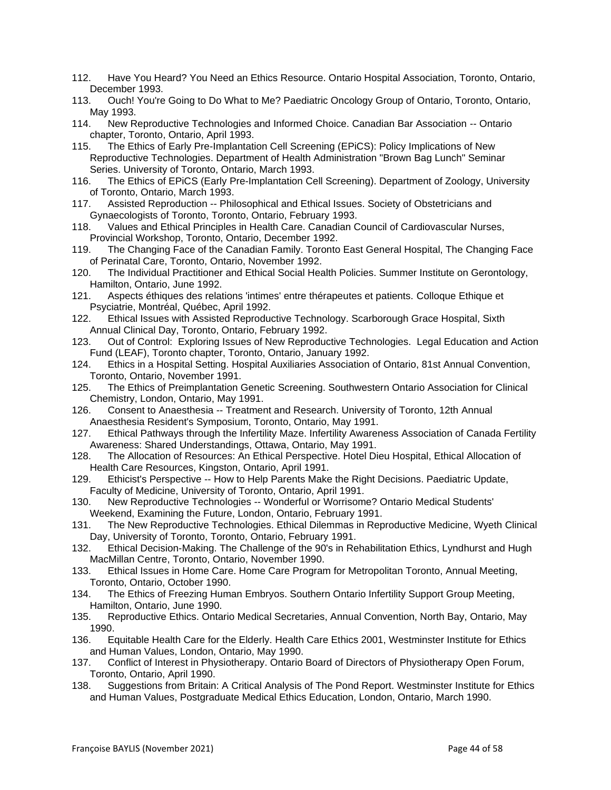- 112. Have You Heard? You Need an Ethics Resource. Ontario Hospital Association, Toronto, Ontario, December 1993.
- 113. Ouch! You're Going to Do What to Me? Paediatric Oncology Group of Ontario, Toronto, Ontario, May 1993.
- 114. New Reproductive Technologies and Informed Choice. Canadian Bar Association -- Ontario chapter, Toronto, Ontario, April 1993.
- 115. The Ethics of Early Pre-Implantation Cell Screening (EPiCS): Policy Implications of New Reproductive Technologies. Department of Health Administration "Brown Bag Lunch" Seminar Series. University of Toronto, Ontario, March 1993.
- 116. The Ethics of EPiCS (Early Pre-Implantation Cell Screening). Department of Zoology, University of Toronto, Ontario, March 1993.<br>117. Assisted Reproduction -- Phil
- Assisted Reproduction -- Philosophical and Ethical Issues. Society of Obstetricians and Gynaecologists of Toronto, Toronto, Ontario, February 1993.
- 118. Values and Ethical Principles in Health Care. Canadian Council of Cardiovascular Nurses, Provincial Workshop, Toronto, Ontario, December 1992.
- 119. The Changing Face of the Canadian Family. Toronto East General Hospital, The Changing Face of Perinatal Care, Toronto, Ontario, November 1992.
- 120. The Individual Practitioner and Ethical Social Health Policies. Summer Institute on Gerontology, Hamilton, Ontario, June 1992.
- 121. Aspects éthiques des relations 'intimes' entre thérapeutes et patients. Colloque Ethique et Psyciatrie, Montréal, Québec, April 1992.
- 122. Ethical Issues with Assisted Reproductive Technology. Scarborough Grace Hospital, Sixth Annual Clinical Day, Toronto, Ontario, February 1992.
- 123. Out of Control: Exploring Issues of New Reproductive Technologies. Legal Education and Action Fund (LEAF), Toronto chapter, Toronto, Ontario, January 1992.
- 124. Ethics in a Hospital Setting. Hospital Auxiliaries Association of Ontario, 81st Annual Convention, Toronto, Ontario, November 1991.
- 125. The Ethics of Preimplantation Genetic Screening. Southwestern Ontario Association for Clinical Chemistry, London, Ontario, May 1991.
- 126. Consent to Anaesthesia -- Treatment and Research. University of Toronto, 12th Annual Anaesthesia Resident's Symposium, Toronto, Ontario, May 1991.
- 127. Ethical Pathways through the Infertility Maze. Infertility Awareness Association of Canada Fertility Awareness: Shared Understandings, Ottawa, Ontario, May 1991.
- 128. The Allocation of Resources: An Ethical Perspective. Hotel Dieu Hospital, Ethical Allocation of Health Care Resources, Kingston, Ontario, April 1991.
- 129. Ethicist's Perspective -- How to Help Parents Make the Right Decisions. Paediatric Update, Faculty of Medicine, University of Toronto, Ontario, April 1991.
- 130. New Reproductive Technologies -- Wonderful or Worrisome? Ontario Medical Students' Weekend, Examining the Future, London, Ontario, February 1991.
- 131. The New Reproductive Technologies. Ethical Dilemmas in Reproductive Medicine, Wyeth Clinical Day, University of Toronto, Toronto, Ontario, February 1991.
- 132. Ethical Decision-Making. The Challenge of the 90's in Rehabilitation Ethics, Lyndhurst and Hugh MacMillan Centre, Toronto, Ontario, November 1990.
- 133. Ethical Issues in Home Care. Home Care Program for Metropolitan Toronto, Annual Meeting, Toronto, Ontario, October 1990.
- 134. The Ethics of Freezing Human Embryos. Southern Ontario Infertility Support Group Meeting, Hamilton, Ontario, June 1990.
- 135. Reproductive Ethics. Ontario Medical Secretaries, Annual Convention, North Bay, Ontario, May 1990.
- 136. Equitable Health Care for the Elderly. Health Care Ethics 2001, Westminster Institute for Ethics and Human Values, London, Ontario, May 1990.
- 137. Conflict of Interest in Physiotherapy. Ontario Board of Directors of Physiotherapy Open Forum, Toronto, Ontario, April 1990.
- 138. Suggestions from Britain: A Critical Analysis of The Pond Report. Westminster Institute for Ethics and Human Values, Postgraduate Medical Ethics Education, London, Ontario, March 1990.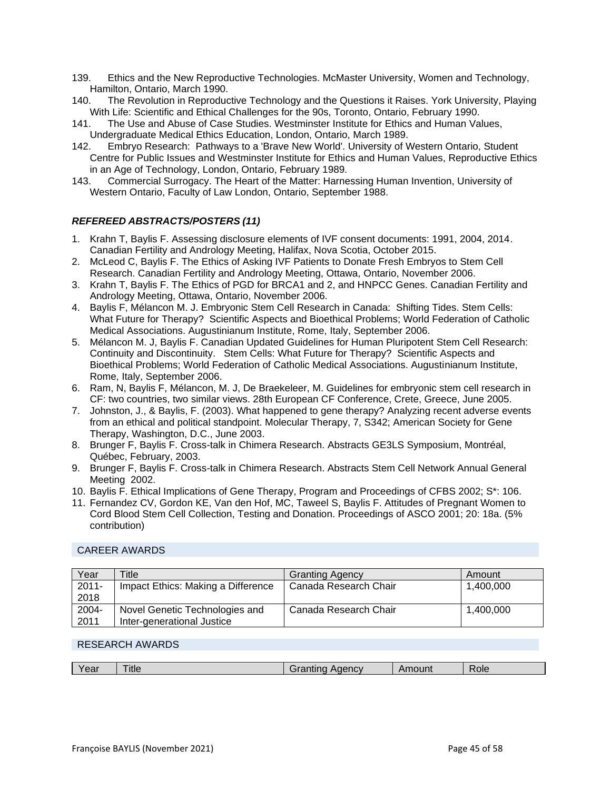- 139. Ethics and the New Reproductive Technologies. McMaster University, Women and Technology, Hamilton, Ontario, March 1990.
- 140. The Revolution in Reproductive Technology and the Questions it Raises. York University, Playing With Life: Scientific and Ethical Challenges for the 90s, Toronto, Ontario, February 1990.
- 141. The Use and Abuse of Case Studies. Westminster Institute for Ethics and Human Values, Undergraduate Medical Ethics Education, London, Ontario, March 1989.
- 142. Embryo Research: Pathways to a 'Brave New World'. University of Western Ontario, Student Centre for Public Issues and Westminster Institute for Ethics and Human Values, Reproductive Ethics in an Age of Technology, London, Ontario, February 1989.
- 143. Commercial Surrogacy. The Heart of the Matter: Harnessing Human Invention, University of Western Ontario, Faculty of Law London, Ontario, September 1988.

### *REFEREED ABSTRACTS/POSTERS (11)*

- 1. Krahn T, Baylis F. Assessing disclosure elements of IVF consent documents: 1991, 2004, 2014. Canadian Fertility and Andrology Meeting, Halifax, Nova Scotia, October 2015.
- 2. McLeod C, Baylis F. The Ethics of Asking IVF Patients to Donate Fresh Embryos to Stem Cell Research. Canadian Fertility and Andrology Meeting, Ottawa, Ontario, November 2006.
- 3. Krahn T, Baylis F. The Ethics of PGD for BRCA1 and 2, and HNPCC Genes. Canadian Fertility and Andrology Meeting, Ottawa, Ontario, November 2006.
- 4. Baylis F, Mélancon M. J. Embryonic Stem Cell Research in Canada: Shifting Tides. Stem Cells: What Future for Therapy? Scientific Aspects and Bioethical Problems; World Federation of Catholic Medical Associations. Augustinianum Institute, Rome, Italy, September 2006.
- 5. Mélancon M. J, Baylis F. Canadian Updated Guidelines for Human Pluripotent Stem Cell Research: Continuity and Discontinuity. Stem Cells: What Future for Therapy? Scientific Aspects and Bioethical Problems; World Federation of Catholic Medical Associations. Augustinianum Institute, Rome, Italy, September 2006.
- 6. Ram, N, Baylis F, Mélancon, M. J, De Braekeleer, M. Guidelines for embryonic stem cell research in CF: two countries, two similar views. 28th European CF Conference, Crete, Greece, June 2005.
- 7. Johnston, J., & Baylis, F. (2003). What happened to gene therapy? Analyzing recent adverse events from an ethical and political standpoint. Molecular Therapy, 7, S342; American Society for Gene Therapy, Washington, D.C., June 2003.
- 8. Brunger F, Baylis F. Cross-talk in Chimera Research. Abstracts GE3LS Symposium, Montréal, Québec, February, 2003.
- 9. Brunger F, Baylis F. Cross-talk in Chimera Research. Abstracts Stem Cell Network Annual General Meeting 2002.
- 10. Baylis F. Ethical Implications of Gene Therapy, Program and Proceedings of CFBS 2002; S\*: 106.
- 11. Fernandez CV, Gordon KE, Van den Hof, MC, Taweel S, Baylis F. Attitudes of Pregnant Women to Cord Blood Stem Cell Collection, Testing and Donation. Proceedings of ASCO 2001; 20: 18a. (5% contribution)

### CAREER AWARDS

| Year     | Title                              | <b>Granting Agency</b> | Amount    |
|----------|------------------------------------|------------------------|-----------|
| $2011 -$ | Impact Ethics: Making a Difference | Canada Research Chair  | 1.400.000 |
| 2018     |                                    |                        |           |
| 2004-    | Novel Genetic Technologies and     | Canada Research Chair  | 1.400.000 |
| 2011     | Inter-generational Justice         |                        |           |

### RESEARCH AWARDS

|  | <b>Gal</b> | ⊺itle | $-$<br>$\cdots$ | านทเ | Role |
|--|------------|-------|-----------------|------|------|
|--|------------|-------|-----------------|------|------|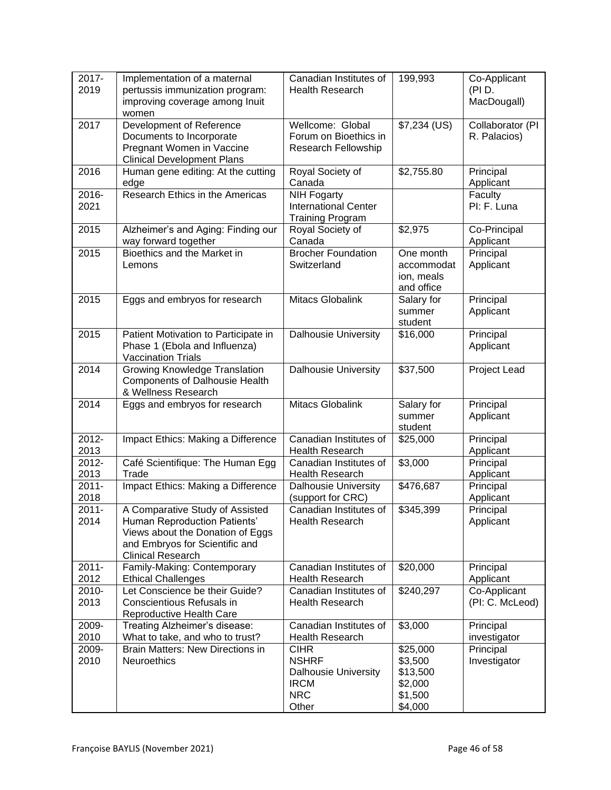| 2017-<br>2019    | Implementation of a maternal<br>pertussis immunization program:<br>improving coverage among Inuit<br>women                                                        | Canadian Institutes of<br><b>Health Research</b>                                                 | 199,993                                                          | Co-Applicant<br>(PI D.<br>MacDougall) |
|------------------|-------------------------------------------------------------------------------------------------------------------------------------------------------------------|--------------------------------------------------------------------------------------------------|------------------------------------------------------------------|---------------------------------------|
| 2017             | Development of Reference<br>Documents to Incorporate<br>Pregnant Women in Vaccine<br><b>Clinical Development Plans</b>                                            | Wellcome: Global<br>Forum on Bioethics in<br>Research Fellowship                                 | \$7,234 (US)                                                     | Collaborator (PI<br>R. Palacios)      |
| 2016             | Human gene editing: At the cutting<br>edge                                                                                                                        | Royal Society of<br>Canada                                                                       | \$2,755.80                                                       | Principal<br>Applicant                |
| 2016-<br>2021    | Research Ethics in the Americas                                                                                                                                   | <b>NIH Fogarty</b><br><b>International Center</b><br><b>Training Program</b>                     |                                                                  | Faculty<br>PI: F. Luna                |
| 2015             | Alzheimer's and Aging: Finding our<br>way forward together                                                                                                        | Royal Society of<br>Canada                                                                       | \$2,975                                                          | Co-Principal<br>Applicant             |
| 2015             | Bioethics and the Market in<br>Lemons                                                                                                                             | <b>Brocher Foundation</b><br>Switzerland                                                         | One month<br>accommodat<br>ion, meals<br>and office              | Principal<br>Applicant                |
| 2015             | Eggs and embryos for research                                                                                                                                     | Mitacs Globalink                                                                                 | Salary for<br>summer<br>student                                  | Principal<br>Applicant                |
| 2015             | Patient Motivation to Participate in<br>Phase 1 (Ebola and Influenza)<br><b>Vaccination Trials</b>                                                                | <b>Dalhousie University</b>                                                                      | \$16,000                                                         | Principal<br>Applicant                |
| 2014             | Growing Knowledge Translation<br><b>Components of Dalhousie Health</b><br>& Wellness Research                                                                     | <b>Dalhousie University</b>                                                                      | \$37,500                                                         | Project Lead                          |
| 2014             | Eggs and embryos for research                                                                                                                                     | <b>Mitacs Globalink</b>                                                                          | Salary for<br>summer<br>student                                  | Principal<br>Applicant                |
| 2012-<br>2013    | Impact Ethics: Making a Difference                                                                                                                                | Canadian Institutes of<br><b>Health Research</b>                                                 | \$25,000                                                         | Principal<br>Applicant                |
| 2012-<br>2013    | Café Scientifique: The Human Egg<br>Trade                                                                                                                         | Canadian Institutes of<br><b>Health Research</b>                                                 | \$3,000                                                          | Principal<br>Applicant                |
| $2011 -$<br>2018 | Impact Ethics: Making a Difference                                                                                                                                | <b>Dalhousie University</b><br>(support for CRC)                                                 | \$476,687                                                        | Principal<br>Applicant                |
| $2011 -$<br>2014 | A Comparative Study of Assisted<br>Human Reproduction Patients'<br>Views about the Donation of Eggs<br>and Embryos for Scientific and<br><b>Clinical Research</b> | Canadian Institutes of<br>Health Research                                                        | \$345,399                                                        | Principal<br>Applicant                |
| $2011 -$<br>2012 | Family-Making: Contemporary<br><b>Ethical Challenges</b>                                                                                                          | Canadian Institutes of<br><b>Health Research</b>                                                 | \$20,000                                                         | Principal<br>Applicant                |
| 2010-<br>2013    | Let Conscience be their Guide?<br>Conscientious Refusals in<br>Reproductive Health Care                                                                           | Canadian Institutes of<br><b>Health Research</b>                                                 | \$240,297                                                        | Co-Applicant<br>(PI: C. McLeod)       |
| 2009-<br>2010    | Treating Alzheimer's disease:<br>What to take, and who to trust?                                                                                                  | Canadian Institutes of<br><b>Health Research</b>                                                 | \$3,000                                                          | Principal<br>investigator             |
| 2009-<br>2010    | <b>Brain Matters: New Directions in</b><br><b>Neuroethics</b>                                                                                                     | <b>CIHR</b><br><b>NSHRF</b><br><b>Dalhousie University</b><br><b>IRCM</b><br><b>NRC</b><br>Other | \$25,000<br>\$3,500<br>\$13,500<br>\$2,000<br>\$1,500<br>\$4,000 | Principal<br>Investigator             |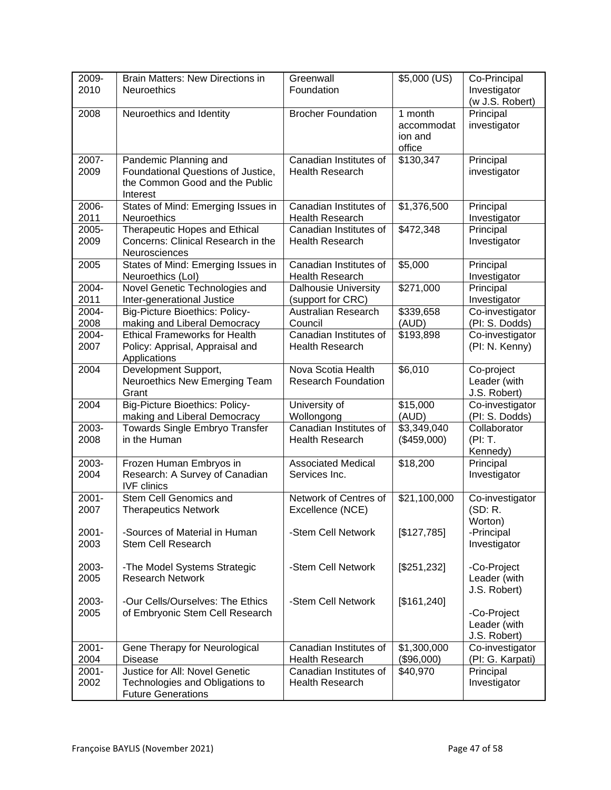| 2009-<br>2010    | <b>Brain Matters: New Directions in</b><br><b>Neuroethics</b>                                             | Greenwall<br>Foundation                          | $$5,000$ (US)                              | Co-Principal<br>Investigator<br>(w J.S. Robert) |
|------------------|-----------------------------------------------------------------------------------------------------------|--------------------------------------------------|--------------------------------------------|-------------------------------------------------|
| 2008             | Neuroethics and Identity                                                                                  | <b>Brocher Foundation</b>                        | 1 month<br>accommodat<br>ion and<br>office | Principal<br>investigator                       |
| 2007-<br>2009    | Pandemic Planning and<br>Foundational Questions of Justice,<br>the Common Good and the Public<br>Interest | Canadian Institutes of<br><b>Health Research</b> | \$130,347                                  | Principal<br>investigator                       |
| 2006-<br>2011    | States of Mind: Emerging Issues in<br><b>Neuroethics</b>                                                  | Canadian Institutes of<br><b>Health Research</b> | \$1,376,500                                | Principal<br>Investigator                       |
| 2005-<br>2009    | Therapeutic Hopes and Ethical<br>Concerns: Clinical Research in the<br>Neurosciences                      | Canadian Institutes of<br><b>Health Research</b> | \$472,348                                  | Principal<br>Investigator                       |
| 2005             | States of Mind: Emerging Issues in<br>Neuroethics (Lol)                                                   | Canadian Institutes of<br><b>Health Research</b> | \$5,000                                    | Principal<br>Investigator                       |
| 2004-<br>2011    | Novel Genetic Technologies and<br>Inter-generational Justice                                              | <b>Dalhousie University</b><br>(support for CRC) | \$271,000                                  | Principal<br>Investigator                       |
| 2004-<br>2008    | <b>Big-Picture Bioethics: Policy-</b><br>making and Liberal Democracy                                     | <b>Australian Research</b><br>Council            | \$339,658<br>(AUD)                         | Co-investigator<br>(PI: S. Dodds)               |
| 2004-<br>2007    | <b>Ethical Frameworks for Health</b><br>Policy: Apprisal, Appraisal and<br>Applications                   | Canadian Institutes of<br><b>Health Research</b> | \$193,898                                  | Co-investigator<br>(PI: N. Kenny)               |
| 2004             | Development Support,<br>Neuroethics New Emerging Team<br>Grant                                            | Nova Scotia Health<br><b>Research Foundation</b> | \$6,010                                    | Co-project<br>Leader (with<br>J.S. Robert)      |
| 2004             | <b>Big-Picture Bioethics: Policy-</b><br>making and Liberal Democracy                                     | University of<br>Wollongong                      | \$15,000<br>(AUD)                          | Co-investigator<br>(PI: S. Dodds)               |
| 2003-<br>2008    | Towards Single Embryo Transfer<br>in the Human                                                            | Canadian Institutes of<br><b>Health Research</b> | \$3,349,040<br>(\$459,000)                 | Collaborator<br>(PI: T.<br>Kennedy)             |
| 2003-<br>2004    | Frozen Human Embryos in<br>Research: A Survey of Canadian<br><b>IVF</b> clinics                           | <b>Associated Medical</b><br>Services Inc.       | \$18,200                                   | Principal<br>Investigator                       |
| $2001 -$<br>2007 | Stem Cell Genomics and<br><b>Therapeutics Network</b>                                                     | Network of Centres of<br>Excellence (NCE)        | \$21,100,000                               | Co-investigator<br>(SD: R.<br>Worton)           |
| $2001 -$<br>2003 | -Sources of Material in Human<br><b>Stem Cell Research</b>                                                | -Stem Cell Network                               | [\$127,785]                                | -Principal<br>Investigator                      |
| 2003-<br>2005    | -The Model Systems Strategic<br><b>Research Network</b>                                                   | -Stem Cell Network                               | [\$251,232]                                | -Co-Project<br>Leader (with<br>J.S. Robert)     |
| 2003-<br>2005    | -Our Cells/Ourselves: The Ethics<br>of Embryonic Stem Cell Research                                       | -Stem Cell Network                               | [\$161,240]                                | -Co-Project<br>Leader (with<br>J.S. Robert)     |
| $2001 -$<br>2004 | Gene Therapy for Neurological<br><b>Disease</b>                                                           | Canadian Institutes of<br><b>Health Research</b> | \$1,300,000<br>(\$96,000)                  | Co-investigator<br>(PI: G. Karpati)             |
| $2001 -$<br>2002 | Justice for All: Novel Genetic<br>Technologies and Obligations to<br><b>Future Generations</b>            | Canadian Institutes of<br><b>Health Research</b> | \$40,970                                   | Principal<br>Investigator                       |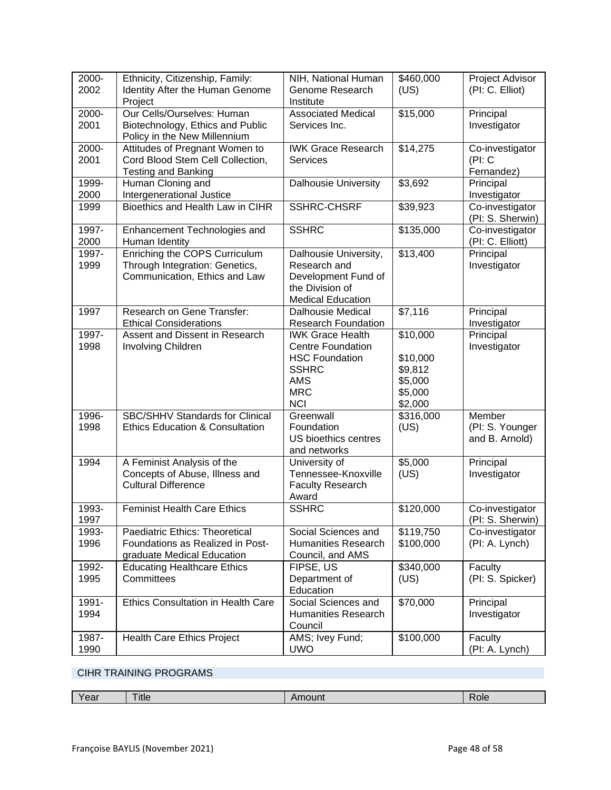| 2000-<br>2002 | Ethnicity, Citizenship, Family:<br>Identity After the Human Genome<br>Project                    | NIH, National Human<br>Genome Research<br>Institute                                                                                    | \$460,000<br>(US)                                                | Project Advisor<br>(PI: C. Elliot)          |
|---------------|--------------------------------------------------------------------------------------------------|----------------------------------------------------------------------------------------------------------------------------------------|------------------------------------------------------------------|---------------------------------------------|
| 2000-<br>2001 | Our Cells/Ourselves: Human<br>Biotechnology, Ethics and Public<br>Policy in the New Millennium   | <b>Associated Medical</b><br>Services Inc.                                                                                             | \$15,000                                                         | Principal<br>Investigator                   |
| 2000-<br>2001 | Attitudes of Pregnant Women to<br>Cord Blood Stem Cell Collection,<br><b>Testing and Banking</b> | <b>IWK Grace Research</b><br><b>Services</b>                                                                                           | \$14,275                                                         | Co-investigator<br>(Pl: C)<br>Fernandez)    |
| 1999-<br>2000 | Human Cloning and<br>Intergenerational Justice                                                   | <b>Dalhousie University</b>                                                                                                            | \$3,692                                                          | Principal<br>Investigator                   |
| 1999          | Bioethics and Health Law in CIHR                                                                 | <b>SSHRC-CHSRF</b>                                                                                                                     | \$39,923                                                         | Co-investigator<br>(PI: S. Sherwin)         |
| 1997-<br>2000 | Enhancement Technologies and<br>Human Identity                                                   | <b>SSHRC</b>                                                                                                                           | \$135,000                                                        | Co-investigator<br>(PI: C. Elliott)         |
| 1997-<br>1999 | Enriching the COPS Curriculum<br>Through Integration: Genetics,<br>Communication, Ethics and Law | Dalhousie University,<br>Research and<br>Development Fund of<br>the Division of<br><b>Medical Education</b>                            | \$13,400                                                         | Principal<br>Investigator                   |
| 1997          | Research on Gene Transfer:<br><b>Ethical Considerations</b>                                      | <b>Dalhousie Medical</b><br><b>Research Foundation</b>                                                                                 | \$7,116                                                          | Principal<br>Investigator                   |
| 1997-<br>1998 | Assent and Dissent in Research<br>Involving Children                                             | <b>IWK Grace Health</b><br><b>Centre Foundation</b><br><b>HSC Foundation</b><br><b>SSHRC</b><br><b>AMS</b><br><b>MRC</b><br><b>NCI</b> | \$10,000<br>\$10,000<br>\$9,812<br>\$5,000<br>\$5,000<br>\$2,000 | Principal<br>Investigator                   |
| 1996-<br>1998 | SBC/SHHV Standards for Clinical<br><b>Ethics Education &amp; Consultation</b>                    | Greenwall<br>Foundation<br>US bioethics centres<br>and networks                                                                        | \$316,000<br>(US)                                                | Member<br>(PI: S. Younger<br>and B. Arnold) |
| 1994          | A Feminist Analysis of the<br>Concepts of Abuse, Illness and<br><b>Cultural Difference</b>       | University of<br>Tennessee-Knoxville<br><b>Faculty Research</b><br>Award                                                               | \$5,000<br>(US)                                                  | Principal<br>Investigator                   |
| 1993-<br>1997 | <b>Feminist Health Care Ethics</b>                                                               | <b>SSHRC</b>                                                                                                                           | \$120,000                                                        | Co-investigator<br>(PI: S. Sherwin)         |
| 1993-<br>1996 | Paediatric Ethics: Theoretical<br>Foundations as Realized in Post-<br>graduate Medical Education | Social Sciences and<br><b>Humanities Research</b><br>Council, and AMS                                                                  | \$119,750<br>\$100,000                                           | Co-investigator<br>(PI: A. Lynch)           |
| 1992-<br>1995 | <b>Educating Healthcare Ethics</b><br>Committees                                                 | FIPSE, US<br>Department of<br>Education                                                                                                | \$340,000<br>(US)                                                | Faculty<br>(PI: S. Spicker)                 |
| 1991-<br>1994 | Ethics Consultation in Health Care                                                               | Social Sciences and<br><b>Humanities Research</b><br>Council                                                                           | \$70,000                                                         | Principal<br>Investigator                   |
| 1987-<br>1990 | <b>Health Care Ethics Project</b>                                                                | AMS; Ivey Fund;<br><b>UWO</b>                                                                                                          | \$100,000                                                        | Faculty<br>(PI: A. Lynch)                   |

# CIHR TRAINING PROGRAMS

| Year |  |
|------|--|
|------|--|

Title Amount Amount Role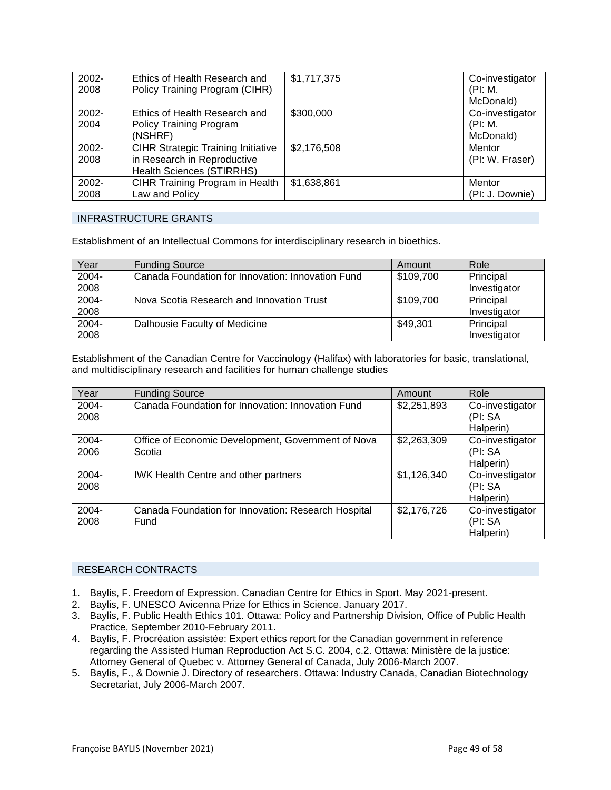| 2002- | Ethics of Health Research and             | \$1,717,375 | Co-investigator |
|-------|-------------------------------------------|-------------|-----------------|
| 2008  | Policy Training Program (CIHR)            |             | (PI: M.         |
|       |                                           |             | McDonald)       |
| 2002- | Ethics of Health Research and             | \$300,000   | Co-investigator |
| 2004  | <b>Policy Training Program</b>            |             | (PI: M.         |
|       | (NSHRF)                                   |             | McDonald)       |
| 2002- | <b>CIHR Strategic Training Initiative</b> | \$2,176,508 | Mentor          |
| 2008  | in Research in Reproductive               |             | (PI: W. Fraser) |
|       | <b>Health Sciences (STIRRHS)</b>          |             |                 |
| 2002- | CIHR Training Program in Health           | \$1,638,861 | Mentor          |
| 2008  | Law and Policy                            |             | (PI: J. Downie) |

### INFRASTRUCTURE GRANTS

Establishment of an Intellectual Commons for interdisciplinary research in bioethics.

| Year  | <b>Funding Source</b>                             | Amount    | Role         |
|-------|---------------------------------------------------|-----------|--------------|
| 2004- | Canada Foundation for Innovation: Innovation Fund | \$109,700 | Principal    |
| 2008  |                                                   |           | Investigator |
| 2004- | Nova Scotia Research and Innovation Trust         | \$109,700 | Principal    |
| 2008  |                                                   |           | Investigator |
| 2004- | Dalhousie Faculty of Medicine                     | \$49,301  | Principal    |
| 2008  |                                                   |           | Investigator |

Establishment of the Canadian Centre for Vaccinology (Halifax) with laboratories for basic, translational, and multidisciplinary research and facilities for human challenge studies

| Year          | <b>Funding Source</b>                                        | Amount      | Role                                     |
|---------------|--------------------------------------------------------------|-------------|------------------------------------------|
| 2004-<br>2008 | Canada Foundation for Innovation: Innovation Fund            | \$2,251,893 | Co-investigator<br>(PI: SA<br>Halperin)  |
| 2004-<br>2006 | Office of Economic Development, Government of Nova<br>Scotia | \$2,263,309 | Co-investigator<br>(PI: SA<br>Halperin)  |
| 2004-<br>2008 | <b>IWK Health Centre and other partners</b>                  | \$1,126,340 | Co-investigator<br>(PI: SA)<br>Halperin) |
| 2004-<br>2008 | Canada Foundation for Innovation: Research Hospital<br>Fund  | \$2,176,726 | Co-investigator<br>(PI: SA<br>Halperin)  |

### RESEARCH CONTRACTS

- 1. Baylis, F. Freedom of Expression. Canadian Centre for Ethics in Sport. May 2021-present.
- 2. Baylis, F. UNESCO Avicenna Prize for Ethics in Science. January 2017.
- 3. Baylis, F. Public Health Ethics 101. Ottawa: Policy and Partnership Division, Office of Public Health Practice, September 2010-February 2011.
- 4. Baylis, F. Procréation assistée: Expert ethics report for the Canadian government in reference regarding the Assisted Human Reproduction Act S.C. 2004, c.2. Ottawa: Ministère de la justice: Attorney General of Quebec v. Attorney General of Canada, July 2006-March 2007.
- 5. Baylis, F., & Downie J. Directory of researchers. Ottawa: Industry Canada, Canadian Biotechnology Secretariat, July 2006-March 2007.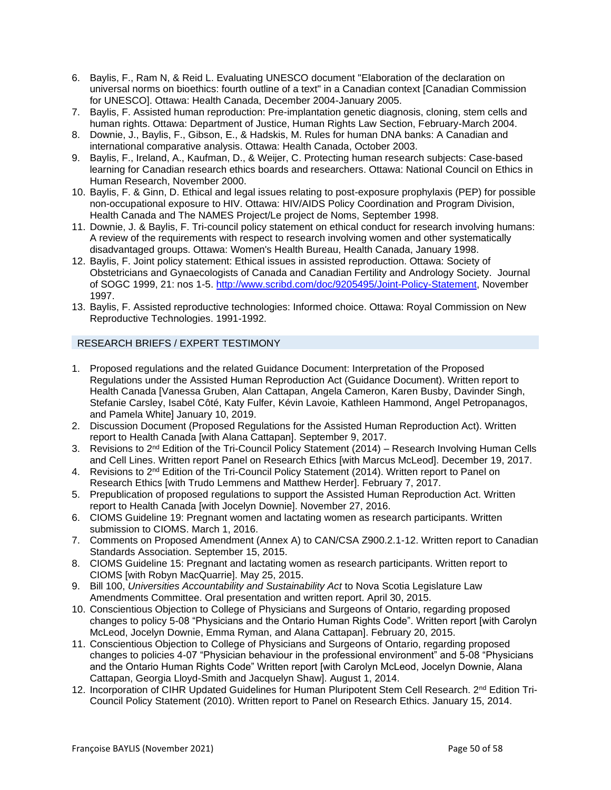- 6. Baylis, F., Ram N, & Reid L. Evaluating UNESCO document "Elaboration of the declaration on universal norms on bioethics: fourth outline of a text" in a Canadian context [Canadian Commission for UNESCO]. Ottawa: Health Canada, December 2004-January 2005.
- 7. Baylis, F. Assisted human reproduction: Pre-implantation genetic diagnosis, cloning, stem cells and human rights. Ottawa: Department of Justice, Human Rights Law Section, February-March 2004.
- 8. Downie, J., Baylis, F., Gibson, E., & Hadskis, M. Rules for human DNA banks: A Canadian and international comparative analysis. Ottawa: Health Canada, October 2003.
- 9. Baylis, F., Ireland, A., Kaufman, D., & Weijer, C. Protecting human research subjects: Case-based learning for Canadian research ethics boards and researchers. Ottawa: National Council on Ethics in Human Research, November 2000.
- 10. Baylis, F. & Ginn, D. Ethical and legal issues relating to post-exposure prophylaxis (PEP) for possible non-occupational exposure to HIV. Ottawa: HIV/AIDS Policy Coordination and Program Division, Health Canada and The NAMES Project/Le project de Noms, September 1998.
- 11. Downie, J. & Baylis, F. Tri-council policy statement on ethical conduct for research involving humans: A review of the requirements with respect to research involving women and other systematically disadvantaged groups. Ottawa: Women's Health Bureau, Health Canada, January 1998.
- 12. Baylis, F. Joint policy statement: Ethical issues in assisted reproduction. Ottawa: Society of Obstetricians and Gynaecologists of Canada and Canadian Fertility and Andrology Society. Journal of SOGC 1999, 21: nos 1-5[. http://www.scribd.com/doc/9205495/Joint-Policy-Statement,](http://www.scribd.com/doc/9205495/Joint-Policy-Statement) November 1997.
- 13. Baylis, F. Assisted reproductive technologies: Informed choice. Ottawa: Royal Commission on New Reproductive Technologies. 1991-1992.

# RESEARCH BRIEFS / EXPERT TESTIMONY

- 1. Proposed regulations and the related Guidance Document: Interpretation of the Proposed Regulations under the Assisted Human Reproduction Act (Guidance Document). Written report to Health Canada [Vanessa Gruben, Alan Cattapan, Angela Cameron, Karen Busby, Davinder Singh, Stefanie Carsley, Isabel Côté, Katy Fulfer, Kévin Lavoie, Kathleen Hammond, Angel Petropanagos, and Pamela White] January 10, 2019.
- 2. Discussion Document (Proposed Regulations for the Assisted Human Reproduction Act). Written report to Health Canada [with Alana Cattapan]. September 9, 2017.
- 3. Revisions to 2<sup>nd</sup> Edition of the Tri-Council Policy Statement (2014) Research Involving Human Cells and Cell Lines. Written report Panel on Research Ethics [with Marcus McLeod]. December 19, 2017.
- 4. Revisions to 2<sup>nd</sup> Edition of the Tri-Council Policy Statement (2014). Written report to Panel on Research Ethics [with Trudo Lemmens and Matthew Herder]. February 7, 2017.
- 5. Prepublication of proposed regulations to support the Assisted Human Reproduction Act. Written report to Health Canada [with Jocelyn Downie]. November 27, 2016.
- 6. CIOMS Guideline 19: Pregnant women and lactating women as research participants. Written submission to CIOMS. March 1, 2016.
- 7. Comments on Proposed Amendment (Annex A) to CAN/CSA Z900.2.1-12. Written report to Canadian Standards Association. September 15, 2015.
- 8. CIOMS Guideline 15: Pregnant and lactating women as research participants. Written report to CIOMS [with Robyn MacQuarrie]. May 25, 2015.
- 9. Bill 100, *Universities Accountability and Sustainability Act* to Nova Scotia Legislature Law Amendments Committee. Oral presentation and written report. April 30, 2015.
- 10. Conscientious Objection to College of Physicians and Surgeons of Ontario, regarding proposed changes to policy 5-08 "Physicians and the Ontario Human Rights Code". Written report [with Carolyn McLeod, Jocelyn Downie, Emma Ryman, and Alana Cattapan]. February 20, 2015.
- 11. Conscientious Objection to College of Physicians and Surgeons of Ontario, regarding proposed changes to policies 4-07 "Physician behaviour in the professional environment" and 5-08 "Physicians and the Ontario Human Rights Code" Written report [with Carolyn McLeod, Jocelyn Downie, Alana Cattapan, Georgia Lloyd-Smith and Jacquelyn Shaw]. August 1, 2014.
- 12. Incorporation of CIHR Updated Guidelines for Human Pluripotent Stem Cell Research. 2<sup>nd</sup> Edition Tri-Council Policy Statement (2010). Written report to Panel on Research Ethics. January 15, 2014.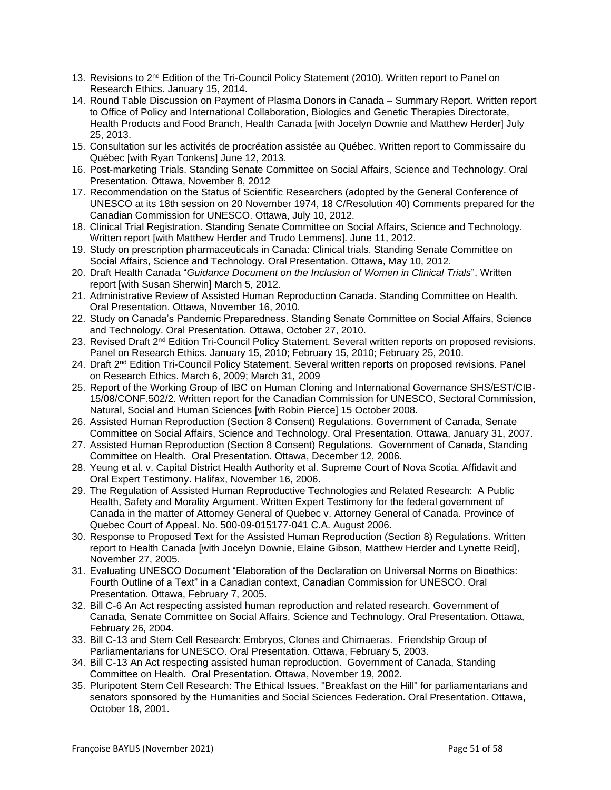- 13. Revisions to 2<sup>nd</sup> Edition of the Tri-Council Policy Statement (2010). Written report to Panel on Research Ethics. January 15, 2014.
- 14. Round Table Discussion on Payment of Plasma Donors in Canada Summary Report. Written report to Office of Policy and International Collaboration, Biologics and Genetic Therapies Directorate, Health Products and Food Branch, Health Canada [with Jocelyn Downie and Matthew Herder] July 25, 2013.
- 15. Consultation sur les activités de procréation assistée au Québec. Written report to Commissaire du Québec [with Ryan Tonkens] June 12, 2013.
- 16. Post-marketing Trials. Standing Senate Committee on Social Affairs, Science and Technology. Oral Presentation. Ottawa, November 8, 2012
- 17. Recommendation on the Status of Scientific Researchers (adopted by the General Conference of UNESCO at its 18th session on 20 November 1974, 18 C/Resolution 40) Comments prepared for the Canadian Commission for UNESCO. Ottawa, July 10, 2012.
- 18. Clinical Trial Registration. Standing Senate Committee on Social Affairs, Science and Technology. Written report [with Matthew Herder and Trudo Lemmens]. June 11, 2012.
- 19. Study on prescription pharmaceuticals in Canada: Clinical trials. Standing Senate Committee on Social Affairs, Science and Technology. Oral Presentation. Ottawa, May 10, 2012.
- 20. Draft Health Canada "*Guidance Document on the Inclusion of Women in Clinical Trials*". Written report [with Susan Sherwin] March 5, 2012.
- 21. Administrative Review of Assisted Human Reproduction Canada. Standing Committee on Health. Oral Presentation. Ottawa, November 16, 2010.
- 22. Study on Canada's Pandemic Preparedness. Standing Senate Committee on Social Affairs, Science and Technology. Oral Presentation. Ottawa, October 27, 2010.
- 23. Revised Draft 2<sup>nd</sup> Edition Tri-Council Policy Statement. Several written reports on proposed revisions. Panel on Research Ethics. January 15, 2010; February 15, 2010; February 25, 2010.
- 24. Draft 2nd Edition Tri-Council Policy Statement. Several written reports on proposed revisions. Panel on Research Ethics. March 6, 2009; March 31, 2009
- 25. Report of the Working Group of IBC on Human Cloning and International Governance SHS/EST/CIB-15/08/CONF.502/2. Written report for the Canadian Commission for UNESCO, Sectoral Commission, Natural, Social and Human Sciences [with Robin Pierce] 15 October 2008.
- 26. Assisted Human Reproduction (Section 8 Consent) Regulations. Government of Canada, Senate Committee on Social Affairs, Science and Technology. Oral Presentation. Ottawa, January 31, 2007.
- 27. Assisted Human Reproduction (Section 8 Consent) Regulations. Government of Canada, Standing Committee on Health. Oral Presentation. Ottawa, December 12, 2006.
- 28. Yeung et al. v. Capital District Health Authority et al. Supreme Court of Nova Scotia. Affidavit and Oral Expert Testimony. Halifax, November 16, 2006.
- 29. The Regulation of Assisted Human Reproductive Technologies and Related Research: A Public Health, Safety and Morality Argument. Written Expert Testimony for the federal government of Canada in the matter of Attorney General of Quebec v. Attorney General of Canada. Province of Quebec Court of Appeal. No. 500-09-015177-041 C.A. August 2006.
- 30. Response to Proposed Text for the Assisted Human Reproduction (Section 8) Regulations. Written report to Health Canada [with Jocelyn Downie, Elaine Gibson, Matthew Herder and Lynette Reid], November 27, 2005.
- 31. Evaluating UNESCO Document "Elaboration of the Declaration on Universal Norms on Bioethics: Fourth Outline of a Text" in a Canadian context, Canadian Commission for UNESCO. Oral Presentation. Ottawa, February 7, 2005.
- 32. Bill C-6 An Act respecting assisted human reproduction and related research. Government of Canada, Senate Committee on Social Affairs, Science and Technology. Oral Presentation. Ottawa, February 26, 2004.
- 33. Bill C-13 and Stem Cell Research: Embryos, Clones and Chimaeras. Friendship Group of Parliamentarians for UNESCO. Oral Presentation. Ottawa, February 5, 2003.
- 34. Bill C-13 An Act respecting assisted human reproduction. Government of Canada, Standing Committee on Health. Oral Presentation. Ottawa, November 19, 2002.
- 35. Pluripotent Stem Cell Research: The Ethical Issues. "Breakfast on the Hill" for parliamentarians and senators sponsored by the Humanities and Social Sciences Federation. Oral Presentation. Ottawa, October 18, 2001.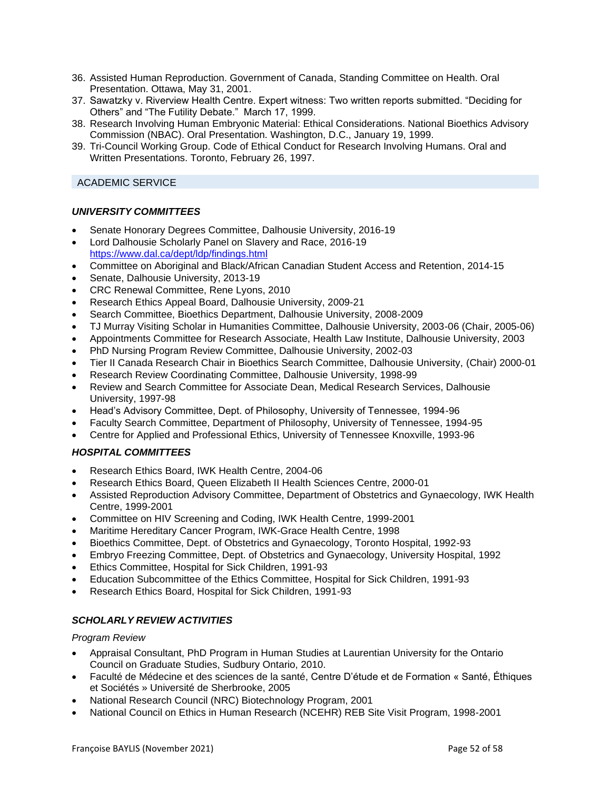- 36. Assisted Human Reproduction. Government of Canada, Standing Committee on Health. Oral Presentation. Ottawa, May 31, 2001.
- 37. Sawatzky v. Riverview Health Centre. Expert witness: Two written reports submitted. "Deciding for Others" and "The Futility Debate." March 17, 1999.
- 38. Research Involving Human Embryonic Material: Ethical Considerations. National Bioethics Advisory Commission (NBAC). Oral Presentation. Washington, D.C., January 19, 1999.
- 39. Tri-Council Working Group. Code of Ethical Conduct for Research Involving Humans. Oral and Written Presentations. Toronto, February 26, 1997.

# ACADEMIC SERVICE

### *UNIVERSITY COMMITTEES*

- Senate Honorary Degrees Committee, Dalhousie University, 2016-19
- Lord Dalhousie Scholarly Panel on Slavery and Race, 2016-19 <https://www.dal.ca/dept/ldp/findings.html>
- Committee on Aboriginal and Black/African Canadian Student Access and Retention, 2014-15
- Senate, Dalhousie University, 2013-19
- CRC Renewal Committee, Rene Lyons, 2010
- Research Ethics Appeal Board, Dalhousie University, 2009-21
- Search Committee, Bioethics Department, Dalhousie University, 2008-2009
- TJ Murray Visiting Scholar in Humanities Committee, Dalhousie University, 2003-06 (Chair, 2005-06)
- Appointments Committee for Research Associate, Health Law Institute, Dalhousie University, 2003
- PhD Nursing Program Review Committee, Dalhousie University, 2002-03
- Tier II Canada Research Chair in Bioethics Search Committee, Dalhousie University, (Chair) 2000-01
- Research Review Coordinating Committee, Dalhousie University, 1998-99
- Review and Search Committee for Associate Dean, Medical Research Services, Dalhousie University, 1997-98
- Head's Advisory Committee, Dept. of Philosophy, University of Tennessee, 1994-96
- Faculty Search Committee, Department of Philosophy, University of Tennessee, 1994-95
- Centre for Applied and Professional Ethics, University of Tennessee Knoxville, 1993-96

# *HOSPITAL COMMITTEES*

- Research Ethics Board, IWK Health Centre, 2004-06
- Research Ethics Board, Queen Elizabeth II Health Sciences Centre, 2000-01
- Assisted Reproduction Advisory Committee, Department of Obstetrics and Gynaecology, IWK Health Centre, 1999-2001
- Committee on HIV Screening and Coding, IWK Health Centre, 1999-2001
- Maritime Hereditary Cancer Program, IWK-Grace Health Centre, 1998
- Bioethics Committee, Dept. of Obstetrics and Gynaecology, Toronto Hospital, 1992-93
- Embryo Freezing Committee, Dept. of Obstetrics and Gynaecology, University Hospital, 1992
- Ethics Committee, Hospital for Sick Children, 1991-93
- Education Subcommittee of the Ethics Committee, Hospital for Sick Children, 1991-93
- Research Ethics Board, Hospital for Sick Children, 1991-93

# *SCHOLARLY REVIEW ACTIVITIES*

### *Program Review*

- Appraisal Consultant, PhD Program in Human Studies at Laurentian University for the Ontario Council on Graduate Studies, Sudbury Ontario, 2010.
- Faculté de Médecine et des sciences de la santé, Centre D'étude et de Formation « Santé, Éthiques et Sociétés » Université de Sherbrooke, 2005
- National Research Council (NRC) Biotechnology Program, 2001
- National Council on Ethics in Human Research (NCEHR) REB Site Visit Program, 1998-2001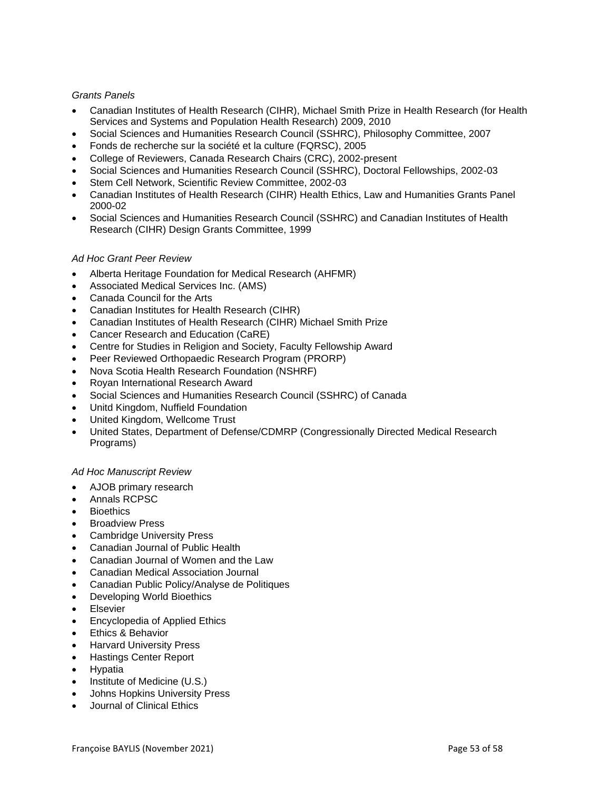### *Grants Panels*

- Canadian Institutes of Health Research (CIHR), Michael Smith Prize in Health Research (for Health Services and Systems and Population Health Research) 2009, 2010
- Social Sciences and Humanities Research Council (SSHRC), Philosophy Committee, 2007
- Fonds de recherche sur la société et la culture (FQRSC), 2005
- College of Reviewers, Canada Research Chairs (CRC), 2002-present
- Social Sciences and Humanities Research Council (SSHRC), Doctoral Fellowships, 2002-03
- Stem Cell Network, Scientific Review Committee, 2002-03
- Canadian Institutes of Health Research (CIHR) Health Ethics, Law and Humanities Grants Panel 2000-02
- Social Sciences and Humanities Research Council (SSHRC) and Canadian Institutes of Health Research (CIHR) Design Grants Committee, 1999

### *Ad Hoc Grant Peer Review*

- Alberta Heritage Foundation for Medical Research (AHFMR)
- Associated Medical Services Inc. (AMS)
- Canada Council for the Arts
- Canadian Institutes for Health Research (CIHR)
- Canadian Institutes of Health Research (CIHR) Michael Smith Prize
- Cancer Research and Education (CaRE)
- Centre for Studies in Religion and Society, Faculty Fellowship Award
- Peer Reviewed Orthopaedic Research Program (PRORP)
- Nova Scotia Health Research Foundation (NSHRF)
- Royan International Research Award
- Social Sciences and Humanities Research Council (SSHRC) of Canada
- Unitd Kingdom, Nuffield Foundation
- United Kingdom, Wellcome Trust
- United States, Department of Defense/CDMRP (Congressionally Directed Medical Research Programs)

### *Ad Hoc Manuscript Review*

- AJOB primary research
- Annals RCPSC
- **Bioethics**
- **Broadview Press**
- Cambridge University Press
- Canadian Journal of Public Health
- Canadian Journal of Women and the Law
- Canadian Medical Association Journal
- Canadian Public Policy/Analyse de Politiques
- Developing World Bioethics
- **Elsevier**
- Encyclopedia of Applied Ethics
- Ethics & Behavior
- Harvard University Press
- Hastings Center Report
- Hypatia
- Institute of Medicine (U.S.)
- Johns Hopkins University Press
- Journal of Clinical Ethics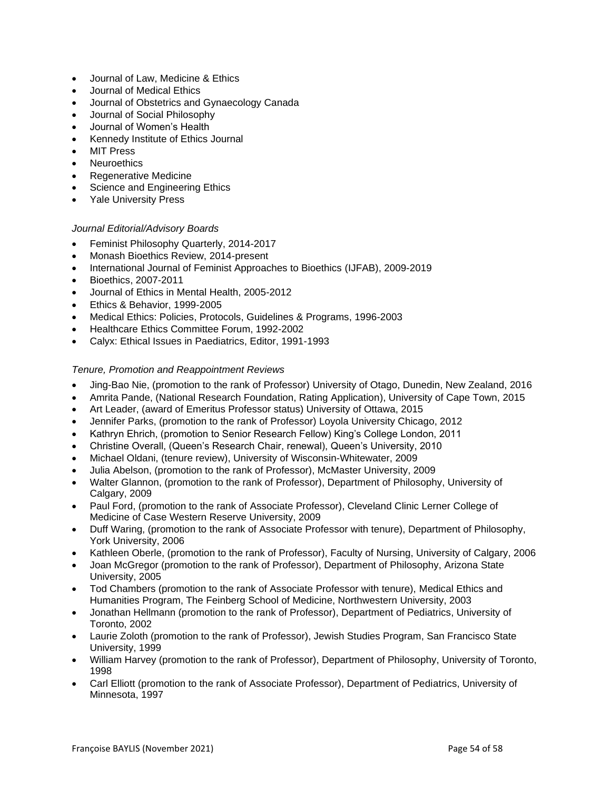- Journal of Law, Medicine & Ethics
- Journal of Medical Ethics
- Journal of Obstetrics and Gynaecology Canada
- Journal of Social Philosophy
- Journal of Women's Health
- Kennedy Institute of Ethics Journal
- **MIT Press**
- **Neuroethics**
- Regenerative Medicine
- Science and Engineering Ethics
- Yale University Press

### *Journal Editorial/Advisory Boards*

- Feminist Philosophy Quarterly, 2014-2017
- Monash Bioethics Review, 2014-present
- International Journal of Feminist Approaches to Bioethics (IJFAB), 2009-2019
- Bioethics, 2007-2011
- Journal of Ethics in Mental Health, 2005-2012
- Ethics & Behavior, 1999-2005
- Medical Ethics: Policies, Protocols, Guidelines & Programs, 1996-2003
- Healthcare Ethics Committee Forum, 1992-2002
- Calyx: Ethical Issues in Paediatrics, Editor, 1991-1993

### *Tenure, Promotion and Reappointment Reviews*

- Jing-Bao Nie, (promotion to the rank of Professor) University of Otago, Dunedin, New Zealand, 2016
- Amrita Pande, (National Research Foundation, Rating Application), University of Cape Town, 2015
- Art Leader, (award of Emeritus Professor status) University of Ottawa, 2015
- Jennifer Parks, (promotion to the rank of Professor) Loyola University Chicago, 2012
- Kathryn Ehrich, (promotion to Senior Research Fellow) King's College London, 2011
- Christine Overall, (Queen's Research Chair, renewal), Queen's University, 2010
- Michael Oldani, (tenure review), University of Wisconsin-Whitewater, 2009
- Julia Abelson, (promotion to the rank of Professor), McMaster University, 2009
- Walter Glannon, (promotion to the rank of Professor), Department of Philosophy, University of Calgary, 2009
- Paul Ford, (promotion to the rank of Associate Professor), Cleveland Clinic Lerner College of Medicine of Case Western Reserve University, 2009
- Duff Waring, (promotion to the rank of Associate Professor with tenure), Department of Philosophy, York University, 2006
- Kathleen Oberle, (promotion to the rank of Professor), Faculty of Nursing, University of Calgary, 2006
- Joan McGregor (promotion to the rank of Professor), Department of Philosophy, Arizona State University, 2005
- Tod Chambers (promotion to the rank of Associate Professor with tenure), Medical Ethics and Humanities Program, The Feinberg School of Medicine, Northwestern University, 2003
- Jonathan Hellmann (promotion to the rank of Professor), Department of Pediatrics, University of Toronto, 2002
- Laurie Zoloth (promotion to the rank of Professor), Jewish Studies Program, San Francisco State University, 1999
- William Harvey (promotion to the rank of Professor), Department of Philosophy, University of Toronto, 1998
- Carl Elliott (promotion to the rank of Associate Professor), Department of Pediatrics, University of Minnesota, 1997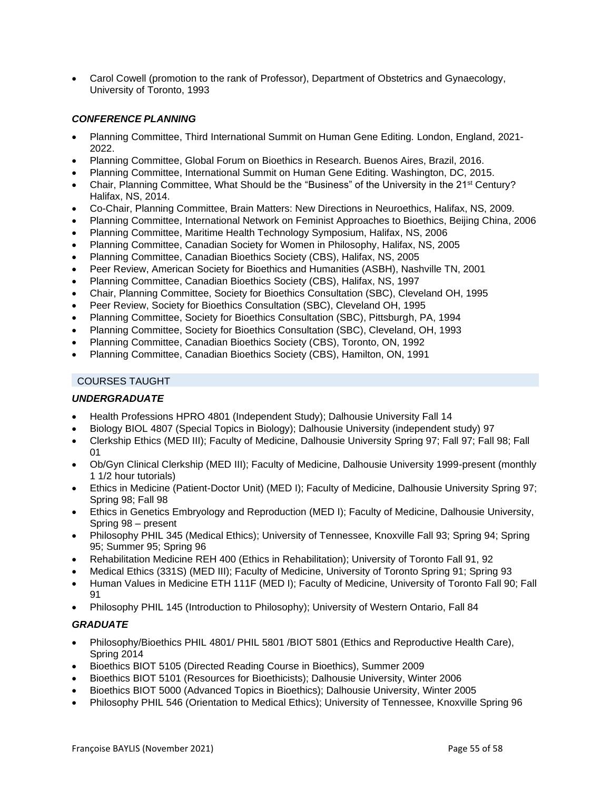• Carol Cowell (promotion to the rank of Professor), Department of Obstetrics and Gynaecology, University of Toronto, 1993

# *CONFERENCE PLANNING*

- Planning Committee, Third International Summit on Human Gene Editing. London, England, 2021- 2022.
- Planning Committee, Global Forum on Bioethics in Research. Buenos Aires, Brazil, 2016.
- Planning Committee, International Summit on Human Gene Editing. Washington, DC, 2015.
- Chair, Planning Committee, What Should be the "Business" of the University in the 21st Century? Halifax, NS, 2014.
- Co-Chair, Planning Committee, Brain Matters: New Directions in Neuroethics, Halifax, NS, 2009.
- Planning Committee, International Network on Feminist Approaches to Bioethics, Beijing China, 2006
- Planning Committee, Maritime Health Technology Symposium, Halifax, NS, 2006
- Planning Committee, Canadian Society for Women in Philosophy, Halifax, NS, 2005
- Planning Committee, Canadian Bioethics Society (CBS), Halifax, NS, 2005
- Peer Review, American Society for Bioethics and Humanities (ASBH), Nashville TN, 2001
- Planning Committee, Canadian Bioethics Society (CBS), Halifax, NS, 1997
- Chair, Planning Committee, Society for Bioethics Consultation (SBC), Cleveland OH, 1995
- Peer Review, Society for Bioethics Consultation (SBC), Cleveland OH, 1995
- Planning Committee, Society for Bioethics Consultation (SBC), Pittsburgh, PA, 1994
- Planning Committee, Society for Bioethics Consultation (SBC), Cleveland, OH, 1993
- Planning Committee, Canadian Bioethics Society (CBS), Toronto, ON, 1992
- Planning Committee, Canadian Bioethics Society (CBS), Hamilton, ON, 1991

### COURSES TAUGHT

# *UNDERGRADUATE*

- Health Professions HPRO 4801 (Independent Study); Dalhousie University Fall 14
- Biology BIOL 4807 (Special Topics in Biology); Dalhousie University (independent study) 97
- Clerkship Ethics (MED III); Faculty of Medicine, Dalhousie University Spring 97; Fall 97; Fall 98; Fall 01
- Ob/Gyn Clinical Clerkship (MED III); Faculty of Medicine, Dalhousie University 1999-present (monthly 1 1/2 hour tutorials)
- Ethics in Medicine (Patient-Doctor Unit) (MED I); Faculty of Medicine, Dalhousie University Spring 97; Spring 98; Fall 98
- Ethics in Genetics Embryology and Reproduction (MED I); Faculty of Medicine, Dalhousie University, Spring 98 – present
- Philosophy PHIL 345 (Medical Ethics); University of Tennessee, Knoxville Fall 93; Spring 94; Spring 95; Summer 95; Spring 96
- Rehabilitation Medicine REH 400 (Ethics in Rehabilitation); University of Toronto Fall 91, 92
- Medical Ethics (331S) (MED III); Faculty of Medicine, University of Toronto Spring 91; Spring 93
- Human Values in Medicine ETH 111F (MED I); Faculty of Medicine, University of Toronto Fall 90; Fall 91
- Philosophy PHIL 145 (Introduction to Philosophy); University of Western Ontario, Fall 84

### *GRADUATE*

- Philosophy/Bioethics PHIL 4801/ PHIL 5801 /BIOT 5801 (Ethics and Reproductive Health Care), Spring 2014
- Bioethics BIOT 5105 (Directed Reading Course in Bioethics), Summer 2009
- Bioethics BIOT 5101 (Resources for Bioethicists); Dalhousie University, Winter 2006
- Bioethics BIOT 5000 (Advanced Topics in Bioethics); Dalhousie University, Winter 2005
- Philosophy PHIL 546 (Orientation to Medical Ethics); University of Tennessee, Knoxville Spring 96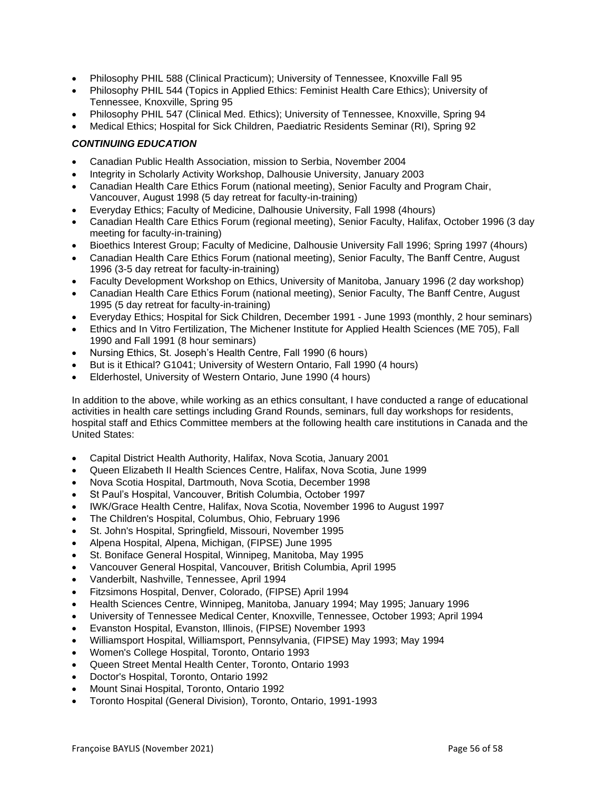- Philosophy PHIL 588 (Clinical Practicum); University of Tennessee, Knoxville Fall 95
- Philosophy PHIL 544 (Topics in Applied Ethics: Feminist Health Care Ethics); University of Tennessee, Knoxville, Spring 95
- Philosophy PHIL 547 (Clinical Med. Ethics); University of Tennessee, Knoxville, Spring 94
- Medical Ethics; Hospital for Sick Children, Paediatric Residents Seminar (RI), Spring 92

# *CONTINUING EDUCATION*

- Canadian Public Health Association, mission to Serbia, November 2004
- Integrity in Scholarly Activity Workshop, Dalhousie University, January 2003
- Canadian Health Care Ethics Forum (national meeting), Senior Faculty and Program Chair, Vancouver, August 1998 (5 day retreat for faculty-in-training)
- Everyday Ethics; Faculty of Medicine, Dalhousie University, Fall 1998 (4hours)
- Canadian Health Care Ethics Forum (regional meeting), Senior Faculty, Halifax, October 1996 (3 day meeting for faculty-in-training)
- Bioethics Interest Group; Faculty of Medicine, Dalhousie University Fall 1996; Spring 1997 (4hours)
- Canadian Health Care Ethics Forum (national meeting), Senior Faculty, The Banff Centre, August 1996 (3-5 day retreat for faculty-in-training)
- Faculty Development Workshop on Ethics, University of Manitoba, January 1996 (2 day workshop)
- Canadian Health Care Ethics Forum (national meeting), Senior Faculty, The Banff Centre, August 1995 (5 day retreat for faculty-in-training)
- Everyday Ethics; Hospital for Sick Children, December 1991 June 1993 (monthly, 2 hour seminars)
- Ethics and In Vitro Fertilization, The Michener Institute for Applied Health Sciences (ME 705), Fall 1990 and Fall 1991 (8 hour seminars)
- Nursing Ethics, St. Joseph's Health Centre, Fall 1990 (6 hours)
- But is it Ethical? G1041; University of Western Ontario, Fall 1990 (4 hours)
- Elderhostel, University of Western Ontario, June 1990 (4 hours)

In addition to the above, while working as an ethics consultant, I have conducted a range of educational activities in health care settings including Grand Rounds, seminars, full day workshops for residents, hospital staff and Ethics Committee members at the following health care institutions in Canada and the United States:

- Capital District Health Authority, Halifax, Nova Scotia, January 2001
- Queen Elizabeth II Health Sciences Centre, Halifax, Nova Scotia, June 1999
- Nova Scotia Hospital, Dartmouth, Nova Scotia, December 1998
- St Paul's Hospital, Vancouver, British Columbia, October 1997
- IWK/Grace Health Centre, Halifax, Nova Scotia, November 1996 to August 1997
- The Children's Hospital, Columbus, Ohio, February 1996
- St. John's Hospital, Springfield, Missouri, November 1995
- Alpena Hospital, Alpena, Michigan, (FIPSE) June 1995
- St. Boniface General Hospital, Winnipeg, Manitoba, May 1995
- Vancouver General Hospital, Vancouver, British Columbia, April 1995
- Vanderbilt, Nashville, Tennessee, April 1994
- Fitzsimons Hospital, Denver, Colorado, (FIPSE) April 1994
- Health Sciences Centre, Winnipeg, Manitoba, January 1994; May 1995; January 1996
- University of Tennessee Medical Center, Knoxville, Tennessee, October 1993; April 1994
- Evanston Hospital, Evanston, Illinois, (FIPSE) November 1993
- Williamsport Hospital, Williamsport, Pennsylvania, (FIPSE) May 1993; May 1994
- Women's College Hospital, Toronto, Ontario 1993
- Queen Street Mental Health Center, Toronto, Ontario 1993
- Doctor's Hospital, Toronto, Ontario 1992
- Mount Sinai Hospital, Toronto, Ontario 1992
- Toronto Hospital (General Division), Toronto, Ontario, 1991-1993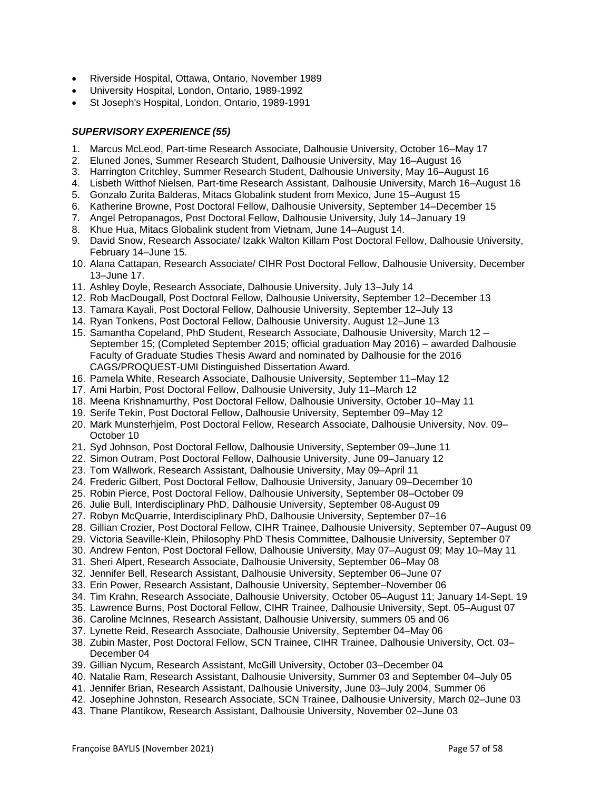- Riverside Hospital, Ottawa, Ontario, November 1989
- University Hospital, London, Ontario, 1989-1992
- St Joseph's Hospital, London, Ontario, 1989-1991

### *SUPERVISORY EXPERIENCE (55)*

- 1. Marcus McLeod, Part-time Research Associate, Dalhousie University, October 16–May 17
- 2. Eluned Jones, Summer Research Student, Dalhousie University, May 16–August 16
- 3. Harrington Critchley, Summer Research Student, Dalhousie University, May 16–August 16
- 4. Lisbeth Witthof Nielsen, Part-time Research Assistant, Dalhousie University, March 16–August 16
- 5. Gonzalo Zurita Balderas, Mitacs Globalink student from Mexico, June 15–August 15
- 6. Katherine Browne, Post Doctoral Fellow, Dalhousie University, September 14–December 15
- 7. Angel Petropanagos, Post Doctoral Fellow, Dalhousie University, July 14–January 19
- 8. Khue Hua, Mitacs Globalink student from Vietnam, June 14–August 14.
- 9. David Snow, Research Associate/ Izakk Walton Killam Post Doctoral Fellow, Dalhousie University, February 14–June 15.
- 10. Alana Cattapan, Research Associate/ CIHR Post Doctoral Fellow, Dalhousie University, December 13–June 17.
- 11. Ashley Doyle, Research Associate, Dalhousie University, July 13–July 14
- 12. Rob MacDougall, Post Doctoral Fellow, Dalhousie University, September 12–December 13
- 13. Tamara Kayali, Post Doctoral Fellow, Dalhousie University, September 12–July 13
- 14. Ryan Tonkens, Post Doctoral Fellow, Dalhousie University, August 12–June 13
- 15. Samantha Copeland, PhD Student, Research Associate, Dalhousie University, March 12 September 15; (Completed September 2015; official graduation May 2016) – awarded Dalhousie Faculty of Graduate Studies Thesis Award and nominated by Dalhousie for the 2016 CAGS/PROQUEST-UMI Distinguished Dissertation Award.
- 16. Pamela White, Research Associate, Dalhousie University, September 11–May 12
- 17. Ami Harbin, Post Doctoral Fellow, Dalhousie University, July 11–March 12
- 18. Meena Krishnamurthy, Post Doctoral Fellow, Dalhousie University, October 10–May 11
- 19. Serife Tekin, Post Doctoral Fellow, Dalhousie University, September 09–May 12
- 20. Mark Munsterhjelm, Post Doctoral Fellow, Research Associate, Dalhousie University, Nov. 09– October 10
- 21. Syd Johnson, Post Doctoral Fellow, Dalhousie University, September 09–June 11
- 22. Simon Outram, Post Doctoral Fellow, Dalhousie University, June 09–January 12
- 23. Tom Wallwork, Research Assistant, Dalhousie University, May 09–April 11
- 24. Frederic Gilbert, Post Doctoral Fellow, Dalhousie University, January 09–December 10
- 25. Robin Pierce, Post Doctoral Fellow, Dalhousie University, September 08–October 09
- 26. Julie Bull, Interdisciplinary PhD, Dalhousie University, September 08-August 09
- 27. Robyn McQuarrie, Interdisciplinary PhD, Dalhousie University, September 07–16
- 28. Gillian Crozier, Post Doctoral Fellow, CIHR Trainee, Dalhousie University, September 07–August 09
- 29. Victoria Seaville-Klein, Philosophy PhD Thesis Committee, Dalhousie University, September 07
- 30. Andrew Fenton, Post Doctoral Fellow, Dalhousie University, May 07–August 09; May 10–May 11
- 31. Sheri Alpert, Research Associate, Dalhousie University, September 06–May 08
- 32. Jennifer Bell, Research Assistant, Dalhousie University, September 06–June 07
- 33. Erin Power, Research Assistant, Dalhousie University, September–November 06
- 34. Tim Krahn, Research Associate, Dalhousie University, October 05–August 11; January 14-Sept. 19
- 35. Lawrence Burns, Post Doctoral Fellow, CIHR Trainee, Dalhousie University, Sept. 05–August 07
- 36. Caroline McInnes, Research Assistant, Dalhousie University, summers 05 and 06
- 37. Lynette Reid, Research Associate, Dalhousie University, September 04–May 06
- 38. Zubin Master, Post Doctoral Fellow, SCN Trainee, CIHR Trainee, Dalhousie University, Oct. 03– December 04
- 39. Gillian Nycum, Research Assistant, McGill University, October 03–December 04
- 40. Natalie Ram, Research Assistant, Dalhousie University, Summer 03 and September 04–July 05
- 41. Jennifer Brian, Research Assistant, Dalhousie University, June 03–July 2004, Summer 06
- 42. Josephine Johnston, Research Associate, SCN Trainee, Dalhousie University, March 02–June 03
- 43. Thane Plantikow, Research Assistant, Dalhousie University, November 02–June 03